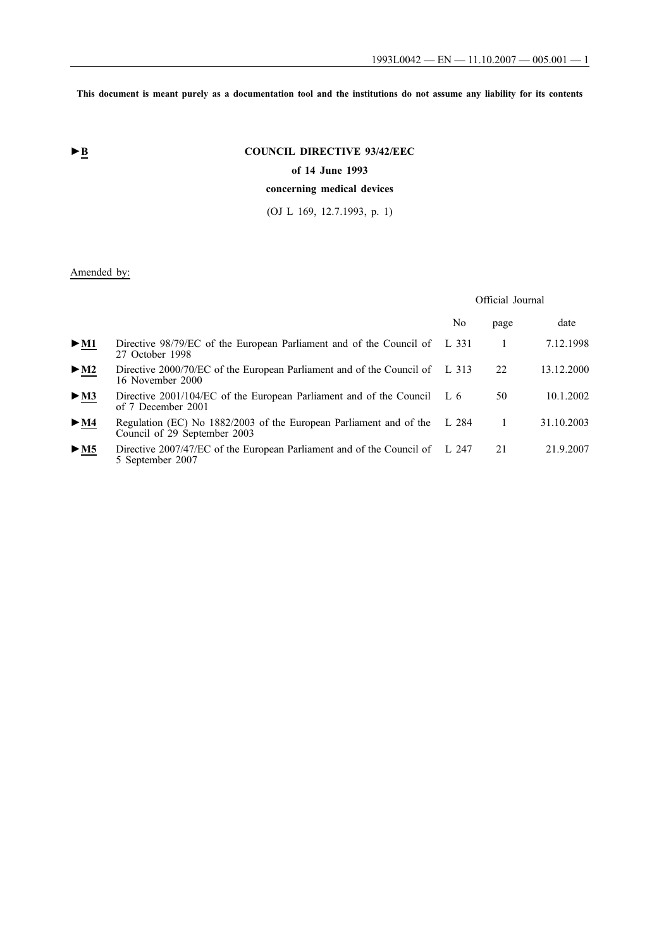**This document is meant purely as a documentation tool and the institutions do not assume any liability for its contents**

# ► **B** COUNCIL DIRECTIVE 93/42/EEC

**of 14 June 1993**

# **concerning medical devices**

(OJ L 169, 12.7.1993, p. 1)

# Amended by:

|                                 |                                                                                                    | Official Journal |      |            |
|---------------------------------|----------------------------------------------------------------------------------------------------|------------------|------|------------|
|                                 |                                                                                                    | No.              | page | date       |
| $\triangleright$ <u>M1</u>      | Directive 98/79/EC of the European Parliament and of the Council of L 331<br>27 October 1998       |                  |      | 7.12.1998  |
| $\triangleright$ <u>M2</u>      | Directive 2000/70/EC of the European Parliament and of the Council of L 313<br>16 November 2000    |                  | 22   | 13.12.2000 |
| $\blacktriangleright$ <u>M3</u> | Directive 2001/104/EC of the European Parliament and of the Council L 6<br>of 7 December 2001      |                  | 50   | 10.1.2002  |
| $\triangleright$ <u>M4</u>      | Regulation (EC) No 1882/2003 of the European Parliament and of the<br>Council of 29 September 2003 | L 284            |      | 31.10.2003 |
| > M5                            | Directive 2007/47/EC of the European Parliament and of the Council of L 247<br>5 September 2007    |                  | 21   | 21.9.2007  |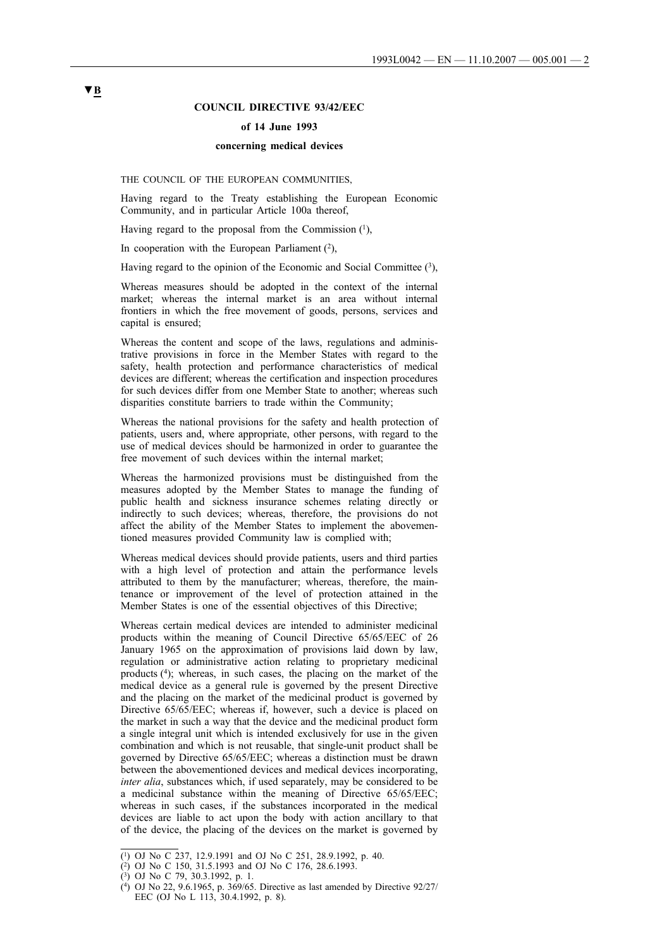### **COUNCIL DIRECTIVE 93/42/EEC**

### **of 14 June 1993**

### **concerning medical devices**

THE COUNCIL OF THE EUROPEAN COMMUNITIES,

Having regard to the Treaty establishing the European Economic Community, and in particular Article 100a thereof,

Having regard to the proposal from the Commission  $(1)$ ,

In cooperation with the European Parliament  $(2)$ ,

Having regard to the opinion of the Economic and Social Committee  $(3)$ ,

Whereas measures should be adopted in the context of the internal market; whereas the internal market is an area without internal frontiers in which the free movement of goods, persons, services and capital is ensured;

Whereas the content and scope of the laws, regulations and administrative provisions in force in the Member States with regard to the safety, health protection and performance characteristics of medical devices are different; whereas the certification and inspection procedures for such devices differ from one Member State to another; whereas such disparities constitute barriers to trade within the Community;

Whereas the national provisions for the safety and health protection of patients, users and, where appropriate, other persons, with regard to the use of medical devices should be harmonized in order to guarantee the free movement of such devices within the internal market;

Whereas the harmonized provisions must be distinguished from the measures adopted by the Member States to manage the funding of public health and sickness insurance schemes relating directly or indirectly to such devices; whereas, therefore, the provisions do not affect the ability of the Member States to implement the abovementioned measures provided Community law is complied with;

Whereas medical devices should provide patients, users and third parties with a high level of protection and attain the performance levels attributed to them by the manufacturer; whereas, therefore, the maintenance or improvement of the level of protection attained in the Member States is one of the essential objectives of this Directive;

Whereas certain medical devices are intended to administer medicinal products within the meaning of Council Directive 65/65/EEC of 26 January 1965 on the approximation of provisions laid down by law, regulation or administrative action relating to proprietary medicinal products (4); whereas, in such cases, the placing on the market of the medical device as a general rule is governed by the present Directive and the placing on the market of the medicinal product is governed by Directive 65/65/EEC; whereas if, however, such a device is placed on the market in such a way that the device and the medicinal product form a single integral unit which is intended exclusively for use in the given combination and which is not reusable, that single-unit product shall be governed by Directive 65/65/EEC; whereas a distinction must be drawn between the abovementioned devices and medical devices incorporating, *inter alia*, substances which, if used separately, may be considered to be a medicinal substance within the meaning of Directive 65/65/EEC; whereas in such cases, if the substances incorporated in the medical devices are liable to act upon the body with action ancillary to that of the device, the placing of the devices on the market is governed by

<sup>(1)</sup> OJ No C 237, 12.9.1991 and OJ No C 251, 28.9.1992, p. 40.

<sup>(2)</sup> OJ No C 150, 31.5.1993 and OJ No C 176, 28.6.1993.

<sup>(3)</sup> OJ No C 79, 30.3.1992, p. 1.

<sup>(4)</sup> OJ No 22, 9.6.1965, p. 369/65. Directive as last amended by Directive 92/27/ EEC (OJ No L 113, 30.4.1992, p. 8).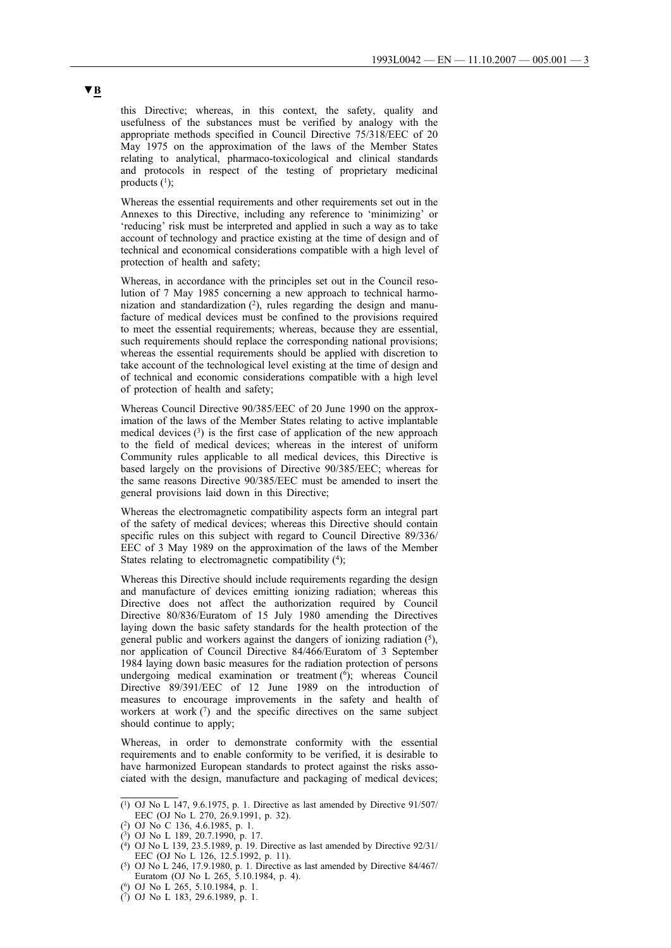this Directive; whereas, in this context, the safety, quality and usefulness of the substances must be verified by analogy with the appropriate methods specified in Council Directive 75/318/EEC of 20 May 1975 on the approximation of the laws of the Member States relating to analytical, pharmaco-toxicological and clinical standards and protocols in respect of the testing of proprietary medicinal products  $(1)$ ;

Whereas the essential requirements and other requirements set out in the Annexes to this Directive, including any reference to 'minimizing' or 'reducing' risk must be interpreted and applied in such a way as to take account of technology and practice existing at the time of design and of technical and economical considerations compatible with a high level of protection of health and safety;

Whereas, in accordance with the principles set out in the Council resolution of 7 May 1985 concerning a new approach to technical harmonization and standardization  $(2)$ , rules regarding the design and manufacture of medical devices must be confined to the provisions required to meet the essential requirements; whereas, because they are essential, such requirements should replace the corresponding national provisions; whereas the essential requirements should be applied with discretion to take account of the technological level existing at the time of design and of technical and economic considerations compatible with a high level of protection of health and safety;

Whereas Council Directive 90/385/EEC of 20 June 1990 on the approximation of the laws of the Member States relating to active implantable medical devices  $(3)$  is the first case of application of the new approach to the field of medical devices; whereas in the interest of uniform Community rules applicable to all medical devices, this Directive is based largely on the provisions of Directive 90/385/EEC; whereas for the same reasons Directive 90/385/EEC must be amended to insert the general provisions laid down in this Directive;

Whereas the electromagnetic compatibility aspects form an integral part of the safety of medical devices; whereas this Directive should contain specific rules on this subject with regard to Council Directive 89/336/ EEC of 3 May 1989 on the approximation of the laws of the Member States relating to electromagnetic compatibility  $(4)$ ;

Whereas this Directive should include requirements regarding the design and manufacture of devices emitting ionizing radiation; whereas this Directive does not affect the authorization required by Council Directive 80/836/Euratom of 15 July 1980 amending the Directives laying down the basic safety standards for the health protection of the general public and workers against the dangers of ionizing radiation  $(5)$ , nor application of Council Directive 84/466/Euratom of 3 September 1984 laying down basic measures for the radiation protection of persons undergoing medical examination or treatment  $(6)$ ; whereas Council Directive 89/391/EEC of 12 June 1989 on the introduction of measures to encourage improvements in the safety and health of workers at work  $(7)$  and the specific directives on the same subject should continue to apply;

Whereas, in order to demonstrate conformity with the essential requirements and to enable conformity to be verified, it is desirable to have harmonized European standards to protect against the risks associated with the design, manufacture and packaging of medical devices;

<sup>(</sup> $^{1}$ ) OJ No L 147, 9.6.1975, p. 1. Directive as last amended by Directive 91/507/ EEC (OJ No L 270, 26.9.1991, p. 32).

<sup>(2)</sup> OJ No C 136, 4.6.1985, p. 1.

<sup>(3)</sup> OJ No L 189, 20.7.1990, p. 17.

 $(4)$  OJ No L 139, 23.5.1989, p. 19. Directive as last amended by Directive 92/31/ EEC (OJ No L 126, 12.5.1992, p. 11).

<sup>(</sup> $5$ ) OJ No L 246, 17.9.1980, p. 1. Directive as last amended by Directive 84/467/ Euratom (OJ No L 265, 5.10.1984, p. 4).

<sup>(6)</sup> OJ No L 265, 5.10.1984, p. 1.

<sup>(7)</sup> OJ No L 183, 29.6.1989, p. 1.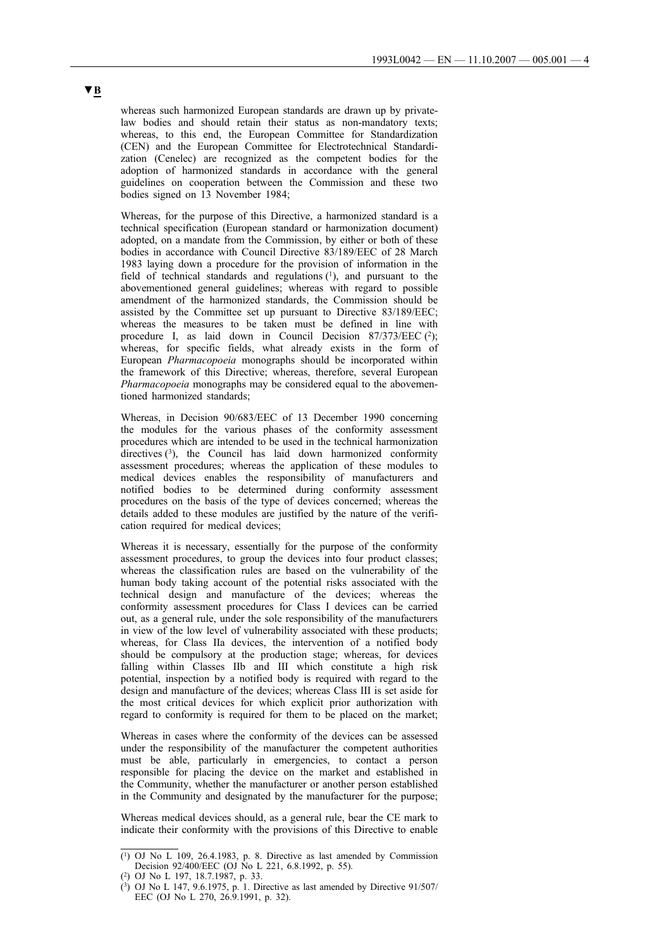whereas such harmonized European standards are drawn up by privatelaw bodies and should retain their status as non-mandatory texts; whereas, to this end, the European Committee for Standardization (CEN) and the European Committee for Electrotechnical Standardization (Cenelec) are recognized as the competent bodies for the adoption of harmonized standards in accordance with the general guidelines on cooperation between the Commission and these two bodies signed on 13 November 1984;

Whereas, for the purpose of this Directive, a harmonized standard is a technical specification (European standard or harmonization document) adopted, on a mandate from the Commission, by either or both of these bodies in accordance with Council Directive 83/189/EEC of 28 March 1983 laying down a procedure for the provision of information in the field of technical standards and regulations  $(1)$ , and pursuant to the abovementioned general guidelines; whereas with regard to possible amendment of the harmonized standards, the Commission should be assisted by the Committee set up pursuant to Directive 83/189/EEC; whereas the measures to be taken must be defined in line with procedure I, as laid down in Council Decision 87/373/EEC (2); whereas, for specific fields, what already exists in the form of European *Pharmacopoeia* monographs should be incorporated within the framework of this Directive; whereas, therefore, several European *Pharmacopoeia* monographs may be considered equal to the abovementioned harmonized standards;

Whereas, in Decision 90/683/EEC of 13 December 1990 concerning the modules for the various phases of the conformity assessment procedures which are intended to be used in the technical harmonization directives  $(3)$ , the Council has laid down harmonized conformity assessment procedures; whereas the application of these modules to medical devices enables the responsibility of manufacturers and notified bodies to be determined during conformity assessment procedures on the basis of the type of devices concerned; whereas the details added to these modules are justified by the nature of the verification required for medical devices;

Whereas it is necessary, essentially for the purpose of the conformity assessment procedures, to group the devices into four product classes; whereas the classification rules are based on the vulnerability of the human body taking account of the potential risks associated with the technical design and manufacture of the devices; whereas the conformity assessment procedures for Class I devices can be carried out, as a general rule, under the sole responsibility of the manufacturers in view of the low level of vulnerability associated with these products; whereas, for Class IIa devices, the intervention of a notified body should be compulsory at the production stage; whereas, for devices falling within Classes IIb and III which constitute a high risk potential, inspection by a notified body is required with regard to the design and manufacture of the devices; whereas Class III is set aside for the most critical devices for which explicit prior authorization with regard to conformity is required for them to be placed on the market;

Whereas in cases where the conformity of the devices can be assessed under the responsibility of the manufacturer the competent authorities must be able, particularly in emergencies, to contact a person responsible for placing the device on the market and established in the Community, whether the manufacturer or another person established in the Community and designated by the manufacturer for the purpose;

Whereas medical devices should, as a general rule, bear the CE mark to indicate their conformity with the provisions of this Directive to enable

 $(1)$  OJ No L 109, 26.4.1983, p. 8. Directive as last amended by Commission Decision 92/400/EEC (OJ No L 221, 6.8.1992, p. 55).

<sup>(2)</sup> OJ No L 197, 18.7.1987, p. 33.

<sup>(3)</sup> OJ No L 147, 9.6.1975, p. 1. Directive as last amended by Directive 91/507/ EEC (OJ No L 270, 26.9.1991, p. 32).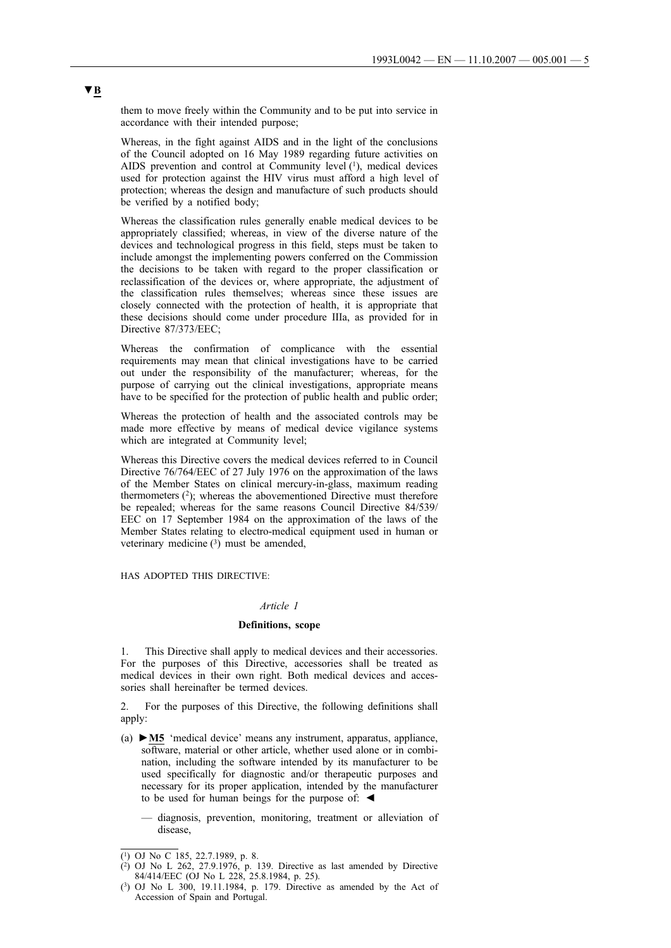them to move freely within the Community and to be put into service in accordance with their intended purpose;

Whereas, in the fight against AIDS and in the light of the conclusions of the Council adopted on 16 May 1989 regarding future activities on AIDS prevention and control at Community level  $(1)$ , medical devices used for protection against the HIV virus must afford a high level of protection; whereas the design and manufacture of such products should be verified by a notified body;

Whereas the classification rules generally enable medical devices to be appropriately classified; whereas, in view of the diverse nature of the devices and technological progress in this field, steps must be taken to include amongst the implementing powers conferred on the Commission the decisions to be taken with regard to the proper classification or reclassification of the devices or, where appropriate, the adjustment of the classification rules themselves; whereas since these issues are closely connected with the protection of health, it is appropriate that these decisions should come under procedure IIIa, as provided for in Directive 87/373/EEC;

Whereas the confirmation of complicance with the essential requirements may mean that clinical investigations have to be carried out under the responsibility of the manufacturer; whereas, for the purpose of carrying out the clinical investigations, appropriate means have to be specified for the protection of public health and public order;

Whereas the protection of health and the associated controls may be made more effective by means of medical device vigilance systems which are integrated at Community level;

Whereas this Directive covers the medical devices referred to in Council Directive 76/764/EEC of 27 July 1976 on the approximation of the laws of the Member States on clinical mercury-in-glass, maximum reading thermometers  $(2)$ ; whereas the abovementioned Directive must therefore be repealed; whereas for the same reasons Council Directive 84/539/ EEC on 17 September 1984 on the approximation of the laws of the Member States relating to electro-medical equipment used in human or veterinary medicine  $(3)$  must be amended,

HAS ADOPTED THIS DIRECTIVE:

### *Article 1*

## **Definitions, scope**

1. This Directive shall apply to medical devices and their accessories. For the purposes of this Directive, accessories shall be treated as medical devices in their own right. Both medical devices and accessories shall hereinafter be termed devices.

2. For the purposes of this Directive, the following definitions shall apply:

- (a) **►M5** 'medical device' means any instrument, apparatus, appliance, software, material or other article, whether used alone or in combination, including the software intended by its manufacturer to be used specifically for diagnostic and/or therapeutic purposes and necessary for its proper application, intended by the manufacturer to be used for human beings for the purpose of: ◄
	- diagnosis, prevention, monitoring, treatment or alleviation of disease,

<sup>(1)</sup> OJ No C 185, 22.7.1989, p. 8.

<sup>(2)</sup> OJ No L 262, 27.9.1976, p. 139. Directive as last amended by Directive 84/414/EEC (OJ No L 228, 25.8.1984, p. 25).

<sup>(3)</sup> OJ No L 300, 19.11.1984, p. 179. Directive as amended by the Act of Accession of Spain and Portugal.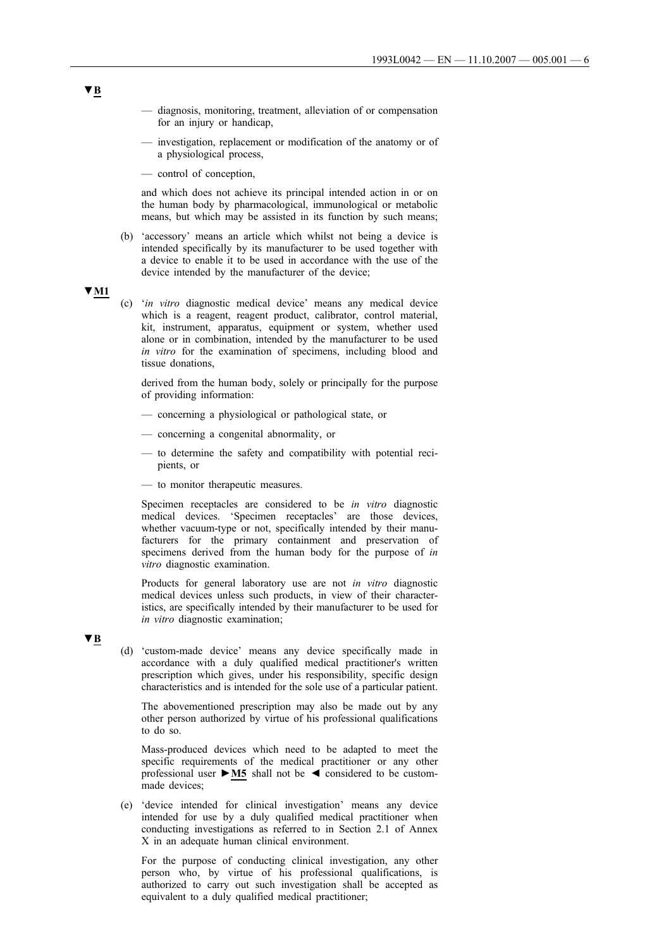- diagnosis, monitoring, treatment, alleviation of or compensation for an injury or handicap,
- investigation, replacement or modification of the anatomy or of a physiological process,
- control of conception,

and which does not achieve its principal intended action in or on the human body by pharmacological, immunological or metabolic means, but which may be assisted in its function by such means;

- (b) 'accessory' means an article which whilst not being a device is intended specifically by its manufacturer to be used together with a device to enable it to be used in accordance with the use of the device intended by the manufacturer of the device;
- **▼M1**
- (c) '*in vitro* diagnostic medical device' means any medical device which is a reagent, reagent product, calibrator, control material, kit, instrument, apparatus, equipment or system, whether used alone or in combination, intended by the manufacturer to be used *in vitro* for the examination of specimens, including blood and tissue donations,

derived from the human body, solely or principally for the purpose of providing information:

- concerning a physiological or pathological state, or
- concerning a congenital abnormality, or
- to determine the safety and compatibility with potential recipients, or
- to monitor therapeutic measures.

Specimen receptacles are considered to be *in vitro* diagnostic medical devices. 'Specimen receptacles' are those devices, whether vacuum-type or not, specifically intended by their manufacturers for the primary containment and preservation of specimens derived from the human body for the purpose of *in vitro* diagnostic examination.

Products for general laboratory use are not *in vitro* diagnostic medical devices unless such products, in view of their characteristics, are specifically intended by their manufacturer to be used for *in vitro* diagnostic examination;

# **▼B**

(d) 'custom-made device' means any device specifically made in accordance with a duly qualified medical practitioner's written prescription which gives, under his responsibility, specific design characteristics and is intended for the sole use of a particular patient.

The abovementioned prescription may also be made out by any other person authorized by virtue of his professional qualifications to do so.

Mass-produced devices which need to be adapted to meet the specific requirements of the medical practitioner or any other professional user **►M5** shall not be ◄ considered to be custommade devices;

(e) 'device intended for clinical investigation' means any device intended for use by a duly qualified medical practitioner when conducting investigations as referred to in Section 2.1 of Annex X in an adequate human clinical environment.

For the purpose of conducting clinical investigation, any other person who, by virtue of his professional qualifications, is authorized to carry out such investigation shall be accepted as equivalent to a duly qualified medical practitioner;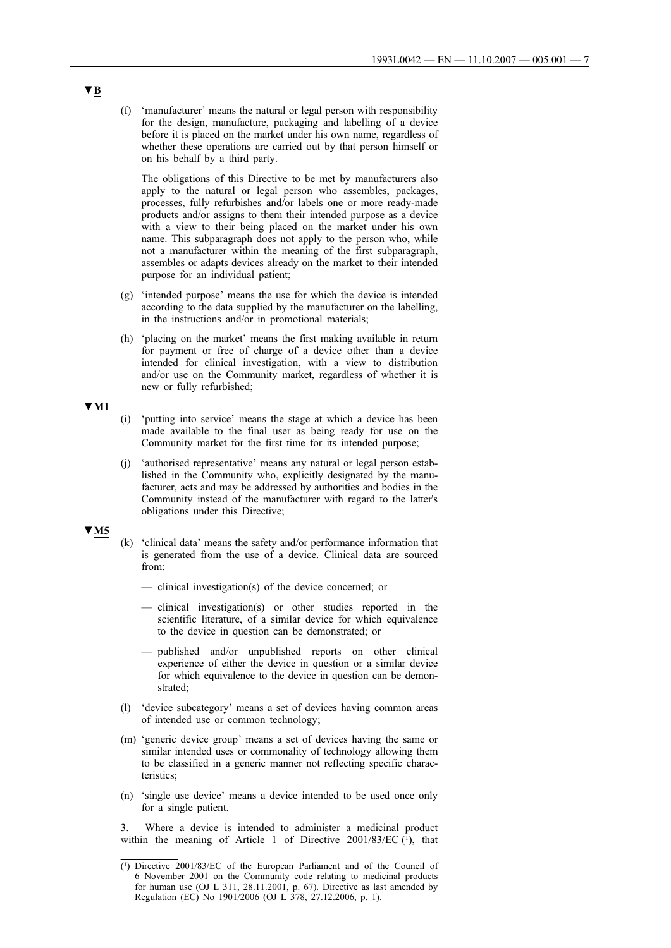(f) 'manufacturer' means the natural or legal person with responsibility for the design, manufacture, packaging and labelling of a device before it is placed on the market under his own name, regardless of whether these operations are carried out by that person himself or on his behalf by a third party.

The obligations of this Directive to be met by manufacturers also apply to the natural or legal person who assembles, packages, processes, fully refurbishes and/or labels one or more ready-made products and/or assigns to them their intended purpose as a device with a view to their being placed on the market under his own name. This subparagraph does not apply to the person who, while not a manufacturer within the meaning of the first subparagraph, assembles or adapts devices already on the market to their intended purpose for an individual patient;

- (g) 'intended purpose' means the use for which the device is intended according to the data supplied by the manufacturer on the labelling, in the instructions and/or in promotional materials;
- (h) 'placing on the market' means the first making available in return for payment or free of charge of a device other than a device intended for clinical investigation, with a view to distribution and/or use on the Community market, regardless of whether it is new or fully refurbished;

## **▼M1**

- (i) 'putting into service' means the stage at which a device has been made available to the final user as being ready for use on the Community market for the first time for its intended purpose;
- (j) 'authorised representative' means any natural or legal person established in the Community who, explicitly designated by the manufacturer, acts and may be addressed by authorities and bodies in the Community instead of the manufacturer with regard to the latter's obligations under this Directive;

# **▼M5**

- (k) 'clinical data' means the safety and/or performance information that is generated from the use of a device. Clinical data are sourced from:
	- clinical investigation(s) of the device concerned; or
	- clinical investigation(s) or other studies reported in the scientific literature, of a similar device for which equivalence to the device in question can be demonstrated; or
	- published and/or unpublished reports on other clinical experience of either the device in question or a similar device for which equivalence to the device in question can be demonstrated;
- (l) 'device subcategory' means a set of devices having common areas of intended use or common technology;
- (m) 'generic device group' means a set of devices having the same or similar intended uses or commonality of technology allowing them to be classified in a generic manner not reflecting specific characteristics;
- (n) 'single use device' means a device intended to be used once only for a single patient.

3. Where a device is intended to administer a medicinal product within the meaning of Article 1 of Directive  $2001/83/EC$  (1), that

<sup>(1)</sup> Directive 2001/83/EC of the European Parliament and of the Council of 6 November 2001 on the Community code relating to medicinal products for human use (OJ L 311, 28.11.2001, p. 67). Directive as last amended by Regulation (EC) No 1901/2006 (OJ L 378, 27.12.2006, p. 1).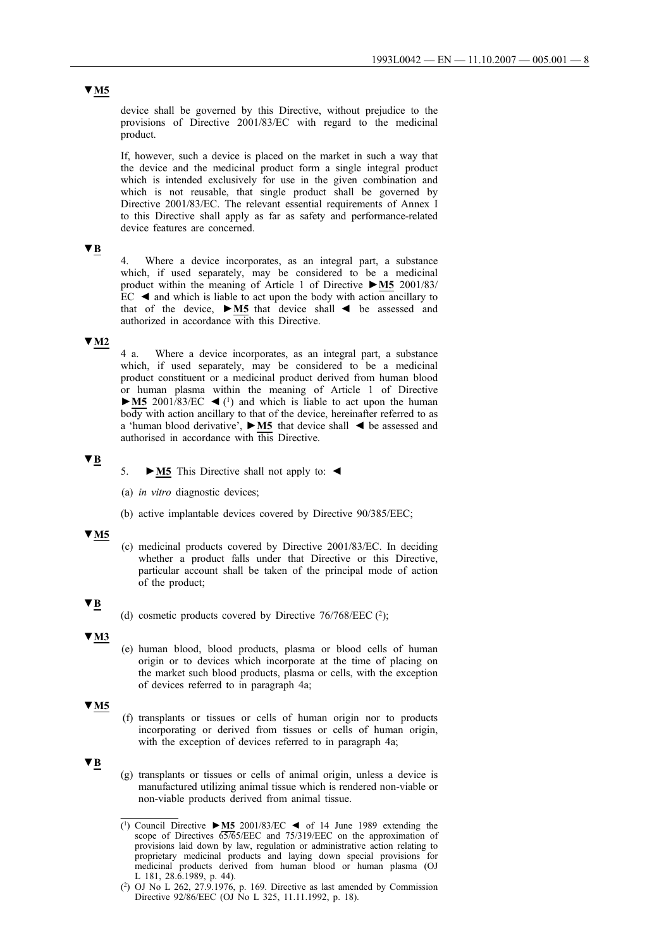device shall be governed by this Directive, without prejudice to the provisions of Directive 2001/83/EC with regard to the medicinal product.

If, however, such a device is placed on the market in such a way that the device and the medicinal product form a single integral product which is intended exclusively for use in the given combination and which is not reusable, that single product shall be governed by Directive 2001/83/EC. The relevant essential requirements of Annex I to this Directive shall apply as far as safety and performance-related device features are concerned.

## **▼B**

4. Where a device incorporates, as an integral part, a substance which, if used separately, may be considered to be a medicinal product within the meaning of Article 1 of Directive **►M5** 2001/83/  $EC \triangleleft$  and which is liable to act upon the body with action ancillary to that of the device, **►M5** that device shall ◄ be assessed and authorized in accordance with this Directive.

# **▼M2**

4 a. Where a device incorporates, as an integral part, a substance which, if used separately, may be considered to be a medicinal product constituent or a medicinal product derived from human blood or human plasma within the meaning of Article 1 of Directive  $\blacktriangleright$  **M5** 2001/83/EC  $\blacktriangleleft$  (<sup>1</sup>) and which is liable to act upon the human body with action ancillary to that of the device, hereinafter referred to as a 'human blood derivative', **►M5** that device shall ◄ be assessed and authorised in accordance with this Directive.

# **▼B**

- 5. **►M5** This Directive shall not apply to: ◄
- (a) *in vitro* diagnostic devices;
- (b) active implantable devices covered by Directive 90/385/EEC;

# **▼M5**

(c) medicinal products covered by Directive 2001/83/EC. In deciding whether a product falls under that Directive or this Directive, particular account shall be taken of the principal mode of action of the product;

## **▼B**

## **▼M3**

(e) human blood, blood products, plasma or blood cells of human origin or to devices which incorporate at the time of placing on the market such blood products, plasma or cells, with the exception of devices referred to in paragraph 4a;

# **▼M5**

(f) transplants or tissues or cells of human origin nor to products incorporating or derived from tissues or cells of human origin, with the exception of devices referred to in paragraph 4a;

# **▼B**

(g) transplants or tissues or cells of animal origin, unless a device is manufactured utilizing animal tissue which is rendered non-viable or non-viable products derived from animal tissue.

# **▼M5**

<sup>(</sup>d) cosmetic products covered by Directive  $76/768/EEC$  (2);

<sup>(1)</sup> Council Directive **►M5** 2001/83/EC ◄ of 14 June 1989 extending the scope of Directives  $\frac{65}{65}$ /EEC and 75/319/EEC on the approximation of provisions laid down by law, regulation or administrative action relating to proprietary medicinal products and laying down special provisions for medicinal products derived from human blood or human plasma (OJ L 181, 28.6.1989, p. 44).

<sup>(2)</sup> OJ No L 262, 27.9.1976, p. 169. Directive as last amended by Commission Directive 92/86/EEC (OJ No L 325, 11.11.1992, p. 18).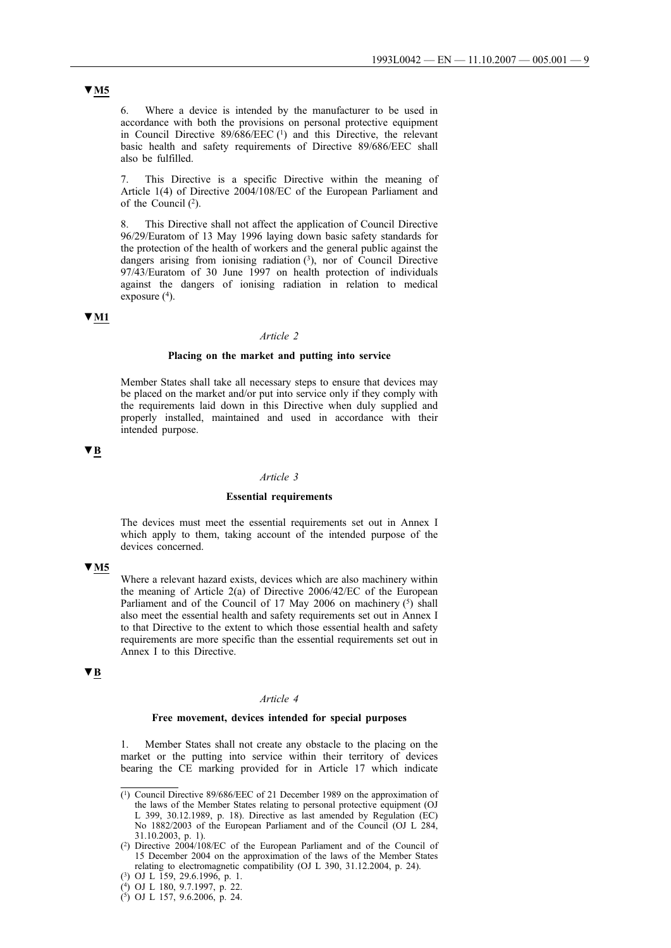# **▼M5**

6. Where a device is intended by the manufacturer to be used in accordance with both the provisions on personal protective equipment in Council Directive 89/686/EEC (1) and this Directive, the relevant basic health and safety requirements of Directive 89/686/EEC shall also be fulfilled.

7. This Directive is a specific Directive within the meaning of Article 1(4) of Directive 2004/108/EC of the European Parliament and of the Council (2).

8. This Directive shall not affect the application of Council Directive 96/29/Euratom of 13 May 1996 laying down basic safety standards for the protection of the health of workers and the general public against the dangers arising from ionising radiation (3), nor of Council Directive 97/43/Euratom of 30 June 1997 on health protection of individuals against the dangers of ionising radiation in relation to medical exposure  $(4)$ .

# **▼M1**

#### *Article 2*

## **Placing on the market and putting into service**

Member States shall take all necessary steps to ensure that devices may be placed on the market and/or put into service only if they comply with the requirements laid down in this Directive when duly supplied and properly installed, maintained and used in accordance with their intended purpose.

## **▼B**

#### *Article 3*

### **Essential requirements**

The devices must meet the essential requirements set out in Annex I which apply to them, taking account of the intended purpose of the devices concerned.

### **▼M5**

Where a relevant hazard exists, devices which are also machinery within the meaning of Article 2(a) of Directive 2006/42/EC of the European Parliament and of the Council of 17 May 2006 on machinery (5) shall also meet the essential health and safety requirements set out in Annex I to that Directive to the extent to which those essential health and safety requirements are more specific than the essential requirements set out in Annex I to this Directive.

# **▼B**

### *Article 4*

### **Free movement, devices intended for special purposes**

1. Member States shall not create any obstacle to the placing on the market or the putting into service within their territory of devices bearing the CE marking provided for in Article 17 which indicate

<sup>(1)</sup> Council Directive 89/686/EEC of 21 December 1989 on the approximation of the laws of the Member States relating to personal protective equipment (OJ L 399, 30.12.1989, p. 18). Directive as last amended by Regulation (EC) No 1882/2003 of the European Parliament and of the Council (OJ L 284, 31.10.2003, p. 1).

<sup>(2)</sup> Directive 2004/108/EC of the European Parliament and of the Council of 15 December 2004 on the approximation of the laws of the Member States relating to electromagnetic compatibility (OJ L 390, 31.12.2004, p. 24).

<sup>(3)</sup> OJ L 159, 29.6.1996, p. 1.

<sup>(4)</sup> OJ L 180, 9.7.1997, p. 22.

<sup>(5)</sup> OJ L 157, 9.6.2006, p. 24.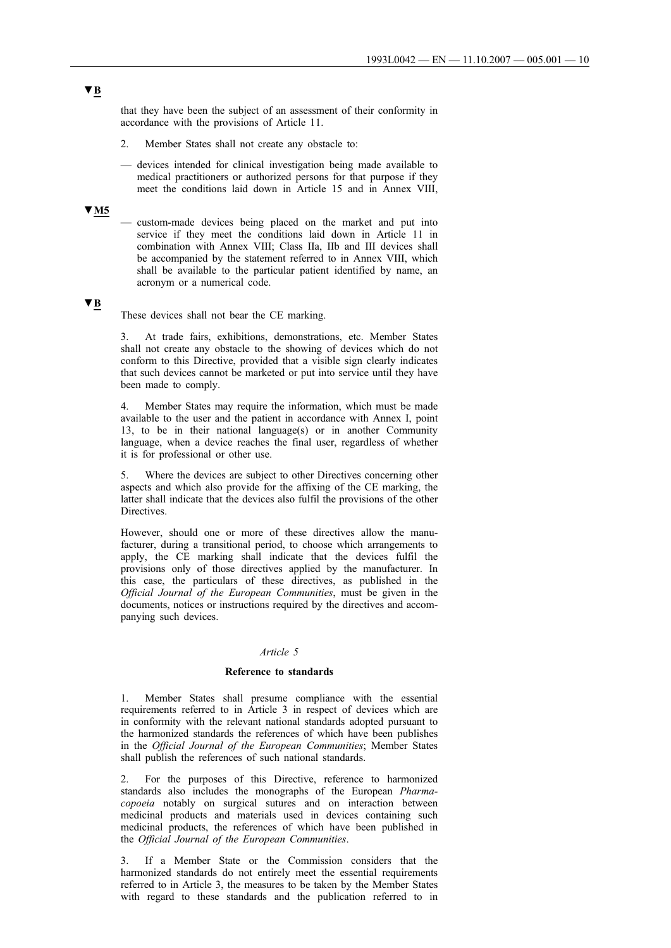that they have been the subject of an assessment of their conformity in accordance with the provisions of Article 11.

- 2. Member States shall not create any obstacle to:
- devices intended for clinical investigation being made available to medical practitioners or authorized persons for that purpose if they meet the conditions laid down in Article 15 and in Annex VIII,

# **▼M5**

— custom-made devices being placed on the market and put into service if they meet the conditions laid down in Article 11 in combination with Annex VIII; Class IIa, IIb and III devices shall be accompanied by the statement referred to in Annex VIII, which shall be available to the particular patient identified by name, an acronym or a numerical code.

# **▼B**

These devices shall not bear the CE marking.

3. At trade fairs, exhibitions, demonstrations, etc. Member States shall not create any obstacle to the showing of devices which do not conform to this Directive, provided that a visible sign clearly indicates that such devices cannot be marketed or put into service until they have been made to comply.

4. Member States may require the information, which must be made available to the user and the patient in accordance with Annex I, point 13, to be in their national language(s) or in another Community language, when a device reaches the final user, regardless of whether it is for professional or other use.

5. Where the devices are subject to other Directives concerning other aspects and which also provide for the affixing of the CE marking, the latter shall indicate that the devices also fulfil the provisions of the other Directives.

However, should one or more of these directives allow the manufacturer, during a transitional period, to choose which arrangements to apply, the CE marking shall indicate that the devices fulfil the provisions only of those directives applied by the manufacturer. In this case, the particulars of these directives, as published in the *Official Journal of the European Communities*, must be given in the documents, notices or instructions required by the directives and accompanying such devices.

#### *Article 5*

### **Reference to standards**

1. Member States shall presume compliance with the essential requirements referred to in Article 3 in respect of devices which are in conformity with the relevant national standards adopted pursuant to the harmonized standards the references of which have been publishes in the *Official Journal of the European Communities*; Member States shall publish the references of such national standards.

2. For the purposes of this Directive, reference to harmonized standards also includes the monographs of the European *Pharmacopoeia* notably on surgical sutures and on interaction between medicinal products and materials used in devices containing such medicinal products, the references of which have been published in the *Official Journal of the European Communities*.

3. If a Member State or the Commission considers that the harmonized standards do not entirely meet the essential requirements referred to in Article 3, the measures to be taken by the Member States with regard to these standards and the publication referred to in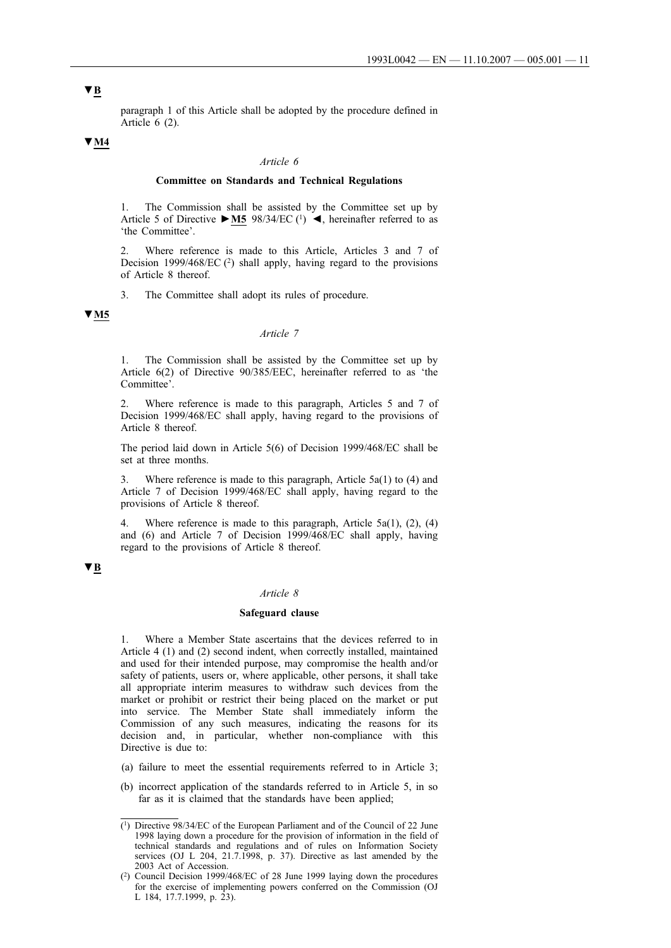paragraph 1 of this Article shall be adopted by the procedure defined in Article 6 (2).

# **▼M4**

#### *Article 6*

## **Committee on Standards and Technical Regulations**

1. The Commission shall be assisted by the Committee set up by Article 5 of Directive **►M5** 98/34/EC (1) ◄, hereinafter referred to as 'the Committee'.

2. Where reference is made to this Article, Articles 3 and 7 of Decision 1999/468/EC (2) shall apply, having regard to the provisions of Article 8 thereof.

3. The Committee shall adopt its rules of procedure.

## **▼M5**

## *Article 7*

1. The Commission shall be assisted by the Committee set up by Article 6(2) of Directive 90/385/EEC, hereinafter referred to as 'the Committee'.

Where reference is made to this paragraph, Articles 5 and 7 of Decision 1999/468/EC shall apply, having regard to the provisions of Article 8 thereof.

The period laid down in Article 5(6) of Decision 1999/468/EC shall be set at three months.

Where reference is made to this paragraph, Article  $5a(1)$  to (4) and Article 7 of Decision 1999/468/EC shall apply, having regard to the provisions of Article 8 thereof.

4. Where reference is made to this paragraph, Article 5a(1), (2), (4) and (6) and Article 7 of Decision 1999/468/EC shall apply, having regard to the provisions of Article 8 thereof.

## **▼B**

#### *Article 8*

### **Safeguard clause**

1. Where a Member State ascertains that the devices referred to in Article 4 (1) and (2) second indent, when correctly installed, maintained and used for their intended purpose, may compromise the health and/or safety of patients, users or, where applicable, other persons, it shall take all appropriate interim measures to withdraw such devices from the market or prohibit or restrict their being placed on the market or put into service. The Member State shall immediately inform the Commission of any such measures, indicating the reasons for its decision and, in particular, whether non-compliance with this Directive is due to:

- (a) failure to meet the essential requirements referred to in Article 3;
- (b) incorrect application of the standards referred to in Article 5, in so far as it is claimed that the standards have been applied;

<sup>(1)</sup> Directive 98/34/EC of the European Parliament and of the Council of 22 June 1998 laying down a procedure for the provision of information in the field of technical standards and regulations and of rules on Information Society services (OJ L 204, 21.7.1998, p. 37). Directive as last amended by the 2003 Act of Accession.

<sup>(2)</sup> Council Decision 1999/468/EC of 28 June 1999 laying down the procedures for the exercise of implementing powers conferred on the Commission (OJ L 184, 17.7.1999, p. 23).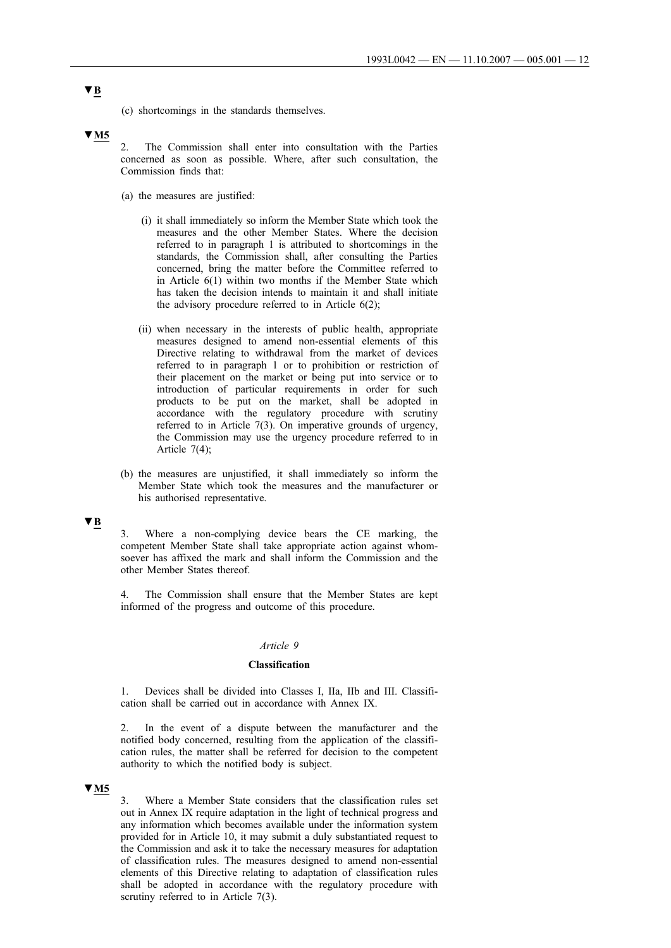- (c) shortcomings in the standards themselves.
- **▼M5**

2. The Commission shall enter into consultation with the Parties concerned as soon as possible. Where, after such consultation, the Commission finds that:

- (a) the measures are justified:
	- (i) it shall immediately so inform the Member State which took the measures and the other Member States. Where the decision referred to in paragraph 1 is attributed to shortcomings in the standards, the Commission shall, after consulting the Parties concerned, bring the matter before the Committee referred to in Article 6(1) within two months if the Member State which has taken the decision intends to maintain it and shall initiate the advisory procedure referred to in Article 6(2);
	- (ii) when necessary in the interests of public health, appropriate measures designed to amend non-essential elements of this Directive relating to withdrawal from the market of devices referred to in paragraph 1 or to prohibition or restriction of their placement on the market or being put into service or to introduction of particular requirements in order for such products to be put on the market, shall be adopted in accordance with the regulatory procedure with scrutiny referred to in Article 7(3). On imperative grounds of urgency, the Commission may use the urgency procedure referred to in Article 7(4);
- (b) the measures are unjustified, it shall immediately so inform the Member State which took the measures and the manufacturer or his authorised representative.

# **▼B**

Where a non-complying device bears the CE marking, the competent Member State shall take appropriate action against whomsoever has affixed the mark and shall inform the Commission and the other Member States thereof.

4. The Commission shall ensure that the Member States are kept informed of the progress and outcome of this procedure.

### *Article 9*

## **Classification**

1. Devices shall be divided into Classes I, IIa, IIb and III. Classification shall be carried out in accordance with Annex IX.

2. In the event of a dispute between the manufacturer and the notified body concerned, resulting from the application of the classification rules, the matter shall be referred for decision to the competent authority to which the notified body is subject.

## **▼M5**

3. Where a Member State considers that the classification rules set out in Annex IX require adaptation in the light of technical progress and any information which becomes available under the information system provided for in Article 10, it may submit a duly substantiated request to the Commission and ask it to take the necessary measures for adaptation of classification rules. The measures designed to amend non-essential elements of this Directive relating to adaptation of classification rules shall be adopted in accordance with the regulatory procedure with scrutiny referred to in Article 7(3).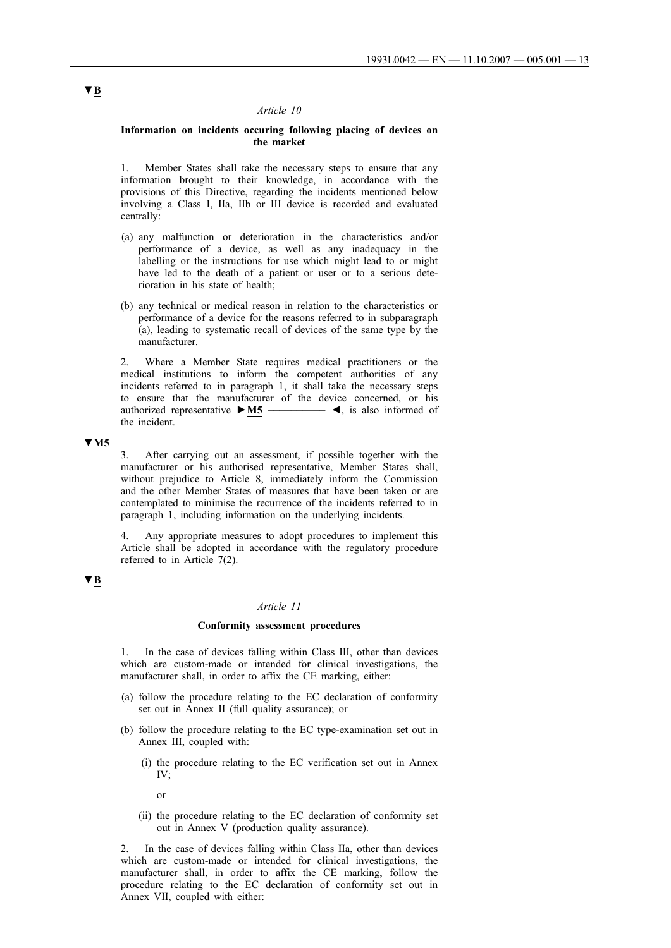### *Article 10*

### **Information on incidents occuring following placing of devices on the market**

1. Member States shall take the necessary steps to ensure that any information brought to their knowledge, in accordance with the provisions of this Directive, regarding the incidents mentioned below involving a Class I, IIa, IIb or III device is recorded and evaluated centrally:

- (a) any malfunction or deterioration in the characteristics and/or performance of a device, as well as any inadequacy in the labelling or the instructions for use which might lead to or might have led to the death of a patient or user or to a serious deterioration in his state of health;
- (b) any technical or medical reason in relation to the characteristics or performance of a device for the reasons referred to in subparagraph (a), leading to systematic recall of devices of the same type by the manufacturer.

2. Where a Member State requires medical practitioners or the medical institutions to inform the competent authorities of any incidents referred to in paragraph 1, it shall take the necessary steps to ensure that the manufacturer of the device concerned, or his authorized representative **►M5** \_\_\_\_\_\_\_\_\_\_ ◄, is also informed of the incident.

# **▼M5**

3. After carrying out an assessment, if possible together with the manufacturer or his authorised representative, Member States shall, without prejudice to Article 8, immediately inform the Commission and the other Member States of measures that have been taken or are contemplated to minimise the recurrence of the incidents referred to in paragraph 1, including information on the underlying incidents.

4. Any appropriate measures to adopt procedures to implement this Article shall be adopted in accordance with the regulatory procedure referred to in Article 7(2).

## **▼B**

### *Article 11*

### **Conformity assessment procedures**

1. In the case of devices falling within Class III, other than devices which are custom-made or intended for clinical investigations, the manufacturer shall, in order to affix the CE marking, either:

- (a) follow the procedure relating to the EC declaration of conformity set out in Annex II (full quality assurance); or
- (b) follow the procedure relating to the EC type-examination set out in Annex III, coupled with:
	- (i) the procedure relating to the EC verification set out in Annex IV;

or

(ii) the procedure relating to the EC declaration of conformity set out in Annex V (production quality assurance).

2. In the case of devices falling within Class IIa, other than devices which are custom-made or intended for clinical investigations, the manufacturer shall, in order to affix the CE marking, follow the procedure relating to the EC declaration of conformity set out in Annex VII, coupled with either: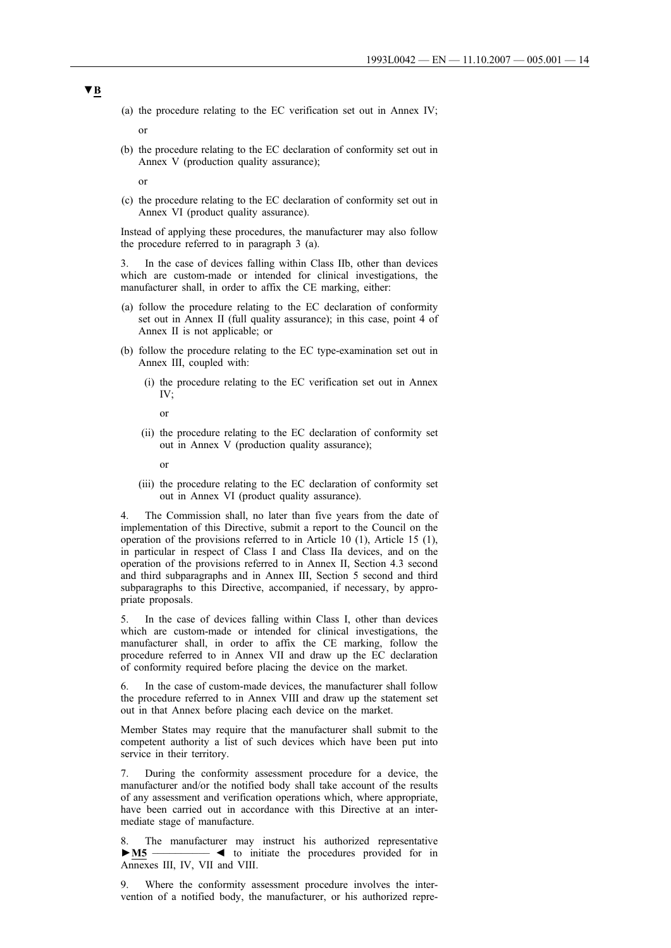(a) the procedure relating to the EC verification set out in Annex IV;

or

(b) the procedure relating to the EC declaration of conformity set out in Annex V (production quality assurance);

or

(c) the procedure relating to the EC declaration of conformity set out in Annex VI (product quality assurance).

Instead of applying these procedures, the manufacturer may also follow the procedure referred to in paragraph 3 (a).

3. In the case of devices falling within Class IIb, other than devices which are custom-made or intended for clinical investigations, the manufacturer shall, in order to affix the CE marking, either:

- (a) follow the procedure relating to the EC declaration of conformity set out in Annex II (full quality assurance); in this case, point 4 of Annex II is not applicable; or
- (b) follow the procedure relating to the EC type-examination set out in Annex III, coupled with:
	- (i) the procedure relating to the EC verification set out in Annex IV;

or

(ii) the procedure relating to the EC declaration of conformity set out in Annex V (production quality assurance);

or

(iii) the procedure relating to the EC declaration of conformity set out in Annex VI (product quality assurance).

4. The Commission shall, no later than five years from the date of implementation of this Directive, submit a report to the Council on the operation of the provisions referred to in Article 10 (1), Article 15 (1), in particular in respect of Class I and Class IIa devices, and on the operation of the provisions referred to in Annex II, Section 4.3 second and third subparagraphs and in Annex III, Section 5 second and third subparagraphs to this Directive, accompanied, if necessary, by appropriate proposals.

5. In the case of devices falling within Class I, other than devices which are custom-made or intended for clinical investigations, the manufacturer shall, in order to affix the CE marking, follow the procedure referred to in Annex VII and draw up the EC declaration of conformity required before placing the device on the market.

6. In the case of custom-made devices, the manufacturer shall follow the procedure referred to in Annex VIII and draw up the statement set out in that Annex before placing each device on the market.

Member States may require that the manufacturer shall submit to the competent authority a list of such devices which have been put into service in their territory.

7. During the conformity assessment procedure for a device, the manufacturer and/or the notified body shall take account of the results of any assessment and verification operations which, where appropriate, have been carried out in accordance with this Directive at an intermediate stage of manufacture.

8. The manufacturer may instruct his authorized representative **►M5** \_\_\_\_\_\_\_\_\_\_ ◄ to initiate the procedures provided for in Annexes III, IV, VII and VIII.

9. Where the conformity assessment procedure involves the intervention of a notified body, the manufacturer, or his authorized repre-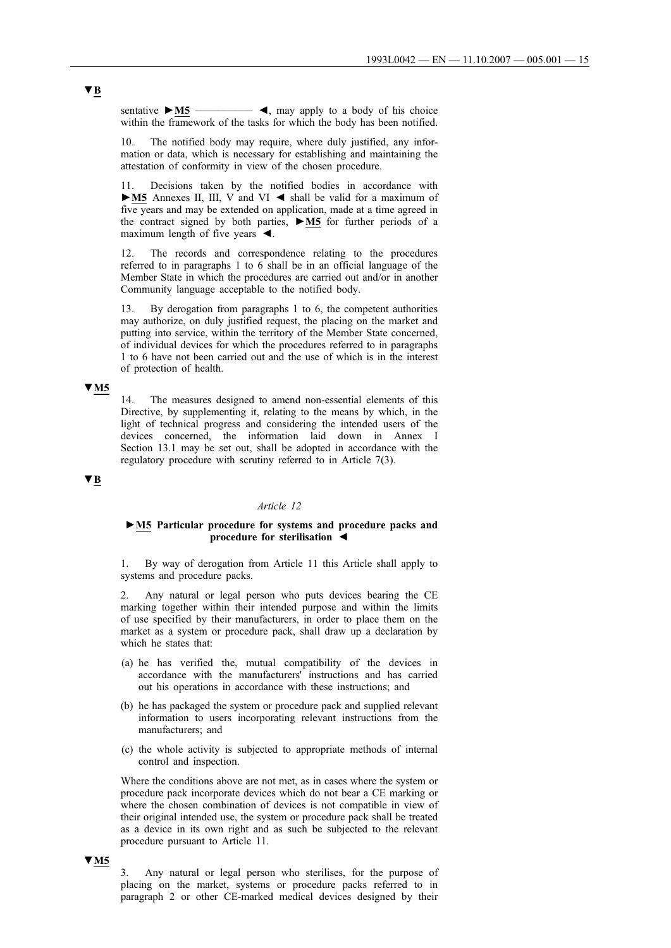sentative  $\triangleright$  **M5**  $\longrightarrow$   $\blacktriangleleft$ , may apply to a body of his choice within the framework of the tasks for which the body has been notified.

10. The notified body may require, where duly justified, any information or data, which is necessary for establishing and maintaining the attestation of conformity in view of the chosen procedure.

11. Decisions taken by the notified bodies in accordance with **►M5** Annexes II, III, V and VI ◄ shall be valid for a maximum of five years and may be extended on application, made at a time agreed in the contract signed by both parties, **►M5** for further periods of a maximum length of five years ◄.

12. The records and correspondence relating to the procedures referred to in paragraphs 1 to 6 shall be in an official language of the Member State in which the procedures are carried out and/or in another Community language acceptable to the notified body.

13. By derogation from paragraphs 1 to 6, the competent authorities may authorize, on duly justified request, the placing on the market and putting into service, within the territory of the Member State concerned, of individual devices for which the procedures referred to in paragraphs 1 to 6 have not been carried out and the use of which is in the interest of protection of health.

### **▼M5**

14. The measures designed to amend non-essential elements of this Directive, by supplementing it, relating to the means by which, in the light of technical progress and considering the intended users of the devices concerned, the information laid down in Annex I Section 13.1 may be set out, shall be adopted in accordance with the regulatory procedure with scrutiny referred to in Article 7(3).

## **▼B**

#### *Article 12*

## **►M5 Particular procedure for systems and procedure packs and procedure for sterilisation ◄**

1. By way of derogation from Article 11 this Article shall apply to systems and procedure packs.

2. Any natural or legal person who puts devices bearing the CE marking together within their intended purpose and within the limits of use specified by their manufacturers, in order to place them on the market as a system or procedure pack, shall draw up a declaration by which he states that:

- (a) he has verified the, mutual compatibility of the devices in accordance with the manufacturers' instructions and has carried out his operations in accordance with these instructions; and
- (b) he has packaged the system or procedure pack and supplied relevant information to users incorporating relevant instructions from the manufacturers; and
- (c) the whole activity is subjected to appropriate methods of internal control and inspection.

Where the conditions above are not met, as in cases where the system or procedure pack incorporate devices which do not bear a CE marking or where the chosen combination of devices is not compatible in view of their original intended use, the system or procedure pack shall be treated as a device in its own right and as such be subjected to the relevant procedure pursuant to Article 11.

## **▼M5**

3. Any natural or legal person who sterilises, for the purpose of placing on the market, systems or procedure packs referred to in paragraph 2 or other CE-marked medical devices designed by their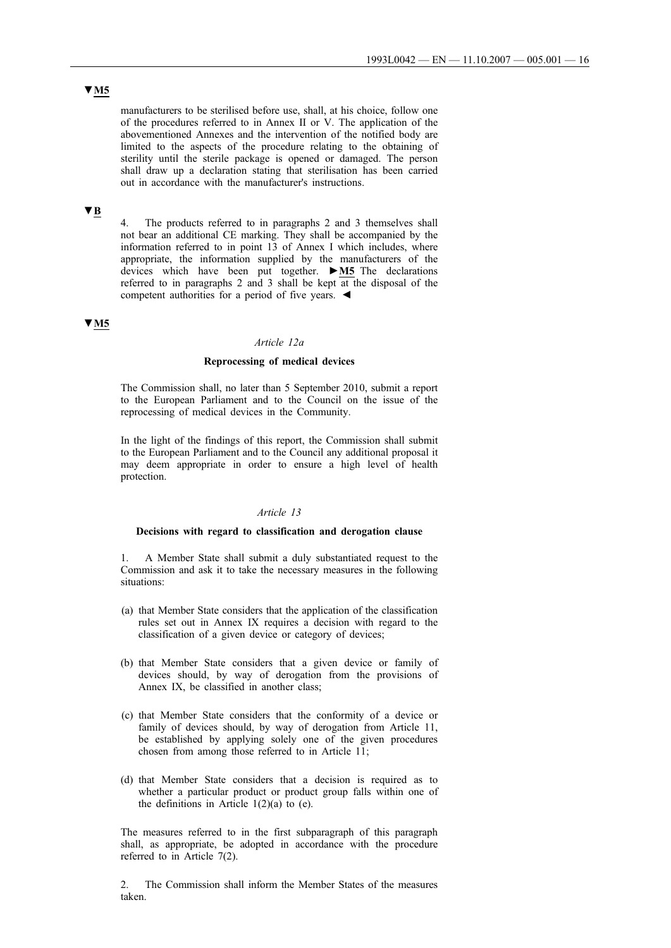# **▼M5**

manufacturers to be sterilised before use, shall, at his choice, follow one of the procedures referred to in Annex II or V. The application of the abovementioned Annexes and the intervention of the notified body are limited to the aspects of the procedure relating to the obtaining of sterility until the sterile package is opened or damaged. The person shall draw up a declaration stating that sterilisation has been carried out in accordance with the manufacturer's instructions.

# **▼B**

4. The products referred to in paragraphs 2 and 3 themselves shall not bear an additional CE marking. They shall be accompanied by the information referred to in point 13 of Annex I which includes, where appropriate, the information supplied by the manufacturers of the devices which have been put together. **►M5** The declarations referred to in paragraphs 2 and 3 shall be kept at the disposal of the competent authorities for a period of five years. ◄

# **▼M5**

# *Article 12a*

## **Reprocessing of medical devices**

The Commission shall, no later than 5 September 2010, submit a report to the European Parliament and to the Council on the issue of the reprocessing of medical devices in the Community.

In the light of the findings of this report, the Commission shall submit to the European Parliament and to the Council any additional proposal it may deem appropriate in order to ensure a high level of health protection.

## *Article 13*

## **Decisions with regard to classification and derogation clause**

1. A Member State shall submit a duly substantiated request to the Commission and ask it to take the necessary measures in the following situations:

- (a) that Member State considers that the application of the classification rules set out in Annex IX requires a decision with regard to the classification of a given device or category of devices;
- (b) that Member State considers that a given device or family of devices should, by way of derogation from the provisions of Annex IX, be classified in another class;
- (c) that Member State considers that the conformity of a device or family of devices should, by way of derogation from Article 11, be established by applying solely one of the given procedures chosen from among those referred to in Article 11;
- (d) that Member State considers that a decision is required as to whether a particular product or product group falls within one of the definitions in Article  $1(2)(a)$  to (e).

The measures referred to in the first subparagraph of this paragraph shall, as appropriate, be adopted in accordance with the procedure referred to in Article 7(2).

2. The Commission shall inform the Member States of the measures taken.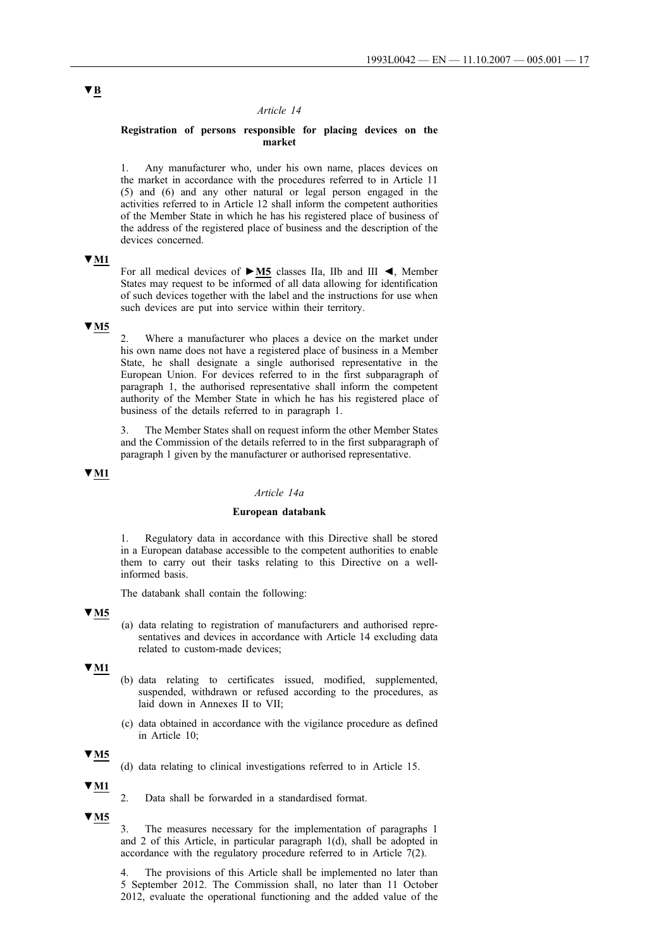### *Article 14*

### **Registration of persons responsible for placing devices on the market**

1. Any manufacturer who, under his own name, places devices on the market in accordance with the procedures referred to in Article 11 (5) and (6) and any other natural or legal person engaged in the activities referred to in Article 12 shall inform the competent authorities of the Member State in which he has his registered place of business of the address of the registered place of business and the description of the devices concerned.

### **▼M1**

For all medical devices of **►M5** classes IIa, IIb and III ◄, Member States may request to be informed of all data allowing for identification of such devices together with the label and the instructions for use when such devices are put into service within their territory.

# **▼M5**

2. Where a manufacturer who places a device on the market under his own name does not have a registered place of business in a Member State, he shall designate a single authorised representative in the European Union. For devices referred to in the first subparagraph of paragraph 1, the authorised representative shall inform the competent authority of the Member State in which he has his registered place of business of the details referred to in paragraph 1.

3. The Member States shall on request inform the other Member States and the Commission of the details referred to in the first subparagraph of paragraph 1 given by the manufacturer or authorised representative.

# **▼M1**

### *Article 14a*

## **European databank**

1. Regulatory data in accordance with this Directive shall be stored in a European database accessible to the competent authorities to enable them to carry out their tasks relating to this Directive on a wellinformed basis.

The databank shall contain the following:

### **▼M5**

(a) data relating to registration of manufacturers and authorised representatives and devices in accordance with Article 14 excluding data related to custom-made devices;

### **▼M1**

- (b) data relating to certificates issued, modified, supplemented, suspended, withdrawn or refused according to the procedures, as laid down in Annexes II to VII;
- (c) data obtained in accordance with the vigilance procedure as defined in Article 10;

# **▼M5**

(d) data relating to clinical investigations referred to in Article 15.

## **▼M1**

2. Data shall be forwarded in a standardised format.

# **▼M5**

3. The measures necessary for the implementation of paragraphs 1 and 2 of this Article, in particular paragraph 1(d), shall be adopted in accordance with the regulatory procedure referred to in Article 7(2).

4. The provisions of this Article shall be implemented no later than 5 September 2012. The Commission shall, no later than 11 October 2012, evaluate the operational functioning and the added value of the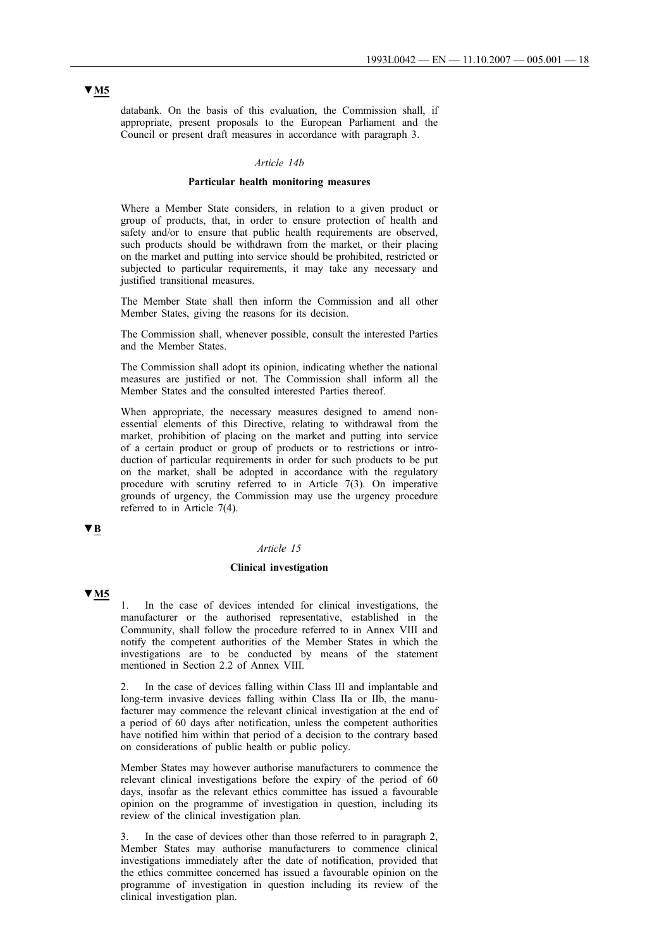databank. On the basis of this evaluation, the Commission shall, if appropriate, present proposals to the European Parliament and the Council or present draft measures in accordance with paragraph 3.

### *Article 14b*

#### **Particular health monitoring measures**

Where a Member State considers, in relation to a given product or group of products, that, in order to ensure protection of health and safety and/or to ensure that public health requirements are observed, such products should be withdrawn from the market, or their placing on the market and putting into service should be prohibited, restricted or subjected to particular requirements, it may take any necessary and justified transitional measures.

The Member State shall then inform the Commission and all other Member States, giving the reasons for its decision.

The Commission shall, whenever possible, consult the interested Parties and the Member States.

The Commission shall adopt its opinion, indicating whether the national measures are justified or not. The Commission shall inform all the Member States and the consulted interested Parties thereof.

When appropriate, the necessary measures designed to amend nonessential elements of this Directive, relating to withdrawal from the market, prohibition of placing on the market and putting into service of a certain product or group of products or to restrictions or introduction of particular requirements in order for such products to be put on the market, shall be adopted in accordance with the regulatory procedure with scrutiny referred to in Article 7(3). On imperative grounds of urgency, the Commission may use the urgency procedure referred to in Article 7(4).

## **▼B**

### *Article 15*

### **Clinical investigation**

## **▼M5**

1. In the case of devices intended for clinical investigations, the manufacturer or the authorised representative, established in the Community, shall follow the procedure referred to in Annex VIII and notify the competent authorities of the Member States in which the investigations are to be conducted by means of the statement mentioned in Section 2.2 of Annex VIII.

2. In the case of devices falling within Class III and implantable and long-term invasive devices falling within Class IIa or IIb, the manufacturer may commence the relevant clinical investigation at the end of a period of 60 days after notification, unless the competent authorities have notified him within that period of a decision to the contrary based on considerations of public health or public policy.

Member States may however authorise manufacturers to commence the relevant clinical investigations before the expiry of the period of 60 days, insofar as the relevant ethics committee has issued a favourable opinion on the programme of investigation in question, including its review of the clinical investigation plan.

3. In the case of devices other than those referred to in paragraph 2, Member States may authorise manufacturers to commence clinical investigations immediately after the date of notification, provided that the ethics committee concerned has issued a favourable opinion on the programme of investigation in question including its review of the clinical investigation plan.

# **▼M5**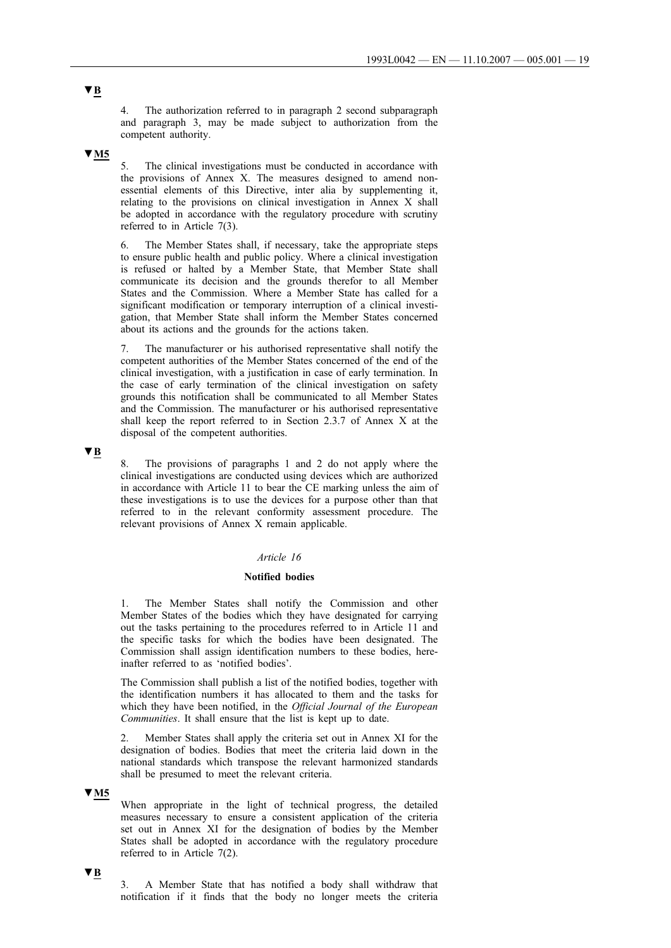4. The authorization referred to in paragraph 2 second subparagraph and paragraph 3, may be made subject to authorization from the competent authority.

## **▼M5**

5. The clinical investigations must be conducted in accordance with the provisions of Annex X. The measures designed to amend nonessential elements of this Directive, inter alia by supplementing it, relating to the provisions on clinical investigation in Annex X shall be adopted in accordance with the regulatory procedure with scrutiny referred to in Article 7(3).

6. The Member States shall, if necessary, take the appropriate steps to ensure public health and public policy. Where a clinical investigation is refused or halted by a Member State, that Member State shall communicate its decision and the grounds therefor to all Member States and the Commission. Where a Member State has called for a significant modification or temporary interruption of a clinical investigation, that Member State shall inform the Member States concerned about its actions and the grounds for the actions taken.

7. The manufacturer or his authorised representative shall notify the competent authorities of the Member States concerned of the end of the clinical investigation, with a justification in case of early termination. In the case of early termination of the clinical investigation on safety grounds this notification shall be communicated to all Member States and the Commission. The manufacturer or his authorised representative shall keep the report referred to in Section 2.3.7 of Annex X at the disposal of the competent authorities.

# **▼B**

8. The provisions of paragraphs 1 and 2 do not apply where the clinical investigations are conducted using devices which are authorized in accordance with Article 11 to bear the CE marking unless the aim of these investigations is to use the devices for a purpose other than that referred to in the relevant conformity assessment procedure. The relevant provisions of Annex X remain applicable.

### *Article 16*

### **Notified bodies**

The Member States shall notify the Commission and other Member States of the bodies which they have designated for carrying out the tasks pertaining to the procedures referred to in Article 11 and the specific tasks for which the bodies have been designated. The Commission shall assign identification numbers to these bodies, hereinafter referred to as 'notified bodies'.

The Commission shall publish a list of the notified bodies, together with the identification numbers it has allocated to them and the tasks for which they have been notified, in the *Official Journal of the European Communities*. It shall ensure that the list is kept up to date.

Member States shall apply the criteria set out in Annex XI for the designation of bodies. Bodies that meet the criteria laid down in the national standards which transpose the relevant harmonized standards shall be presumed to meet the relevant criteria.

# **▼M5**

When appropriate in the light of technical progress, the detailed measures necessary to ensure a consistent application of the criteria set out in Annex XI for the designation of bodies by the Member States shall be adopted in accordance with the regulatory procedure referred to in Article 7(2).

### **▼B**

3. A Member State that has notified a body shall withdraw that notification if it finds that the body no longer meets the criteria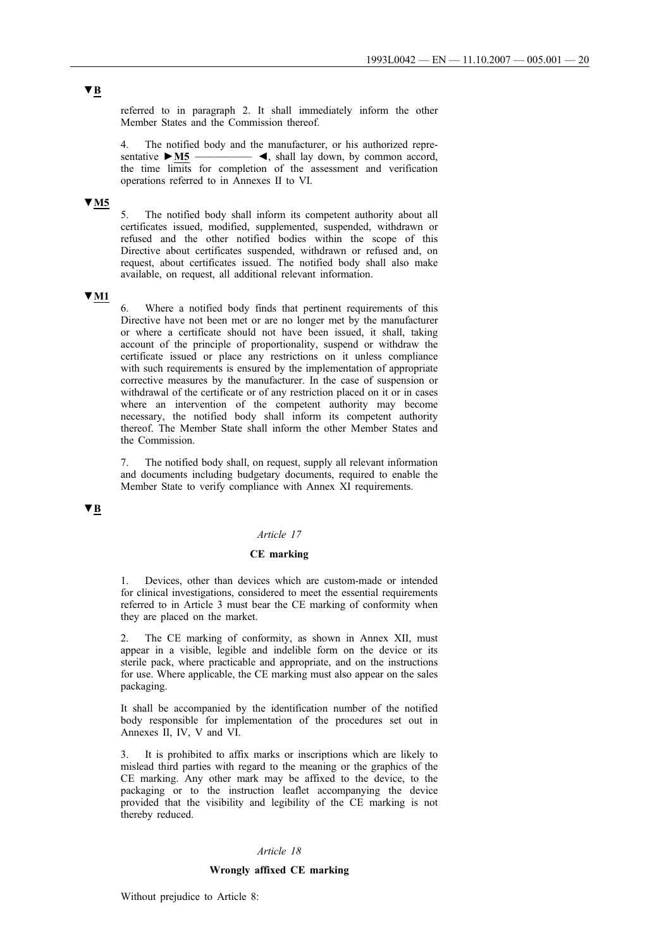referred to in paragraph 2. It shall immediately inform the other Member States and the Commission thereof.

4. The notified body and the manufacturer, or his authorized representative ► **M5** \_\_\_\_\_\_\_ ←, shall lay down, by common accord, the time limits for completion of the assessment and verification operations referred to in Annexes II to VI.

# **▼M5**

5. The notified body shall inform its competent authority about all certificates issued, modified, supplemented, suspended, withdrawn or refused and the other notified bodies within the scope of this Directive about certificates suspended, withdrawn or refused and, on request, about certificates issued. The notified body shall also make available, on request, all additional relevant information.

## **▼M1**

6. Where a notified body finds that pertinent requirements of this Directive have not been met or are no longer met by the manufacturer or where a certificate should not have been issued, it shall, taking account of the principle of proportionality, suspend or withdraw the certificate issued or place any restrictions on it unless compliance with such requirements is ensured by the implementation of appropriate corrective measures by the manufacturer. In the case of suspension or withdrawal of the certificate or of any restriction placed on it or in cases where an intervention of the competent authority may become necessary, the notified body shall inform its competent authority thereof. The Member State shall inform the other Member States and the Commission.

7. The notified body shall, on request, supply all relevant information and documents including budgetary documents, required to enable the Member State to verify compliance with Annex XI requirements.

## **▼B**

## *Article 17*

## **CE marking**

1. Devices, other than devices which are custom-made or intended for clinical investigations, considered to meet the essential requirements referred to in Article 3 must bear the CE marking of conformity when they are placed on the market.

2. The CE marking of conformity, as shown in Annex XII, must appear in a visible, legible and indelible form on the device or its sterile pack, where practicable and appropriate, and on the instructions for use. Where applicable, the CE marking must also appear on the sales packaging.

It shall be accompanied by the identification number of the notified body responsible for implementation of the procedures set out in Annexes II, IV, V and VI.

3. It is prohibited to affix marks or inscriptions which are likely to mislead third parties with regard to the meaning or the graphics of the CE marking. Any other mark may be affixed to the device, to the packaging or to the instruction leaflet accompanying the device provided that the visibility and legibility of the CE marking is not thereby reduced.

### *Article 18*

## **Wrongly affixed CE marking**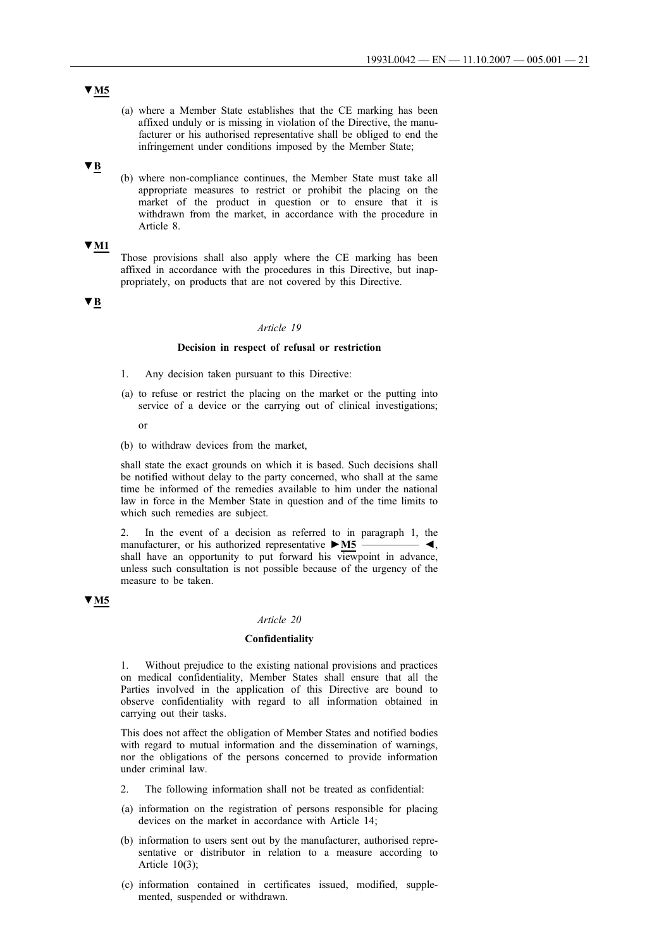(a) where a Member State establishes that the CE marking has been affixed unduly or is missing in violation of the Directive, the manufacturer or his authorised representative shall be obliged to end the infringement under conditions imposed by the Member State;

# **▼B**

(b) where non-compliance continues, the Member State must take all appropriate measures to restrict or prohibit the placing on the market of the product in question or to ensure that it is withdrawn from the market, in accordance with the procedure in Article 8.

# **▼M1**

Those provisions shall also apply where the CE marking has been affixed in accordance with the procedures in this Directive, but inappropriately, on products that are not covered by this Directive.

# **▼B**

### *Article 19*

## **Decision in respect of refusal or restriction**

- 1. Any decision taken pursuant to this Directive:
- (a) to refuse or restrict the placing on the market or the putting into service of a device or the carrying out of clinical investigations;

or

(b) to withdraw devices from the market,

shall state the exact grounds on which it is based. Such decisions shall be notified without delay to the party concerned, who shall at the same time be informed of the remedies available to him under the national law in force in the Member State in question and of the time limits to which such remedies are subject.

2. In the event of a decision as referred to in paragraph 1, the manufacturer, or his authorized representative **►M5** \_\_\_\_\_\_\_\_\_\_ ◄, shall have an opportunity to put forward his viewpoint in advance, unless such consultation is not possible because of the urgency of the measure to be taken.

# **▼M5**

### *Article 20*

### **Confidentiality**

1. Without prejudice to the existing national provisions and practices on medical confidentiality, Member States shall ensure that all the Parties involved in the application of this Directive are bound to observe confidentiality with regard to all information obtained in carrying out their tasks.

This does not affect the obligation of Member States and notified bodies with regard to mutual information and the dissemination of warnings, nor the obligations of the persons concerned to provide information under criminal law.

- 2. The following information shall not be treated as confidential:
- (a) information on the registration of persons responsible for placing devices on the market in accordance with Article 14;
- (b) information to users sent out by the manufacturer, authorised representative or distributor in relation to a measure according to Article  $10(3)$ ;
- (c) information contained in certificates issued, modified, supplemented, suspended or withdrawn.

# **▼M5**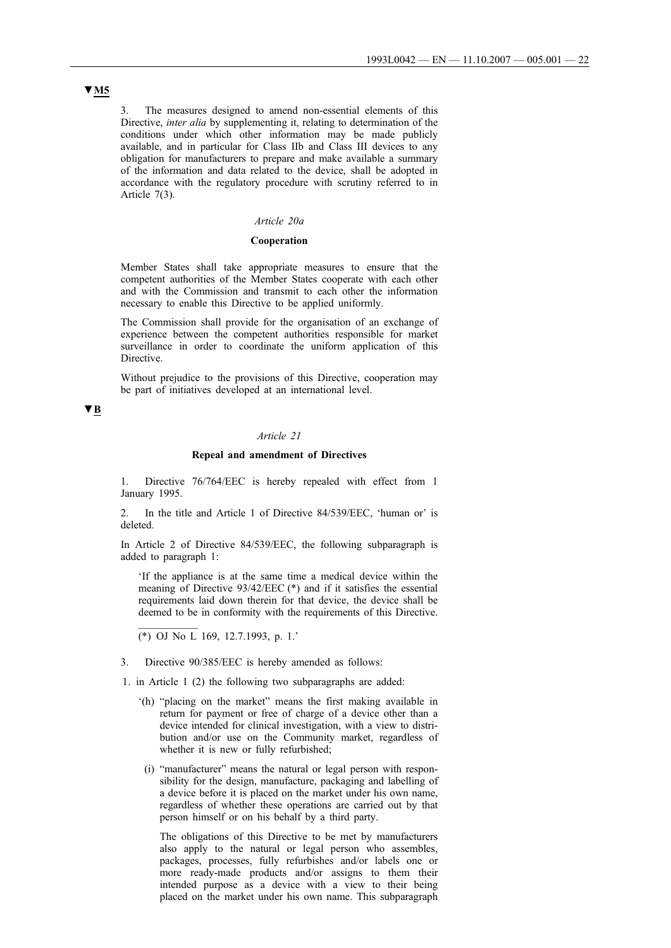3. The measures designed to amend non-essential elements of this Directive, *inter alia* by supplementing it, relating to determination of the conditions under which other information may be made publicly available, and in particular for Class IIb and Class III devices to any obligation for manufacturers to prepare and make available a summary of the information and data related to the device, shall be adopted in accordance with the regulatory procedure with scrutiny referred to in Article 7(3).

## *Article 20a*

## **Cooperation**

Member States shall take appropriate measures to ensure that the competent authorities of the Member States cooperate with each other and with the Commission and transmit to each other the information necessary to enable this Directive to be applied uniformly.

The Commission shall provide for the organisation of an exchange of experience between the competent authorities responsible for market surveillance in order to coordinate the uniform application of this **Directive** 

Without prejudice to the provisions of this Directive, cooperation may be part of initiatives developed at an international level.

**▼B**

### *Article 21*

### **Repeal and amendment of Directives**

1. Directive 76/764/EEC is hereby repealed with effect from 1 January 1995.

2. In the title and Article 1 of Directive 84/539/EEC, 'human or' is deleted.

In Article 2 of Directive 84/539/EEC, the following subparagraph is added to paragraph 1:

'If the appliance is at the same time a medical device within the meaning of Directive 93/42/EEC (\*) and if it satisfies the essential requirements laid down therein for that device, the device shall be deemed to be in conformity with the requirements of this Directive.

(\*) OJ No L 169, 12.7.1993, p. 1.'

 $\overline{\phantom{a}}$ 

3. Directive 90/385/EEC is hereby amended as follows:

1. in Article 1 (2) the following two subparagraphs are added:

- '(h) "placing on the market" means the first making available in return for payment or free of charge of a device other than a device intended for clinical investigation, with a view to distribution and/or use on the Community market, regardless of whether it is new or fully refurbished;
- (i) "manufacturer" means the natural or legal person with responsibility for the design, manufacture, packaging and labelling of a device before it is placed on the market under his own name, regardless of whether these operations are carried out by that person himself or on his behalf by a third party.

The obligations of this Directive to be met by manufacturers also apply to the natural or legal person who assembles, packages, processes, fully refurbishes and/or labels one or more ready-made products and/or assigns to them their intended purpose as a device with a view to their being placed on the market under his own name. This subparagraph

# **▼M5**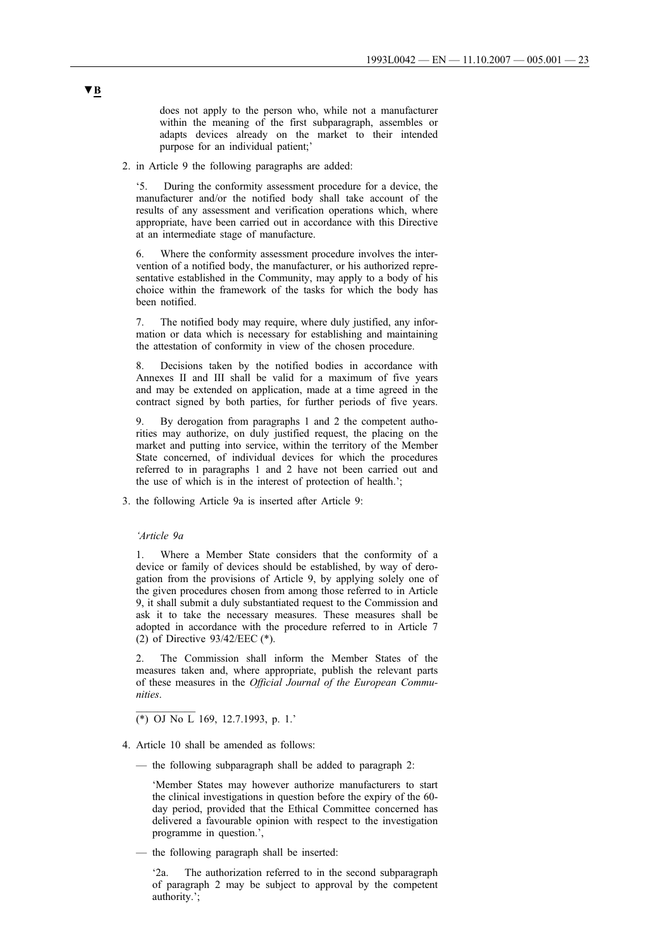does not apply to the person who, while not a manufacturer within the meaning of the first subparagraph, assembles or adapts devices already on the market to their intended purpose for an individual patient;'

2. in Article 9 the following paragraphs are added:

'5. During the conformity assessment procedure for a device, the manufacturer and/or the notified body shall take account of the results of any assessment and verification operations which, where appropriate, have been carried out in accordance with this Directive at an intermediate stage of manufacture.

6. Where the conformity assessment procedure involves the intervention of a notified body, the manufacturer, or his authorized representative established in the Community, may apply to a body of his choice within the framework of the tasks for which the body has been notified.

7. The notified body may require, where duly justified, any information or data which is necessary for establishing and maintaining the attestation of conformity in view of the chosen procedure.

8. Decisions taken by the notified bodies in accordance with Annexes II and III shall be valid for a maximum of five years and may be extended on application, made at a time agreed in the contract signed by both parties, for further periods of five years.

9. By derogation from paragraphs 1 and 2 the competent authorities may authorize, on duly justified request, the placing on the market and putting into service, within the territory of the Member State concerned, of individual devices for which the procedures referred to in paragraphs 1 and 2 have not been carried out and the use of which is in the interest of protection of health.';

3. the following Article 9a is inserted after Article 9:

## *'Article 9a*

 $\frac{1}{2}$ 

1. Where a Member State considers that the conformity of a device or family of devices should be established, by way of derogation from the provisions of Article 9, by applying solely one of the given procedures chosen from among those referred to in Article 9, it shall submit a duly substantiated request to the Commission and ask it to take the necessary measures. These measures shall be adopted in accordance with the procedure referred to in Article 7 (2) of Directive 93/42/EEC (\*).

2. The Commission shall inform the Member States of the measures taken and, where appropriate, publish the relevant parts of these measures in the *Official Journal of the European Communities*.

(\*) OJ No L 169, 12.7.1993, p. 1.'

- 4. Article 10 shall be amended as follows:
	- the following subparagraph shall be added to paragraph 2:

'Member States may however authorize manufacturers to start the clinical investigations in question before the expiry of the 60 day period, provided that the Ethical Committee concerned has delivered a favourable opinion with respect to the investigation programme in question.',

— the following paragraph shall be inserted:

'2a. The authorization referred to in the second subparagraph of paragraph 2 may be subject to approval by the competent authority.';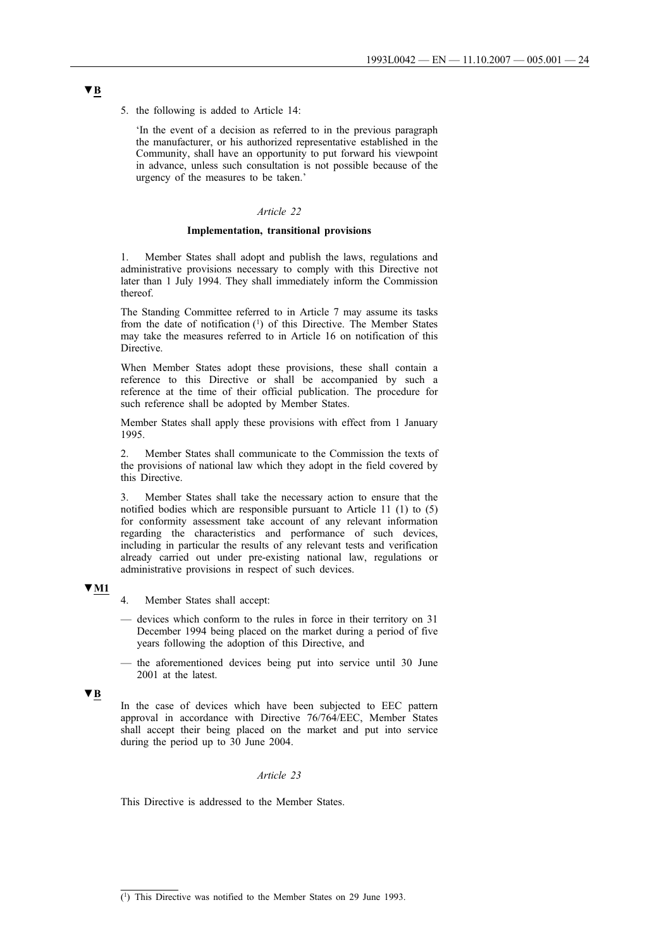5. the following is added to Article 14:

'In the event of a decision as referred to in the previous paragraph the manufacturer, or his authorized representative established in the Community, shall have an opportunity to put forward his viewpoint in advance, unless such consultation is not possible because of the urgency of the measures to be taken.'

### *Article 22*

### **Implementation, transitional provisions**

1. Member States shall adopt and publish the laws, regulations and administrative provisions necessary to comply with this Directive not later than 1 July 1994. They shall immediately inform the Commission thereof.

The Standing Committee referred to in Article 7 may assume its tasks from the date of notification  $(1)$  of this Directive. The Member States may take the measures referred to in Article 16 on notification of this Directive.

When Member States adopt these provisions, these shall contain a reference to this Directive or shall be accompanied by such a reference at the time of their official publication. The procedure for such reference shall be adopted by Member States.

Member States shall apply these provisions with effect from 1 January 1995.

2. Member States shall communicate to the Commission the texts of the provisions of national law which they adopt in the field covered by this Directive.

3. Member States shall take the necessary action to ensure that the notified bodies which are responsible pursuant to Article 11 (1) to (5) for conformity assessment take account of any relevant information regarding the characteristics and performance of such devices, including in particular the results of any relevant tests and verification already carried out under pre-existing national law, regulations or administrative provisions in respect of such devices.

## **▼M1**

4. Member States shall accept:

- devices which conform to the rules in force in their territory on 31 December 1994 being placed on the market during a period of five years following the adoption of this Directive, and
- the aforementioned devices being put into service until 30 June 2001 at the latest.

## **▼B**

In the case of devices which have been subjected to EEC pattern approval in accordance with Directive 76/764/EEC, Member States shall accept their being placed on the market and put into service during the period up to 30 June 2004.

### *Article 23*

This Directive is addressed to the Member States.

<sup>(1)</sup> This Directive was notified to the Member States on 29 June 1993.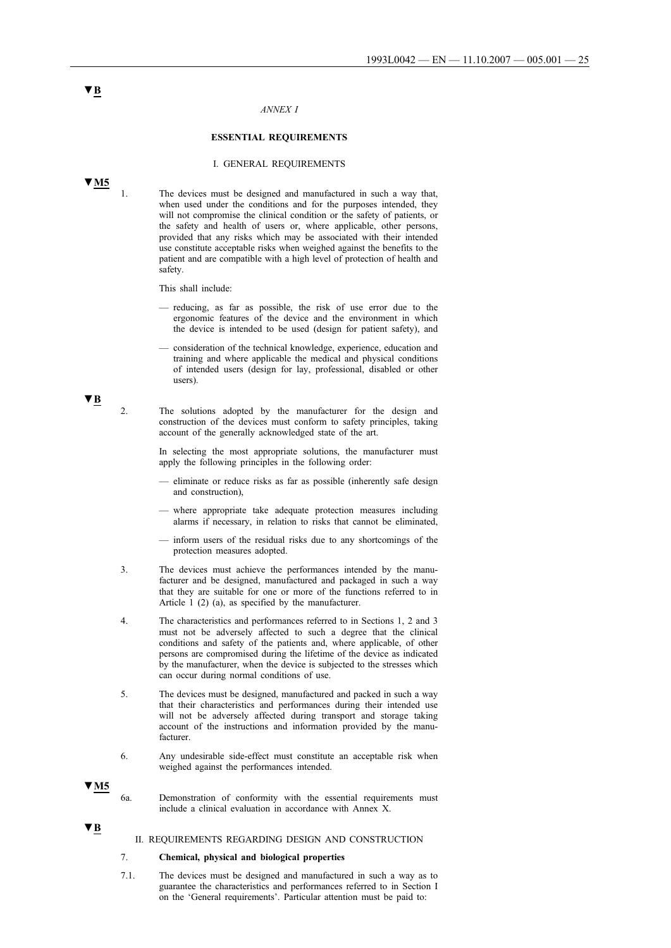#### *ANNEX I*

#### **ESSENTIAL REQUIREMENTS**

#### I. GENERAL REQUIREMENTS

**▼M5**

1. The devices must be designed and manufactured in such a way that, when used under the conditions and for the purposes intended, they will not compromise the clinical condition or the safety of patients, or the safety and health of users or, where applicable, other persons, provided that any risks which may be associated with their intended use constitute acceptable risks when weighed against the benefits to the patient and are compatible with a high level of protection of health and safety.

This shall include:

- reducing, as far as possible, the risk of use error due to the ergonomic features of the device and the environment in which the device is intended to be used (design for patient safety), and
- consideration of the technical knowledge, experience, education and training and where applicable the medical and physical conditions of intended users (design for lay, professional, disabled or other users).

**▼B**

2. The solutions adopted by the manufacturer for the design and construction of the devices must conform to safety principles, taking account of the generally acknowledged state of the art.

> In selecting the most appropriate solutions, the manufacturer must apply the following principles in the following order:

- eliminate or reduce risks as far as possible (inherently safe design and construction),
- where appropriate take adequate protection measures including alarms if necessary, in relation to risks that cannot be eliminated,
- inform users of the residual risks due to any shortcomings of the protection measures adopted.
- 3. The devices must achieve the performances intended by the manufacturer and be designed, manufactured and packaged in such a way that they are suitable for one or more of the functions referred to in Article 1 (2) (a), as specified by the manufacturer.
- 4. The characteristics and performances referred to in Sections 1, 2 and 3 must not be adversely affected to such a degree that the clinical conditions and safety of the patients and, where applicable, of other persons are compromised during the lifetime of the device as indicated by the manufacturer, when the device is subjected to the stresses which can occur during normal conditions of use.
- 5. The devices must be designed, manufactured and packed in such a way that their characteristics and performances during their intended use will not be adversely affected during transport and storage taking account of the instructions and information provided by the manufacturer.
- 6. Any undesirable side-effect must constitute an acceptable risk when weighed against the performances intended.

## **▼M5**

6a. Demonstration of conformity with the essential requirements must include a clinical evaluation in accordance with Annex X.

## **▼B**

## II. REQUIREMENTS REGARDING DESIGN AND CONSTRUCTION

# 7. **Chemical, physical and biological properties**

7.1. The devices must be designed and manufactured in such a way as to guarantee the characteristics and performances referred to in Section I on the 'General requirements'. Particular attention must be paid to: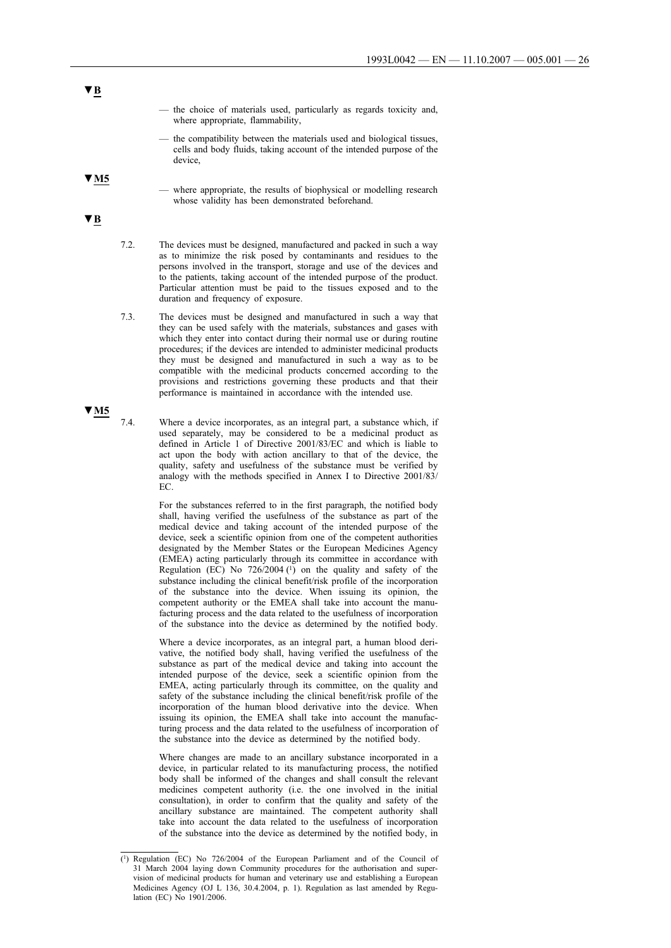- the choice of materials used, particularly as regards toxicity and, where appropriate, flammability,
- the compatibility between the materials used and biological tissues, cells and body fluids, taking account of the intended purpose of the device,
- **▼M5**
- where appropriate, the results of biophysical or modelling research whose validity has been demonstrated beforehand.

# **▼B**

- - 7.2. The devices must be designed, manufactured and packed in such a way as to minimize the risk posed by contaminants and residues to the persons involved in the transport, storage and use of the devices and to the patients, taking account of the intended purpose of the product. Particular attention must be paid to the tissues exposed and to the duration and frequency of exposure.
	- 7.3. The devices must be designed and manufactured in such a way that they can be used safely with the materials, substances and gases with which they enter into contact during their normal use or during routine procedures; if the devices are intended to administer medicinal products they must be designed and manufactured in such a way as to be compatible with the medicinal products concerned according to the provisions and restrictions governing these products and that their performance is maintained in accordance with the intended use.

# **▼M5**

7.4. Where a device incorporates, as an integral part, a substance which, if used separately, may be considered to be a medicinal product as defined in Article 1 of Directive 2001/83/EC and which is liable to act upon the body with action ancillary to that of the device, the quality, safety and usefulness of the substance must be verified by analogy with the methods specified in Annex I to Directive 2001/83/ EC.

> For the substances referred to in the first paragraph, the notified body shall, having verified the usefulness of the substance as part of the medical device and taking account of the intended purpose of the device, seek a scientific opinion from one of the competent authorities designated by the Member States or the European Medicines Agency (EMEA) acting particularly through its committee in accordance with Regulation (EC) No  $726/2004$  ( $\frac{1}{1}$ ) on the quality and safety of the substance including the clinical benefit/risk profile of the incorporation of the substance into the device. When issuing its opinion, the competent authority or the EMEA shall take into account the manufacturing process and the data related to the usefulness of incorporation of the substance into the device as determined by the notified body.

> Where a device incorporates, as an integral part, a human blood derivative, the notified body shall, having verified the usefulness of the substance as part of the medical device and taking into account the intended purpose of the device, seek a scientific opinion from the EMEA, acting particularly through its committee, on the quality and safety of the substance including the clinical benefit/risk profile of the incorporation of the human blood derivative into the device. When issuing its opinion, the EMEA shall take into account the manufacturing process and the data related to the usefulness of incorporation of the substance into the device as determined by the notified body.

> Where changes are made to an ancillary substance incorporated in a device, in particular related to its manufacturing process, the notified body shall be informed of the changes and shall consult the relevant medicines competent authority (i.e. the one involved in the initial consultation), in order to confirm that the quality and safety of the ancillary substance are maintained. The competent authority shall take into account the data related to the usefulness of incorporation of the substance into the device as determined by the notified body, in

<sup>(1)</sup> Regulation (EC) No 726/2004 of the European Parliament and of the Council of 31 March 2004 laying down Community procedures for the authorisation and supervision of medicinal products for human and veterinary use and establishing a European Medicines Agency (OJ L 136, 30.4.2004, p. 1). Regulation as last amended by Regulation (EC) No 1901/2006.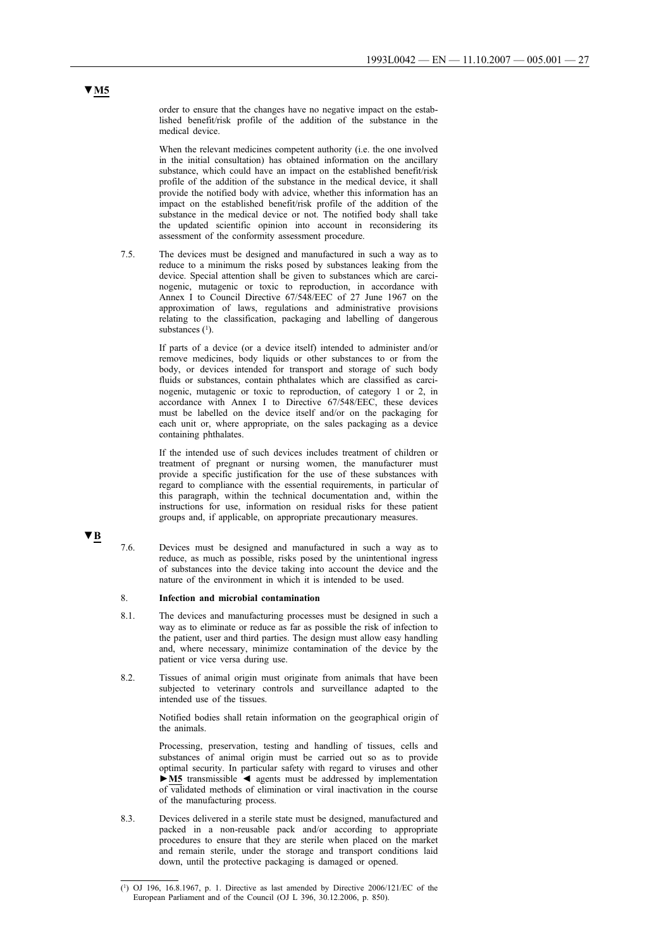order to ensure that the changes have no negative impact on the established benefit/risk profile of the addition of the substance in the medical device.

When the relevant medicines competent authority (i.e. the one involved in the initial consultation) has obtained information on the ancillary substance, which could have an impact on the established benefit/risk profile of the addition of the substance in the medical device, it shall provide the notified body with advice, whether this information has an impact on the established benefit/risk profile of the addition of the substance in the medical device or not. The notified body shall take the updated scientific opinion into account in reconsidering its assessment of the conformity assessment procedure.

7.5. The devices must be designed and manufactured in such a way as to reduce to a minimum the risks posed by substances leaking from the device. Special attention shall be given to substances which are carcinogenic, mutagenic or toxic to reproduction, in accordance with Annex I to Council Directive 67/548/EEC of 27 June 1967 on the approximation of laws, regulations and administrative provisions relating to the classification, packaging and labelling of dangerous substances  $(1)$ .

> If parts of a device (or a device itself) intended to administer and/or remove medicines, body liquids or other substances to or from the body, or devices intended for transport and storage of such body fluids or substances, contain phthalates which are classified as carcinogenic, mutagenic or toxic to reproduction, of category 1 or 2, in accordance with Annex I to Directive 67/548/EEC, these devices must be labelled on the device itself and/or on the packaging for each unit or, where appropriate, on the sales packaging as a device containing phthalates.

> If the intended use of such devices includes treatment of children or treatment of pregnant or nursing women, the manufacturer must provide a specific justification for the use of these substances with regard to compliance with the essential requirements, in particular of this paragraph, within the technical documentation and, within the instructions for use, information on residual risks for these patient groups and, if applicable, on appropriate precautionary measures.

7.6. Devices must be designed and manufactured in such a way as to reduce, as much as possible, risks posed by the unintentional ingress of substances into the device taking into account the device and the nature of the environment in which it is intended to be used.

### 8. **Infection and microbial contamination**

- 8.1. The devices and manufacturing processes must be designed in such a way as to eliminate or reduce as far as possible the risk of infection to the patient, user and third parties. The design must allow easy handling and, where necessary, minimize contamination of the device by the patient or vice versa during use.
- 8.2. Tissues of animal origin must originate from animals that have been subjected to veterinary controls and surveillance adapted to the intended use of the tissues.

Notified bodies shall retain information on the geographical origin of the animals.

Processing, preservation, testing and handling of tissues, cells and substances of animal origin must be carried out so as to provide optimal security. In particular safety with regard to viruses and other **►M5** transmissible ◄ agents must be addressed by implementation of validated methods of elimination or viral inactivation in the course of the manufacturing process.

8.3. Devices delivered in a sterile state must be designed, manufactured and packed in a non-reusable pack and/or according to appropriate procedures to ensure that they are sterile when placed on the market and remain sterile, under the storage and transport conditions laid down, until the protective packaging is damaged or opened.

# **▼M5**

<sup>(</sup> $^{1}$ ) OJ 196, 16.8.1967, p. 1. Directive as last amended by Directive 2006/121/EC of the European Parliament and of the Council (OJ L 396, 30.12.2006, p. 850).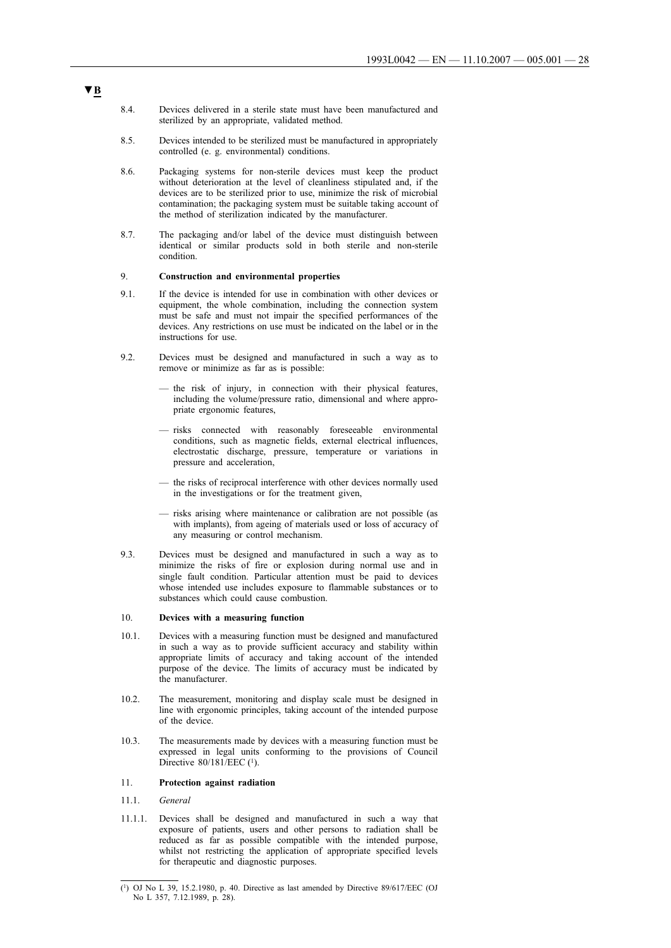- 8.4. Devices delivered in a sterile state must have been manufactured and sterilized by an appropriate, validated method.
- 8.5. Devices intended to be sterilized must be manufactured in appropriately controlled (e. g. environmental) conditions.
- 8.6. Packaging systems for non-sterile devices must keep the product without deterioration at the level of cleanliness stipulated and, if the devices are to be sterilized prior to use, minimize the risk of microbial contamination; the packaging system must be suitable taking account of the method of sterilization indicated by the manufacturer.
- 8.7. The packaging and/or label of the device must distinguish between identical or similar products sold in both sterile and non-sterile condition.

### 9. **Construction and environmental properties**

- 9.1. If the device is intended for use in combination with other devices or equipment, the whole combination, including the connection system must be safe and must not impair the specified performances of the devices. Any restrictions on use must be indicated on the label or in the instructions for use.
- 9.2. Devices must be designed and manufactured in such a way as to remove or minimize as far as is possible:
	- the risk of injury, in connection with their physical features, including the volume/pressure ratio, dimensional and where appropriate ergonomic features,
	- risks connected with reasonably foreseeable environmental conditions, such as magnetic fields, external electrical influences, electrostatic discharge, pressure, temperature or variations in pressure and acceleration,
	- the risks of reciprocal interference with other devices normally used in the investigations or for the treatment given,
	- risks arising where maintenance or calibration are not possible (as with implants), from ageing of materials used or loss of accuracy of any measuring or control mechanism.
- 9.3. Devices must be designed and manufactured in such a way as to minimize the risks of fire or explosion during normal use and in single fault condition. Particular attention must be paid to devices whose intended use includes exposure to flammable substances or to substances which could cause combustion.

#### 10. **Devices with a measuring function**

- 10.1. Devices with a measuring function must be designed and manufactured in such a way as to provide sufficient accuracy and stability within appropriate limits of accuracy and taking account of the intended purpose of the device. The limits of accuracy must be indicated by the manufacturer.
- 10.2. The measurement, monitoring and display scale must be designed in line with ergonomic principles, taking account of the intended purpose of the device.
- 10.3. The measurements made by devices with a measuring function must be expressed in legal units conforming to the provisions of Council Directive  $80/181/EEC$  (<sup>1</sup>).

### 11. **Protection against radiation**

## 11.1. *General*

11.1.1. Devices shall be designed and manufactured in such a way that exposure of patients, users and other persons to radiation shall be reduced as far as possible compatible with the intended purpose, whilst not restricting the application of appropriate specified levels for therapeutic and diagnostic purposes.

<sup>(</sup> $^{1}$ ) OJ No L 39, 15.2.1980, p. 40. Directive as last amended by Directive 89/617/EEC (OJ No L 357, 7.12.1989, p. 28).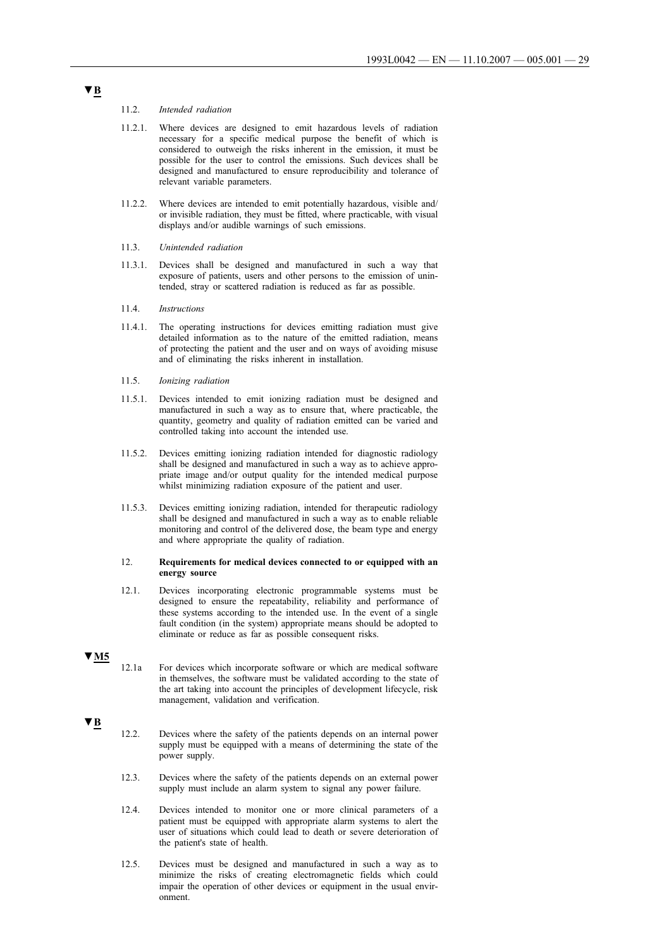#### 11.2. *Intended radiation*

- 11.2.1. Where devices are designed to emit hazardous levels of radiation necessary for a specific medical purpose the benefit of which is considered to outweigh the risks inherent in the emission, it must be possible for the user to control the emissions. Such devices shall be designed and manufactured to ensure reproducibility and tolerance of relevant variable parameters.
- 11.2.2. Where devices are intended to emit potentially hazardous, visible and/ or invisible radiation, they must be fitted, where practicable, with visual displays and/or audible warnings of such emissions.
- 11.3. *Unintended radiation*
- 11.3.1. Devices shall be designed and manufactured in such a way that exposure of patients, users and other persons to the emission of unintended, stray or scattered radiation is reduced as far as possible.
- 11.4. *Instructions*
- 11.4.1. The operating instructions for devices emitting radiation must give detailed information as to the nature of the emitted radiation, means of protecting the patient and the user and on ways of avoiding misuse and of eliminating the risks inherent in installation.
- 11.5. *Ionizing radiation*
- 11.5.1. Devices intended to emit ionizing radiation must be designed and manufactured in such a way as to ensure that, where practicable, the quantity, geometry and quality of radiation emitted can be varied and controlled taking into account the intended use.
- 11.5.2. Devices emitting ionizing radiation intended for diagnostic radiology shall be designed and manufactured in such a way as to achieve appropriate image and/or output quality for the intended medical purpose whilst minimizing radiation exposure of the patient and user.
- 11.5.3. Devices emitting ionizing radiation, intended for therapeutic radiology shall be designed and manufactured in such a way as to enable reliable monitoring and control of the delivered dose, the beam type and energy and where appropriate the quality of radiation.

### 12. **Requirements for medical devices connected to or equipped with an energy source**

12.1. Devices incorporating electronic programmable systems must be designed to ensure the repeatability, reliability and performance of these systems according to the intended use. In the event of a single fault condition (in the system) appropriate means should be adopted to eliminate or reduce as far as possible consequent risks.

## **▼M5**

12.1a For devices which incorporate software or which are medical software in themselves, the software must be validated according to the state of the art taking into account the principles of development lifecycle, risk management, validation and verification.

## **▼B**

- 12.2. Devices where the safety of the patients depends on an internal power supply must be equipped with a means of determining the state of the power supply.
- 12.3. Devices where the safety of the patients depends on an external power supply must include an alarm system to signal any power failure.
- 12.4. Devices intended to monitor one or more clinical parameters of a patient must be equipped with appropriate alarm systems to alert the user of situations which could lead to death or severe deterioration of the patient's state of health.
- 12.5. Devices must be designed and manufactured in such a way as to minimize the risks of creating electromagnetic fields which could impair the operation of other devices or equipment in the usual environment.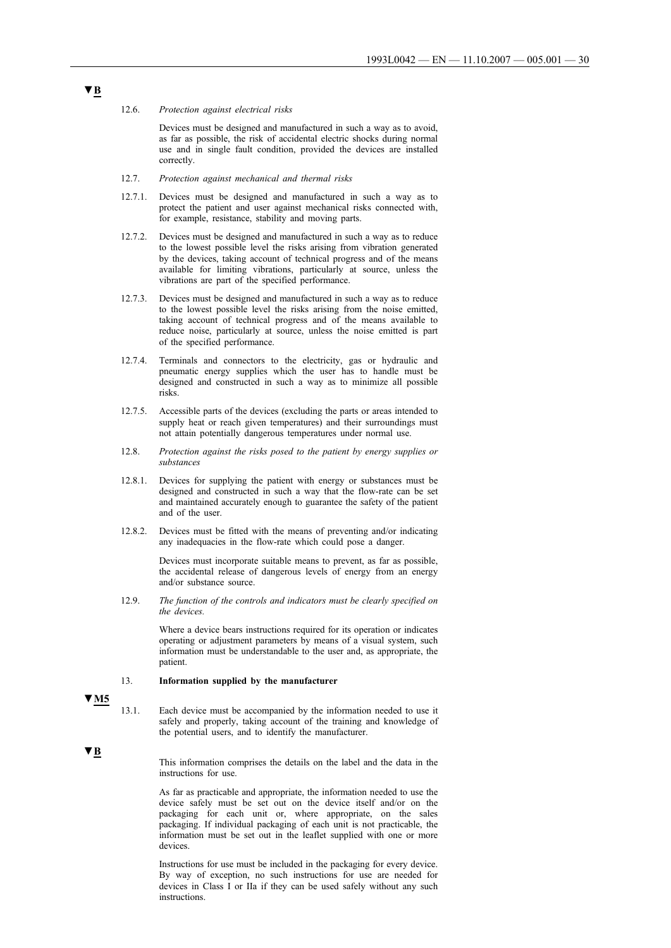#### 12.6. *Protection against electrical risks*

Devices must be designed and manufactured in such a way as to avoid, as far as possible, the risk of accidental electric shocks during normal use and in single fault condition, provided the devices are installed correctly.

- 12.7. *Protection against mechanical and thermal risks*
- 12.7.1. Devices must be designed and manufactured in such a way as to protect the patient and user against mechanical risks connected with, for example, resistance, stability and moving parts.
- 12.7.2. Devices must be designed and manufactured in such a way as to reduce to the lowest possible level the risks arising from vibration generated by the devices, taking account of technical progress and of the means available for limiting vibrations, particularly at source, unless the vibrations are part of the specified performance.
- 12.7.3. Devices must be designed and manufactured in such a way as to reduce to the lowest possible level the risks arising from the noise emitted, taking account of technical progress and of the means available to reduce noise, particularly at source, unless the noise emitted is part of the specified performance.
- 12.7.4. Terminals and connectors to the electricity, gas or hydraulic and pneumatic energy supplies which the user has to handle must be designed and constructed in such a way as to minimize all possible risks.
- 12.7.5. Accessible parts of the devices (excluding the parts or areas intended to supply heat or reach given temperatures) and their surroundings must not attain potentially dangerous temperatures under normal use.
- 12.8. *Protection against the risks posed to the patient by energy supplies or substances*
- 12.8.1. Devices for supplying the patient with energy or substances must be designed and constructed in such a way that the flow-rate can be set and maintained accurately enough to guarantee the safety of the patient and of the user.
- 12.8.2. Devices must be fitted with the means of preventing and/or indicating any inadequacies in the flow-rate which could pose a danger.

Devices must incorporate suitable means to prevent, as far as possible, the accidental release of dangerous levels of energy from an energy and/or substance source.

12.9. *The function of the controls and indicators must be clearly specified on the devices.*

> Where a device bears instructions required for its operation or indicates operating or adjustment parameters by means of a visual system, such information must be understandable to the user and, as appropriate, the patient.

#### 13. **Information supplied by the manufacturer**

**▼M5**

13.1. Each device must be accompanied by the information needed to use it safely and properly, taking account of the training and knowledge of the potential users, and to identify the manufacturer.

## **▼B**

This information comprises the details on the label and the data in the instructions for use.

As far as practicable and appropriate, the information needed to use the device safely must be set out on the device itself and/or on the packaging for each unit or, where appropriate, on the sales packaging. If individual packaging of each unit is not practicable, the information must be set out in the leaflet supplied with one or more devices.

Instructions for use must be included in the packaging for every device. By way of exception, no such instructions for use are needed for devices in Class I or IIa if they can be used safely without any such instructions.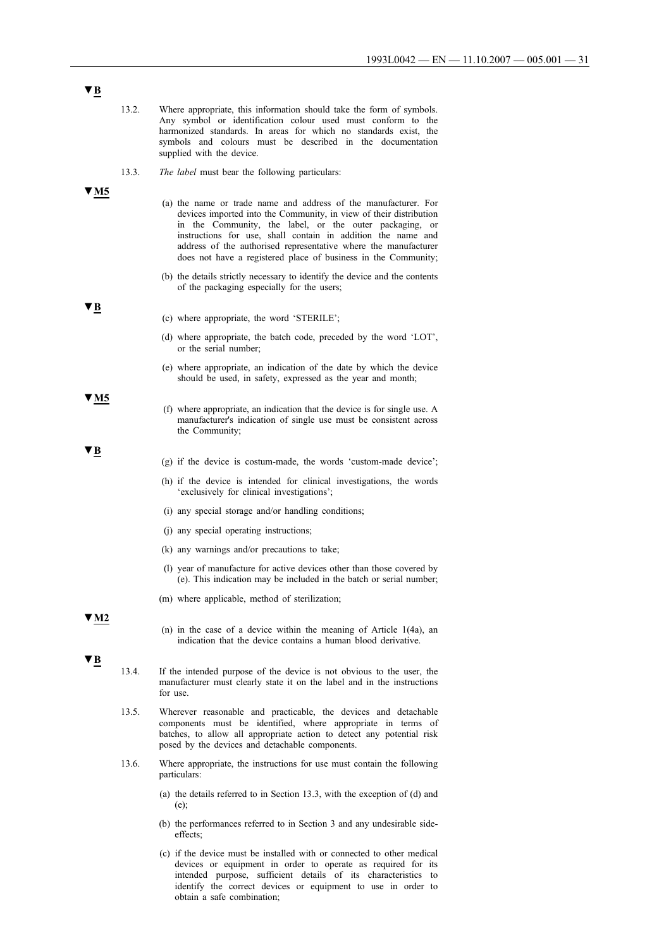|      | 13.2. | Where appropriate, this information should take the form of symbols.<br>Any symbol or identification colour used must conform to the<br>harmonized standards. In areas for which no standards exist, the<br>symbols and colours must be described in the documentation<br>supplied with the device.                                                                                                   |
|------|-------|-------------------------------------------------------------------------------------------------------------------------------------------------------------------------------------------------------------------------------------------------------------------------------------------------------------------------------------------------------------------------------------------------------|
|      | 13.3. | The label must bear the following particulars:                                                                                                                                                                                                                                                                                                                                                        |
| 7 M5 |       | (a) the name or trade name and address of the manufacturer. For<br>devices imported into the Community, in view of their distribution<br>in the Community, the label, or the outer packaging, or<br>instructions for use, shall contain in addition the name and<br>address of the authorised representative where the manufacturer<br>does not have a registered place of business in the Community; |
|      |       | (b) the details strictly necessary to identify the device and the contents<br>of the packaging especially for the users;                                                                                                                                                                                                                                                                              |
| ′ В  |       | (c) where appropriate, the word 'STERILE';                                                                                                                                                                                                                                                                                                                                                            |
|      |       | (d) where appropriate, the batch code, preceded by the word 'LOT',<br>or the serial number;                                                                                                                                                                                                                                                                                                           |
|      |       | (e) where appropriate, an indication of the date by which the device<br>should be used, in safety, expressed as the year and month;                                                                                                                                                                                                                                                                   |
| 'NI5 |       | (f) where appropriate, an indication that the device is for single use. A<br>manufacturer's indication of single use must be consistent across<br>the Community;                                                                                                                                                                                                                                      |
| Y B  |       | (g) if the device is costum-made, the words 'custom-made device';                                                                                                                                                                                                                                                                                                                                     |
|      |       | (h) if the device is intended for clinical investigations, the words<br>'exclusively for clinical investigations';                                                                                                                                                                                                                                                                                    |
|      |       | (i) any special storage and/or handling conditions;                                                                                                                                                                                                                                                                                                                                                   |
|      |       | (i) any special operating instructions;                                                                                                                                                                                                                                                                                                                                                               |
|      |       | (k) any warnings and/or precautions to take;                                                                                                                                                                                                                                                                                                                                                          |
|      |       | (1) year of manufacture for active devices other than those covered by<br>(e). This indication may be included in the batch or serial number;                                                                                                                                                                                                                                                         |
|      |       | (m) where applicable, method of sterilization;                                                                                                                                                                                                                                                                                                                                                        |
| V M2 |       | (n) in the case of a device within the meaning of Article $1(4a)$ , an<br>indication that the device contains a human blood derivative.                                                                                                                                                                                                                                                               |
| VВ   | 13.4. | If the intended purpose of the device is not obvious to the user, the<br>manufacturer must clearly state it on the label and in the instructions<br>for use.                                                                                                                                                                                                                                          |
|      | 13.5. | Wherever reasonable and practicable, the devices and detachable<br>components must be identified, where appropriate in terms of<br>batches, to allow all appropriate action to detect any potential risk<br>posed by the devices and detachable components.                                                                                                                                           |
|      | 13.6. | Where appropriate, the instructions for use must contain the following<br>particulars:                                                                                                                                                                                                                                                                                                                |
|      |       | (a) the details referred to in Section 13.3, with the exception of (d) and<br>$(e)$ ;                                                                                                                                                                                                                                                                                                                 |
|      |       | (b) the performances referred to in Section 3 and any undesirable side-<br>effects:                                                                                                                                                                                                                                                                                                                   |
|      |       | (c) if the device must be installed with or connected to other medical<br>devices or equipment in order to operate as required for its<br>intended purpose, sufficient details of its characteristics to<br>identify the correct devices or equipment to use in order to                                                                                                                              |

obtain a safe combination;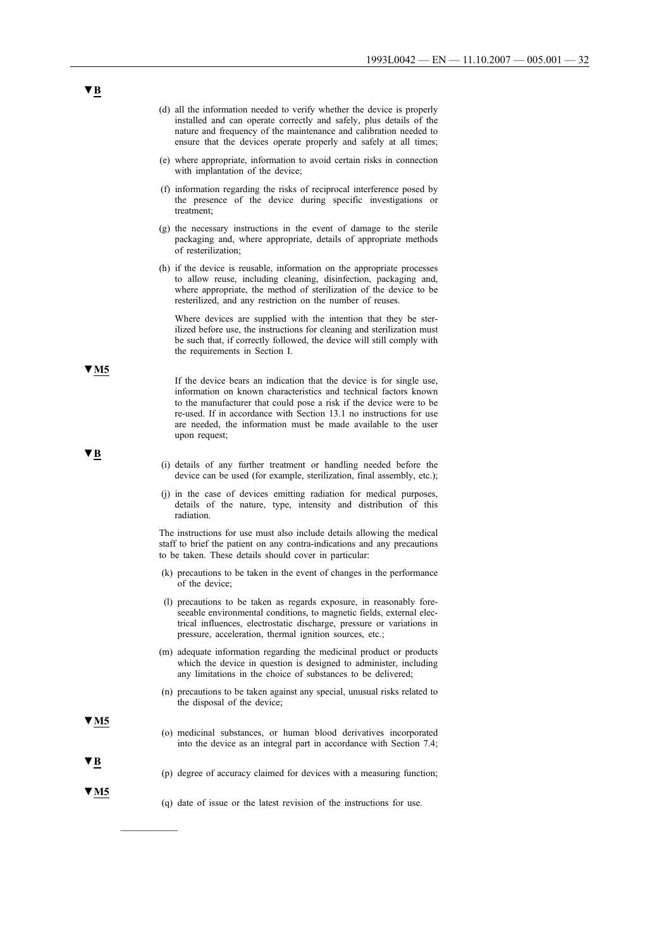- (d) all the information needed to verify whether the device is properly installed and can operate correctly and safely, plus details of the nature and frequency of the maintenance and calibration needed to ensure that the devices operate properly and safely at all times;
- (e) where appropriate, information to avoid certain risks in connection with implantation of the device;
- (f) information regarding the risks of reciprocal interference posed by the presence of the device during specific investigations or treatment;
- (g) the necessary instructions in the event of damage to the sterile packaging and, where appropriate, details of appropriate methods of resterilization;
- (h) if the device is reusable, information on the appropriate processes to allow reuse, including cleaning, disinfection, packaging and, where appropriate, the method of sterilization of the device to be resterilized, and any restriction on the number of reuses.

Where devices are supplied with the intention that they be sterilized before use, the instructions for cleaning and sterilization must be such that, if correctly followed, the device will still comply with the requirements in Section I.

If the device bears an indication that the device is for single use, information on known characteristics and technical factors known to the manufacturer that could pose a risk if the device were to be re-used. If in accordance with Section 13.1 no instructions for use are needed, the information must be made available to the user upon request;

- (i) details of any further treatment or handling needed before the device can be used (for example, sterilization, final assembly, etc.);
- (j) in the case of devices emitting radiation for medical purposes, details of the nature, type, intensity and distribution of this radiation.

The instructions for use must also include details allowing the medical staff to brief the patient on any contra-indications and any precautions to be taken. These details should cover in particular:

- (k) precautions to be taken in the event of changes in the performance of the device;
- (l) precautions to be taken as regards exposure, in reasonably foreseeable environmental conditions, to magnetic fields, external electrical influences, electrostatic discharge, pressure or variations in pressure, acceleration, thermal ignition sources, etc.;
- (m) adequate information regarding the medicinal product or products which the device in question is designed to administer, including any limitations in the choice of substances to be delivered;
- (n) precautions to be taken against any special, unusual risks related to the disposal of the device;
- (o) medicinal substances, or human blood derivatives incorporated into the device as an integral part in accordance with Section 7.4;
- (p) degree of accuracy claimed for devices with a measuring function;

**▼M5**

 $\overline{\phantom{a}}$ 

**▼B**

**▼M5**

(q) date of issue or the latest revision of the instructions for use.

# **▼B**

**▼M5**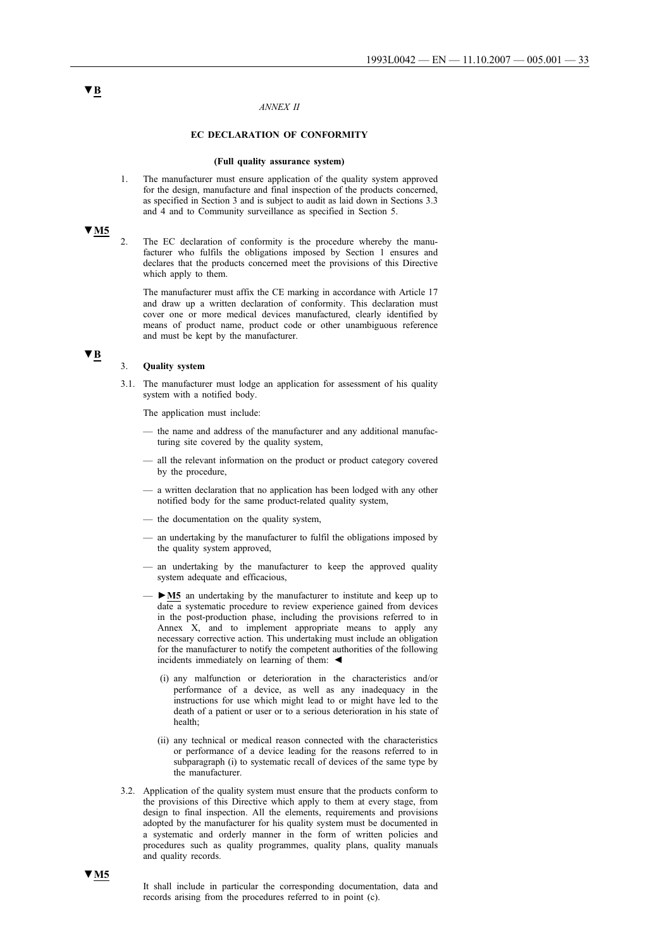## *ANNEX II*

## **EC DECLARATION OF CONFORMITY**

#### **(Full quality assurance system)**

1. The manufacturer must ensure application of the quality system approved for the design, manufacture and final inspection of the products concerned, as specified in Section 3 and is subject to audit as laid down in Sections 3.3 and 4 and to Community surveillance as specified in Section 5.

# **▼M5**

2. The EC declaration of conformity is the procedure whereby the manufacturer who fulfils the obligations imposed by Section 1 ensures and declares that the products concerned meet the provisions of this Directive which apply to them.

The manufacturer must affix the CE marking in accordance with Article 17 and draw up a written declaration of conformity. This declaration must cover one or more medical devices manufactured, clearly identified by means of product name, product code or other unambiguous reference and must be kept by the manufacturer.

#### **▼B** 3. **Quality system**

3.1. The manufacturer must lodge an application for assessment of his quality system with a notified body.

The application must include:

- the name and address of the manufacturer and any additional manufacturing site covered by the quality system,
- all the relevant information on the product or product category covered by the procedure,
- a written declaration that no application has been lodged with any other notified body for the same product-related quality system,
- the documentation on the quality system,
- an undertaking by the manufacturer to fulfil the obligations imposed by the quality system approved,
- an undertaking by the manufacturer to keep the approved quality system adequate and efficacious,
- **►M5** an undertaking by the manufacturer to institute and keep up to date a systematic procedure to review experience gained from devices in the post-production phase, including the provisions referred to in Annex X, and to implement appropriate means to apply any necessary corrective action. This undertaking must include an obligation for the manufacturer to notify the competent authorities of the following incidents immediately on learning of them: ◄
	- (i) any malfunction or deterioration in the characteristics and/or performance of a device, as well as any inadequacy in the instructions for use which might lead to or might have led to the death of a patient or user or to a serious deterioration in his state of health;
	- (ii) any technical or medical reason connected with the characteristics or performance of a device leading for the reasons referred to in subparagraph (i) to systematic recall of devices of the same type by the manufacturer.
- 3.2. Application of the quality system must ensure that the products conform to the provisions of this Directive which apply to them at every stage, from design to final inspection. All the elements, requirements and provisions adopted by the manufacturer for his quality system must be documented in a systematic and orderly manner in the form of written policies and procedures such as quality programmes, quality plans, quality manuals and quality records.

It shall include in particular the corresponding documentation, data and records arising from the procedures referred to in point (c).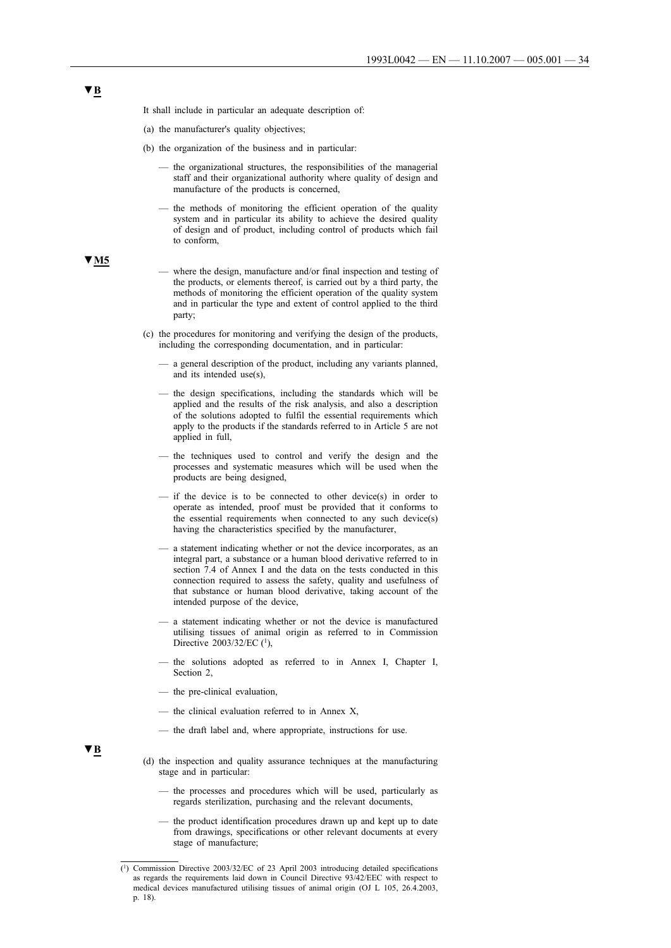It shall include in particular an adequate description of:

- (a) the manufacturer's quality objectives;
- (b) the organization of the business and in particular:
	- the organizational structures, the responsibilities of the managerial staff and their organizational authority where quality of design and manufacture of the products is concerned,
	- the methods of monitoring the efficient operation of the quality system and in particular its ability to achieve the desired quality of design and of product, including control of products which fail to conform,

**▼M5**

- where the design, manufacture and/or final inspection and testing of the products, or elements thereof, is carried out by a third party, the methods of monitoring the efficient operation of the quality system and in particular the type and extent of control applied to the third party;
- (c) the procedures for monitoring and verifying the design of the products, including the corresponding documentation, and in particular:
	- a general description of the product, including any variants planned, and its intended use(s),
	- the design specifications, including the standards which will be applied and the results of the risk analysis, and also a description of the solutions adopted to fulfil the essential requirements which apply to the products if the standards referred to in Article 5 are not applied in full,
	- the techniques used to control and verify the design and the processes and systematic measures which will be used when the products are being designed,
	- if the device is to be connected to other device(s) in order to operate as intended, proof must be provided that it conforms to the essential requirements when connected to any such device(s) having the characteristics specified by the manufacturer,
	- a statement indicating whether or not the device incorporates, as an integral part, a substance or a human blood derivative referred to in section 7.4 of Annex I and the data on the tests conducted in this connection required to assess the safety, quality and usefulness of that substance or human blood derivative, taking account of the intended purpose of the device,
	- a statement indicating whether or not the device is manufactured utilising tissues of animal origin as referred to in Commission Directive 2003/32/EC (<sup>1</sup>).
	- the solutions adopted as referred to in Annex I, Chapter I, Section 2,
	- the pre-clinical evaluation,
	- the clinical evaluation referred to in Annex X,
	- the draft label and, where appropriate, instructions for use.

# **▼B**

- (d) the inspection and quality assurance techniques at the manufacturing stage and in particular:
	- the processes and procedures which will be used, particularly as regards sterilization, purchasing and the relevant documents,
	- the product identification procedures drawn up and kept up to date from drawings, specifications or other relevant documents at every stage of manufacture;

<sup>(1)</sup> Commission Directive 2003/32/EC of 23 April 2003 introducing detailed specifications as regards the requirements laid down in Council Directive 93/42/EEC with respect to medical devices manufactured utilising tissues of animal origin (OJ L 105, 26.4.2003, p. 18).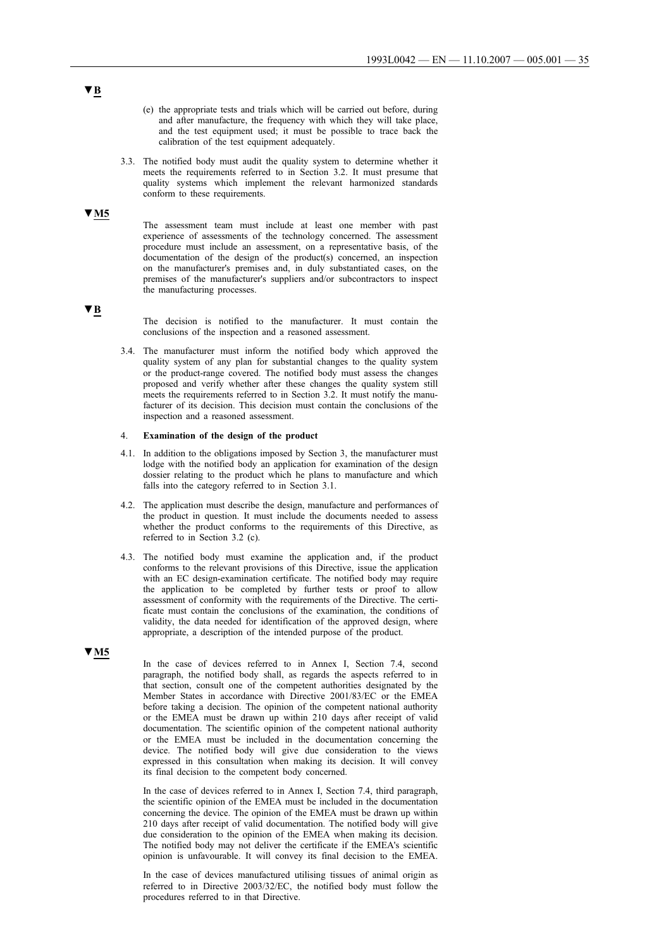- (e) the appropriate tests and trials which will be carried out before, during and after manufacture, the frequency with which they will take place, and the test equipment used; it must be possible to trace back the calibration of the test equipment adequately.
- 3.3. The notified body must audit the quality system to determine whether it meets the requirements referred to in Section 3.2. It must presume that quality systems which implement the relevant harmonized standards conform to these requirements.

## **▼M5**

The assessment team must include at least one member with past experience of assessments of the technology concerned. The assessment procedure must include an assessment, on a representative basis, of the documentation of the design of the product(s) concerned, an inspection on the manufacturer's premises and, in duly substantiated cases, on the premises of the manufacturer's suppliers and/or subcontractors to inspect the manufacturing processes.

**▼B**

The decision is notified to the manufacturer. It must contain the conclusions of the inspection and a reasoned assessment.

3.4. The manufacturer must inform the notified body which approved the quality system of any plan for substantial changes to the quality system or the product-range covered. The notified body must assess the changes proposed and verify whether after these changes the quality system still meets the requirements referred to in Section 3.2. It must notify the manufacturer of its decision. This decision must contain the conclusions of the inspection and a reasoned assessment.

#### 4. **Examination of the design of the product**

- 4.1. In addition to the obligations imposed by Section 3, the manufacturer must lodge with the notified body an application for examination of the design dossier relating to the product which he plans to manufacture and which falls into the category referred to in Section 3.1.
- 4.2. The application must describe the design, manufacture and performances of the product in question. It must include the documents needed to assess whether the product conforms to the requirements of this Directive, as referred to in Section 3.2 (c).
- 4.3. The notified body must examine the application and, if the product conforms to the relevant provisions of this Directive, issue the application with an EC design-examination certificate. The notified body may require the application to be completed by further tests or proof to allow assessment of conformity with the requirements of the Directive. The certificate must contain the conclusions of the examination, the conditions of validity, the data needed for identification of the approved design, where appropriate, a description of the intended purpose of the product.

## **▼M5**

In the case of devices referred to in Annex I, Section 7.4, second paragraph, the notified body shall, as regards the aspects referred to in that section, consult one of the competent authorities designated by the Member States in accordance with Directive 2001/83/EC or the EMEA before taking a decision. The opinion of the competent national authority or the EMEA must be drawn up within 210 days after receipt of valid documentation. The scientific opinion of the competent national authority or the EMEA must be included in the documentation concerning the device. The notified body will give due consideration to the views expressed in this consultation when making its decision. It will convey its final decision to the competent body concerned.

In the case of devices referred to in Annex I, Section 7.4, third paragraph, the scientific opinion of the EMEA must be included in the documentation concerning the device. The opinion of the EMEA must be drawn up within 210 days after receipt of valid documentation. The notified body will give due consideration to the opinion of the EMEA when making its decision. The notified body may not deliver the certificate if the EMEA's scientific opinion is unfavourable. It will convey its final decision to the EMEA.

In the case of devices manufactured utilising tissues of animal origin as referred to in Directive 2003/32/EC, the notified body must follow the procedures referred to in that Directive.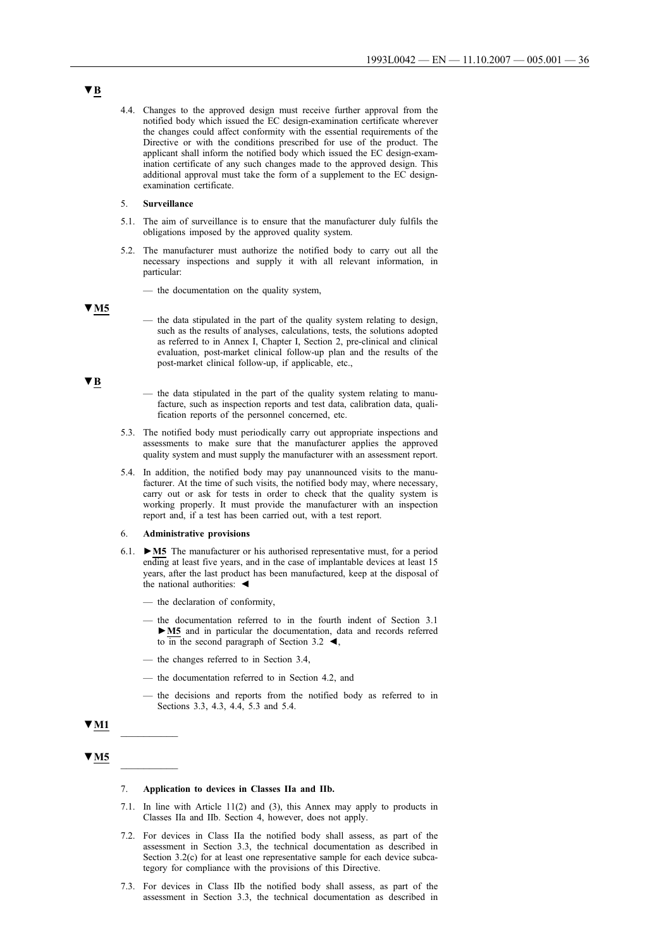4.4. Changes to the approved design must receive further approval from the notified body which issued the EC design-examination certificate wherever the changes could affect conformity with the essential requirements of the Directive or with the conditions prescribed for use of the product. The applicant shall inform the notified body which issued the EC design-examination certificate of any such changes made to the approved design. This additional approval must take the form of a supplement to the EC designexamination certificate.

#### 5. **Surveillance**

- 5.1. The aim of surveillance is to ensure that the manufacturer duly fulfils the obligations imposed by the approved quality system.
- 5.2. The manufacturer must authorize the notified body to carry out all the necessary inspections and supply it with all relevant information, in particular:
	- the documentation on the quality system,

### **▼M5**

— the data stipulated in the part of the quality system relating to design, such as the results of analyses, calculations, tests, the solutions adopted as referred to in Annex I, Chapter I, Section 2, pre-clinical and clinical evaluation, post-market clinical follow-up plan and the results of the post-market clinical follow-up, if applicable, etc.,

**▼B**

- the data stipulated in the part of the quality system relating to manufacture, such as inspection reports and test data, calibration data, qualification reports of the personnel concerned, etc.
- 5.3. The notified body must periodically carry out appropriate inspections and assessments to make sure that the manufacturer applies the approved quality system and must supply the manufacturer with an assessment report.
- 5.4. In addition, the notified body may pay unannounced visits to the manufacturer. At the time of such visits, the notified body may, where necessary, carry out or ask for tests in order to check that the quality system is working properly. It must provide the manufacturer with an inspection report and, if a test has been carried out, with a test report.

#### 6. **Administrative provisions**

- 6.1. **►M5** The manufacturer or his authorised representative must, for a period ending at least five years, and in the case of implantable devices at least 15 years, after the last product has been manufactured, keep at the disposal of the national authorities: ◄
	- the declaration of conformity,
	- the documentation referred to in the fourth indent of Section 3.1 **►M5** and in particular the documentation, data and records referred to in the second paragraph of Section 3.2  $\blacktriangleleft$ ,
	- the changes referred to in Section 3.4,
	- the documentation referred to in Section 4.2, and
	- the decisions and reports from the notified body as referred to in Sections 3.3, 4.3, 4.4, 5.3 and 5.4.

### **▼M1** \_\_\_\_\_\_\_\_\_\_

## **▼M5** \_\_\_\_\_\_\_\_\_\_

#### 7. **Application to devices in Classes IIa and IIb.**

- 7.1. In line with Article 11(2) and (3), this Annex may apply to products in Classes IIa and IIb. Section 4, however, does not apply.
- 7.2. For devices in Class IIa the notified body shall assess, as part of the assessment in Section 3.3, the technical documentation as described in Section 3.2(c) for at least one representative sample for each device subcategory for compliance with the provisions of this Directive.
- 7.3. For devices in Class IIb the notified body shall assess, as part of the assessment in Section 3.3, the technical documentation as described in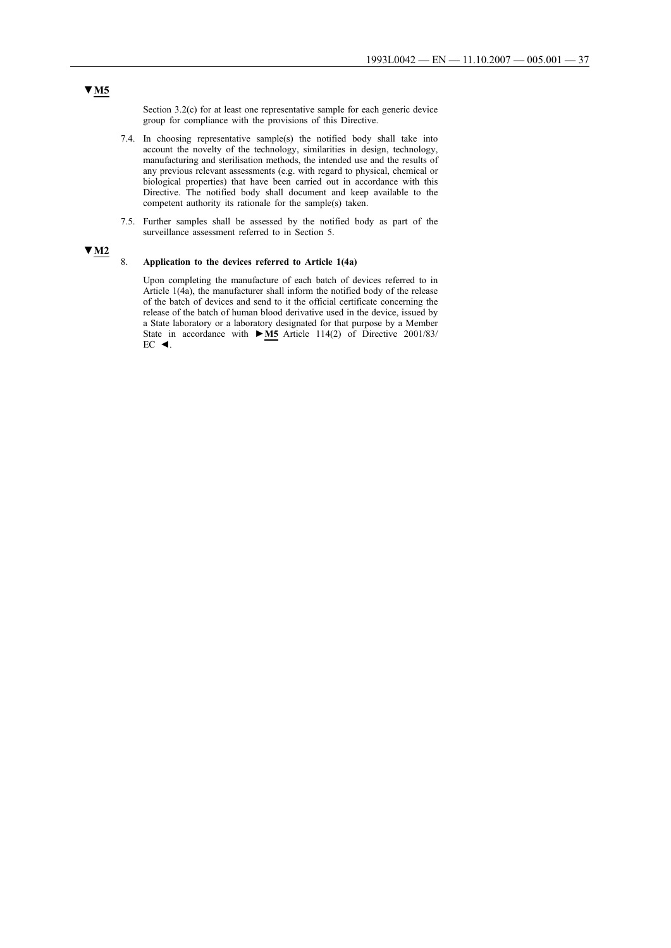Section 3.2(c) for at least one representative sample for each generic device group for compliance with the provisions of this Directive.

- 7.4. In choosing representative sample(s) the notified body shall take into account the novelty of the technology, similarities in design, technology, manufacturing and sterilisation methods, the intended use and the results of any previous relevant assessments (e.g. with regard to physical, chemical or biological properties) that have been carried out in accordance with this Directive. The notified body shall document and keep available to the competent authority its rationale for the sample(s) taken.
- 7.5. Further samples shall be assessed by the notified body as part of the surveillance assessment referred to in Section 5.

# **▼M2**

# 8. **Application to the devices referred to Article 1(4a)**

Upon completing the manufacture of each batch of devices referred to in Article 1(4a), the manufacturer shall inform the notified body of the release of the batch of devices and send to it the official certificate concerning the release of the batch of human blood derivative used in the device, issued by a State laboratory or a laboratory designated for that purpose by a Member State in accordance with **►M5** Article 114(2) of Directive 2001/83/  $EC \blacktriangleleft$ .

# **▼M5**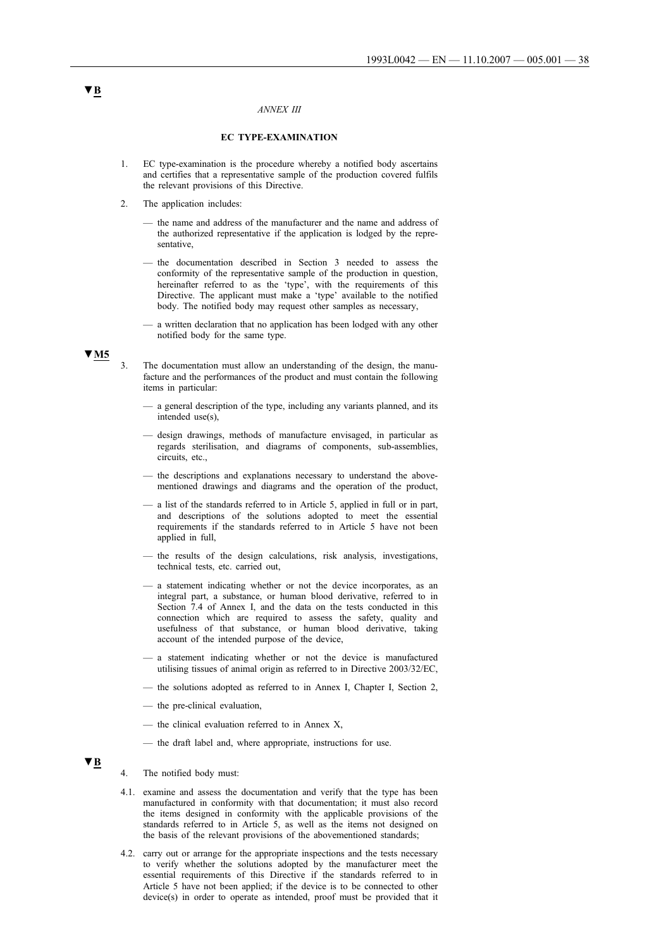#### *ANNEX III*

#### **EC TYPE-EXAMINATION**

- 1. EC type-examination is the procedure whereby a notified body ascertains and certifies that a representative sample of the production covered fulfils the relevant provisions of this Directive.
- 2. The application includes:
	- the name and address of the manufacturer and the name and address of the authorized representative if the application is lodged by the representative,
	- the documentation described in Section 3 needed to assess the conformity of the representative sample of the production in question, hereinafter referred to as the 'type', with the requirements of this Directive. The applicant must make a 'type' available to the notified body. The notified body may request other samples as necessary,
	- a written declaration that no application has been lodged with any other notified body for the same type.

# **▼M5**

- 
- 3. The documentation must allow an understanding of the design, the manufacture and the performances of the product and must contain the following items in particular:
	- a general description of the type, including any variants planned, and its intended use(s),
	- design drawings, methods of manufacture envisaged, in particular as regards sterilisation, and diagrams of components, sub-assemblies, circuits, etc.,
	- the descriptions and explanations necessary to understand the abovementioned drawings and diagrams and the operation of the product,
	- a list of the standards referred to in Article 5, applied in full or in part, and descriptions of the solutions adopted to meet the essential requirements if the standards referred to in Article 5 have not been applied in full,
	- the results of the design calculations, risk analysis, investigations, technical tests, etc. carried out,
	- a statement indicating whether or not the device incorporates, as an integral part, a substance, or human blood derivative, referred to in Section 7.4 of Annex I, and the data on the tests conducted in this connection which are required to assess the safety, quality and usefulness of that substance, or human blood derivative, taking account of the intended purpose of the device,
	- a statement indicating whether or not the device is manufactured utilising tissues of animal origin as referred to in Directive 2003/32/EC,
	- the solutions adopted as referred to in Annex I, Chapter I, Section 2,
	- the pre-clinical evaluation,
	- the clinical evaluation referred to in Annex X,
	- the draft label and, where appropriate, instructions for use.

## **▼B**

- 4. The notified body must:
- 4.1. examine and assess the documentation and verify that the type has been manufactured in conformity with that documentation; it must also record the items designed in conformity with the applicable provisions of the standards referred to in Article 5, as well as the items not designed on the basis of the relevant provisions of the abovementioned standards;
- 4.2. carry out or arrange for the appropriate inspections and the tests necessary to verify whether the solutions adopted by the manufacturer meet the essential requirements of this Directive if the standards referred to in Article 5 have not been applied; if the device is to be connected to other device(s) in order to operate as intended, proof must be provided that it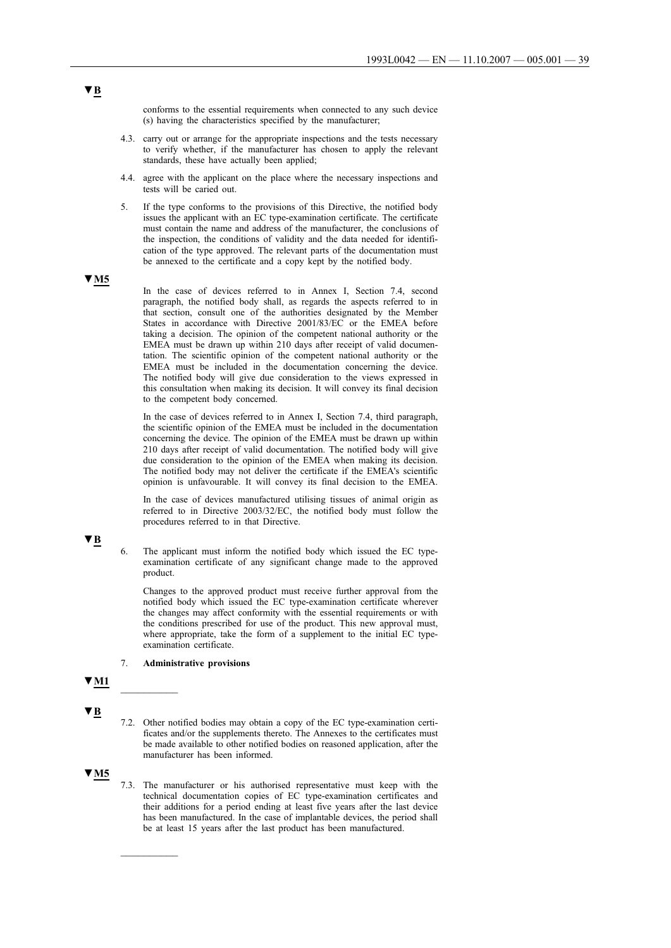conforms to the essential requirements when connected to any such device (s) having the characteristics specified by the manufacturer;

- 4.3. carry out or arrange for the appropriate inspections and the tests necessary to verify whether, if the manufacturer has chosen to apply the relevant standards, these have actually been applied;
- 4.4. agree with the applicant on the place where the necessary inspections and tests will be caried out.
- 5. If the type conforms to the provisions of this Directive, the notified body issues the applicant with an EC type-examination certificate. The certificate must contain the name and address of the manufacturer, the conclusions of the inspection, the conditions of validity and the data needed for identification of the type approved. The relevant parts of the documentation must be annexed to the certificate and a copy kept by the notified body.

## **▼M5**

In the case of devices referred to in Annex I, Section 7.4, second paragraph, the notified body shall, as regards the aspects referred to in that section, consult one of the authorities designated by the Member States in accordance with Directive 2001/83/EC or the EMEA before taking a decision. The opinion of the competent national authority or the EMEA must be drawn up within 210 days after receipt of valid documentation. The scientific opinion of the competent national authority or the EMEA must be included in the documentation concerning the device. The notified body will give due consideration to the views expressed in this consultation when making its decision. It will convey its final decision to the competent body concerned.

In the case of devices referred to in Annex I, Section 7.4, third paragraph, the scientific opinion of the EMEA must be included in the documentation concerning the device. The opinion of the EMEA must be drawn up within 210 days after receipt of valid documentation. The notified body will give due consideration to the opinion of the EMEA when making its decision. The notified body may not deliver the certificate if the EMEA's scientific opinion is unfavourable. It will convey its final decision to the EMEA.

In the case of devices manufactured utilising tissues of animal origin as referred to in Directive 2003/32/EC, the notified body must follow the procedures referred to in that Directive.

# **▼B**

6. The applicant must inform the notified body which issued the EC typeexamination certificate of any significant change made to the approved product.

Changes to the approved product must receive further approval from the notified body which issued the EC type-examination certificate wherever the changes may affect conformity with the essential requirements or with the conditions prescribed for use of the product. This new approval must, where appropriate, take the form of a supplement to the initial EC typeexamination certificate.

#### 7. **Administrative provisions**

### **▼M1** \_\_\_\_\_\_\_\_\_\_

### **▼B**

7.2. Other notified bodies may obtain a copy of the EC type-examination certificates and/or the supplements thereto. The Annexes to the certificates must be made available to other notified bodies on reasoned application, after the manufacturer has been informed.

# **▼M5**

 $\overline{\phantom{a}}$ 

7.3. The manufacturer or his authorised representative must keep with the technical documentation copies of EC type-examination certificates and their additions for a period ending at least five years after the last device has been manufactured. In the case of implantable devices, the period shall be at least 15 years after the last product has been manufactured.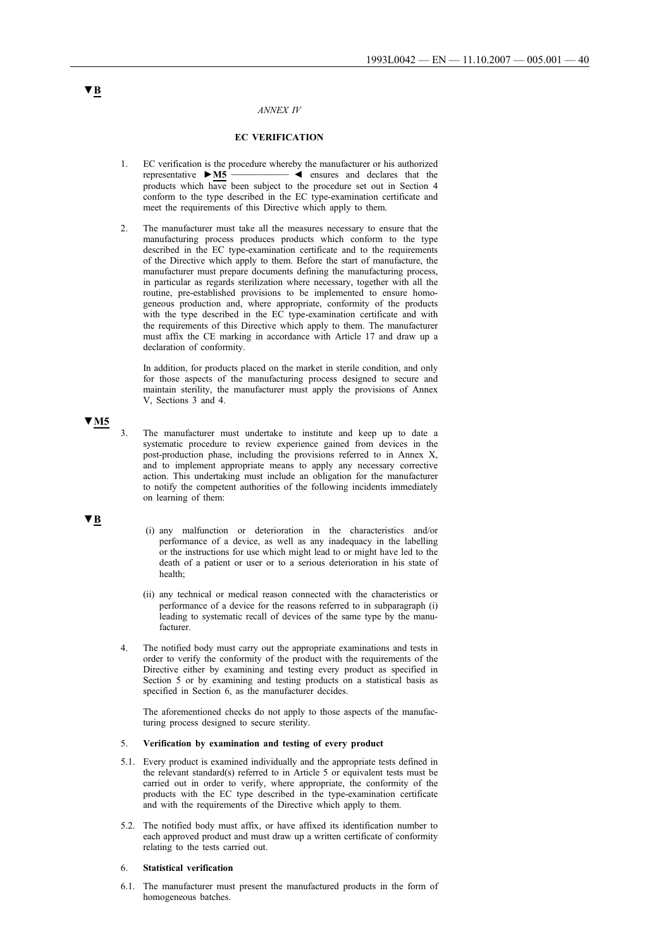#### *ANNEX IV*

### **EC VERIFICATION**

- 1. EC verification is the procedure whereby the manufacturer or his authorized representative  $\triangleright$  M5  $\longrightarrow$   $\blacktriangleleft$  ensures and declares that the **■ ■** ensures and declares that the products which have been subject to the procedure set out in Section 4 conform to the type described in the EC type-examination certificate and meet the requirements of this Directive which apply to them.
- 2. The manufacturer must take all the measures necessary to ensure that the manufacturing process produces products which conform to the type described in the EC type-examination certificate and to the requirements of the Directive which apply to them. Before the start of manufacture, the manufacturer must prepare documents defining the manufacturing process, in particular as regards sterilization where necessary, together with all the routine, pre-established provisions to be implemented to ensure homogeneous production and, where appropriate, conformity of the products with the type described in the EC type-examination certificate and with the requirements of this Directive which apply to them. The manufacturer must affix the CE marking in accordance with Article 17 and draw up a declaration of conformity.

In addition, for products placed on the market in sterile condition, and only for those aspects of the manufacturing process designed to secure and maintain sterility, the manufacturer must apply the provisions of Annex V, Sections 3 and 4.

# **▼M5**

The manufacturer must undertake to institute and keep up to date a systematic procedure to review experience gained from devices in the post-production phase, including the provisions referred to in Annex X, and to implement appropriate means to apply any necessary corrective action. This undertaking must include an obligation for the manufacturer to notify the competent authorities of the following incidents immediately on learning of them:

# **▼B**

- (i) any malfunction or deterioration in the characteristics and/or performance of a device, as well as any inadequacy in the labelling or the instructions for use which might lead to or might have led to the death of a patient or user or to a serious deterioration in his state of health;
- (ii) any technical or medical reason connected with the characteristics or performance of a device for the reasons referred to in subparagraph (i) leading to systematic recall of devices of the same type by the manufacturer.
- 4. The notified body must carry out the appropriate examinations and tests in order to verify the conformity of the product with the requirements of the Directive either by examining and testing every product as specified in Section 5 or by examining and testing products on a statistical basis as specified in Section 6, as the manufacturer decides.

The aforementioned checks do not apply to those aspects of the manufacturing process designed to secure sterility.

### 5. **Verification by examination and testing of every product**

- 5.1. Every product is examined individually and the appropriate tests defined in the relevant standard(s) referred to in Article 5 or equivalent tests must be carried out in order to verify, where appropriate, the conformity of the products with the EC type described in the type-examination certificate and with the requirements of the Directive which apply to them.
- 5.2. The notified body must affix, or have affixed its identification number to each approved product and must draw up a written certificate of conformity relating to the tests carried out.

#### 6. **Statistical verification**

6.1. The manufacturer must present the manufactured products in the form of homogeneous batches.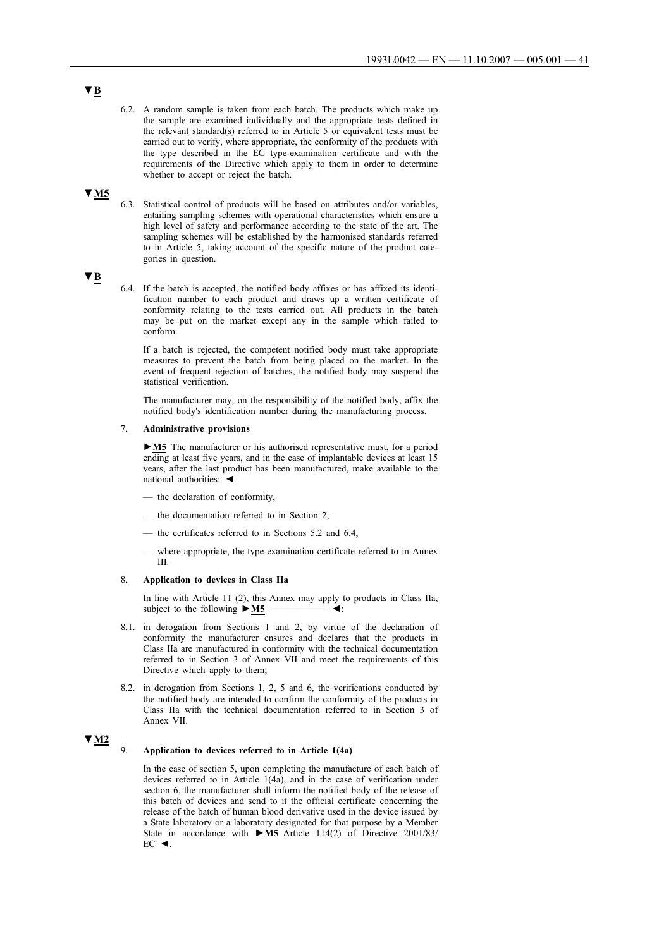6.2. A random sample is taken from each batch. The products which make up the sample are examined individually and the appropriate tests defined in the relevant standard(s) referred to in Article 5 or equivalent tests must be carried out to verify, where appropriate, the conformity of the products with the type described in the EC type-examination certificate and with the requirements of the Directive which apply to them in order to determine whether to accept or reject the batch.

# **▼M5**

6.3. Statistical control of products will be based on attributes and/or variables, entailing sampling schemes with operational characteristics which ensure a high level of safety and performance according to the state of the art. The sampling schemes will be established by the harmonised standards referred to in Article 5, taking account of the specific nature of the product categories in question.

# **▼B**

6.4. If the batch is accepted, the notified body affixes or has affixed its identification number to each product and draws up a written certificate of conformity relating to the tests carried out. All products in the batch may be put on the market except any in the sample which failed to conform.

If a batch is rejected, the competent notified body must take appropriate measures to prevent the batch from being placed on the market. In the event of frequent rejection of batches, the notified body may suspend the statistical verification.

The manufacturer may, on the responsibility of the notified body, affix the notified body's identification number during the manufacturing process.

### 7. **Administrative provisions**

**►M5** The manufacturer or his authorised representative must, for a period ending at least five years, and in the case of implantable devices at least 15 years, after the last product has been manufactured, make available to the national authorities: ◄

- the declaration of conformity,
- the documentation referred to in Section 2,
- the certificates referred to in Sections 5.2 and 6.4,
- where appropriate, the type-examination certificate referred to in Annex III.

#### 8. **Application to devices in Class IIa**

In line with Article 11 (2), this Annex may apply to products in Class IIa, subject to the following  $\triangleright$ M5 subject to the following  $\blacktriangleright$  **M5** –

- 8.1. in derogation from Sections 1 and 2, by virtue of the declaration of conformity the manufacturer ensures and declares that the products in Class IIa are manufactured in conformity with the technical documentation referred to in Section 3 of Annex VII and meet the requirements of this Directive which apply to them;
- 8.2. in derogation from Sections 1, 2, 5 and 6, the verifications conducted by the notified body are intended to confirm the conformity of the products in Class IIa with the technical documentation referred to in Section 3 of Annex VII.

# **▼M2**

## 9. **Application to devices referred to in Article 1(4a)**

In the case of section 5, upon completing the manufacture of each batch of devices referred to in Article 1(4a), and in the case of verification under section 6, the manufacturer shall inform the notified body of the release of this batch of devices and send to it the official certificate concerning the release of the batch of human blood derivative used in the device issued by a State laboratory or a laboratory designated for that purpose by a Member State in accordance with **►M5** Article 114(2) of Directive 2001/83/  $EC \blacktriangleleft$ .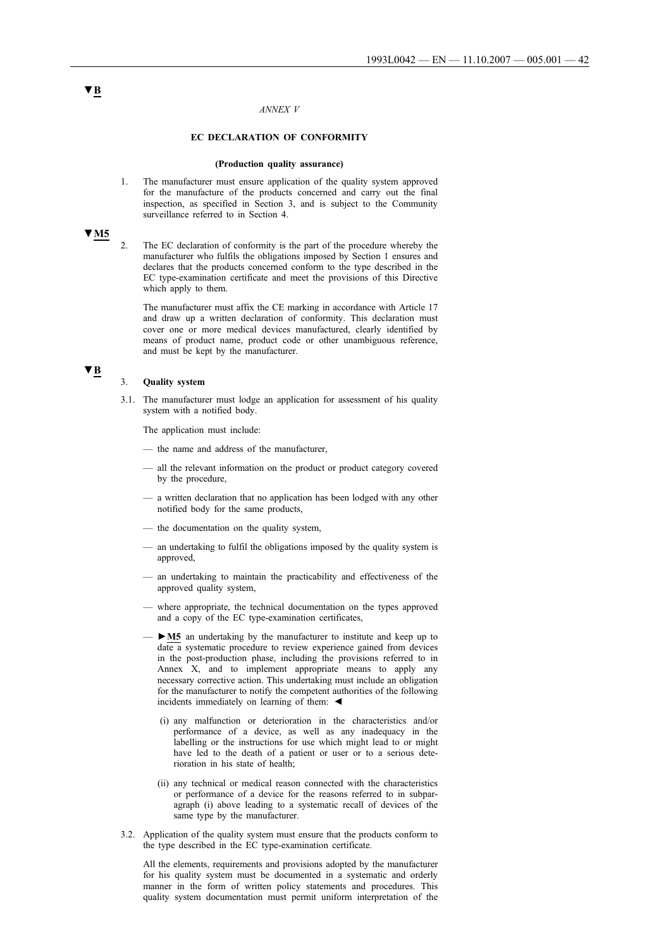### *ANNEX V*

### **EC DECLARATION OF CONFORMITY**

#### **(Production quality assurance)**

1. The manufacturer must ensure application of the quality system approved for the manufacture of the products concerned and carry out the final inspection, as specified in Section 3, and is subject to the Community surveillance referred to in Section 4.

## **▼M5**

2. The EC declaration of conformity is the part of the procedure whereby the manufacturer who fulfils the obligations imposed by Section 1 ensures and declares that the products concerned conform to the type described in the EC type-examination certificate and meet the provisions of this Directive which apply to them.

The manufacturer must affix the CE marking in accordance with Article 17 and draw up a written declaration of conformity. This declaration must cover one or more medical devices manufactured, clearly identified by means of product name, product code or other unambiguous reference, and must be kept by the manufacturer.

# 3. **Quality system**

3.1. The manufacturer must lodge an application for assessment of his quality system with a notified body.

The application must include:

- the name and address of the manufacturer,
- all the relevant information on the product or product category covered by the procedure,
- a written declaration that no application has been lodged with any other notified body for the same products,
- the documentation on the quality system,
- an undertaking to fulfil the obligations imposed by the quality system is approved,
- an undertaking to maintain the practicability and effectiveness of the approved quality system,
- where appropriate, the technical documentation on the types approved and a copy of the EC type-examination certificates,
- **►M5** an undertaking by the manufacturer to institute and keep up to date a systematic procedure to review experience gained from devices in the post-production phase, including the provisions referred to in Annex X, and to implement appropriate means to apply any necessary corrective action. This undertaking must include an obligation for the manufacturer to notify the competent authorities of the following incidents immediately on learning of them: ◄
	- (i) any malfunction or deterioration in the characteristics and/or performance of a device, as well as any inadequacy in the labelling or the instructions for use which might lead to or might have led to the death of a patient or user or to a serious deterioration in his state of health;
	- (ii) any technical or medical reason connected with the characteristics or performance of a device for the reasons referred to in subparagraph (i) above leading to a systematic recall of devices of the same type by the manufacturer.
- 3.2. Application of the quality system must ensure that the products conform to the type described in the EC type-examination certificate.

All the elements, requirements and provisions adopted by the manufacturer for his quality system must be documented in a systematic and orderly manner in the form of written policy statements and procedures. This quality system documentation must permit uniform interpretation of the

# **▼B**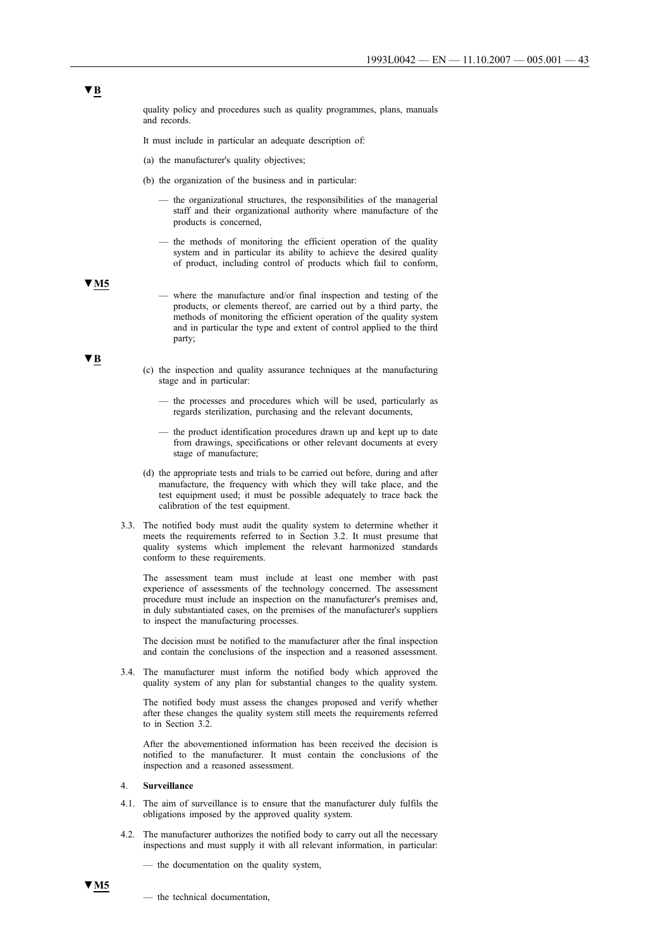quality policy and procedures such as quality programmes, plans, manuals and records.

It must include in particular an adequate description of:

- (a) the manufacturer's quality objectives;
- (b) the organization of the business and in particular:
	- the organizational structures, the responsibilities of the managerial staff and their organizational authority where manufacture of the products is concerned,
	- the methods of monitoring the efficient operation of the quality system and in particular its ability to achieve the desired quality of product, including control of products which fail to conform,

**▼M5**

**▼B**

— where the manufacture and/or final inspection and testing of the products, or elements thereof, are carried out by a third party, the methods of monitoring the efficient operation of the quality system and in particular the type and extent of control applied to the third party;

### **▼B**

- (c) the inspection and quality assurance techniques at the manufacturing stage and in particular:
	- the processes and procedures which will be used, particularly as regards sterilization, purchasing and the relevant documents,
	- the product identification procedures drawn up and kept up to date from drawings, specifications or other relevant documents at every stage of manufacture;
- (d) the appropriate tests and trials to be carried out before, during and after manufacture, the frequency with which they will take place, and the test equipment used; it must be possible adequately to trace back the calibration of the test equipment.
- 3.3. The notified body must audit the quality system to determine whether it meets the requirements referred to in Section 3.2. It must presume that quality systems which implement the relevant harmonized standards conform to these requirements.

The assessment team must include at least one member with past experience of assessments of the technology concerned. The assessment procedure must include an inspection on the manufacturer's premises and, in duly substantiated cases, on the premises of the manufacturer's suppliers to inspect the manufacturing processes.

The decision must be notified to the manufacturer after the final inspection and contain the conclusions of the inspection and a reasoned assessment.

3.4. The manufacturer must inform the notified body which approved the quality system of any plan for substantial changes to the quality system.

The notified body must assess the changes proposed and verify whether after these changes the quality system still meets the requirements referred to in Section 3.2.

After the abovementioned information has been received the decision is notified to the manufacturer. It must contain the conclusions of the inspection and a reasoned assessment.

#### 4. **Surveillance**

- 4.1. The aim of surveillance is to ensure that the manufacturer duly fulfils the obligations imposed by the approved quality system.
- 4.2. The manufacturer authorizes the notified body to carry out all the necessary inspections and must supply it with all relevant information, in particular:
	- the documentation on the quality system,

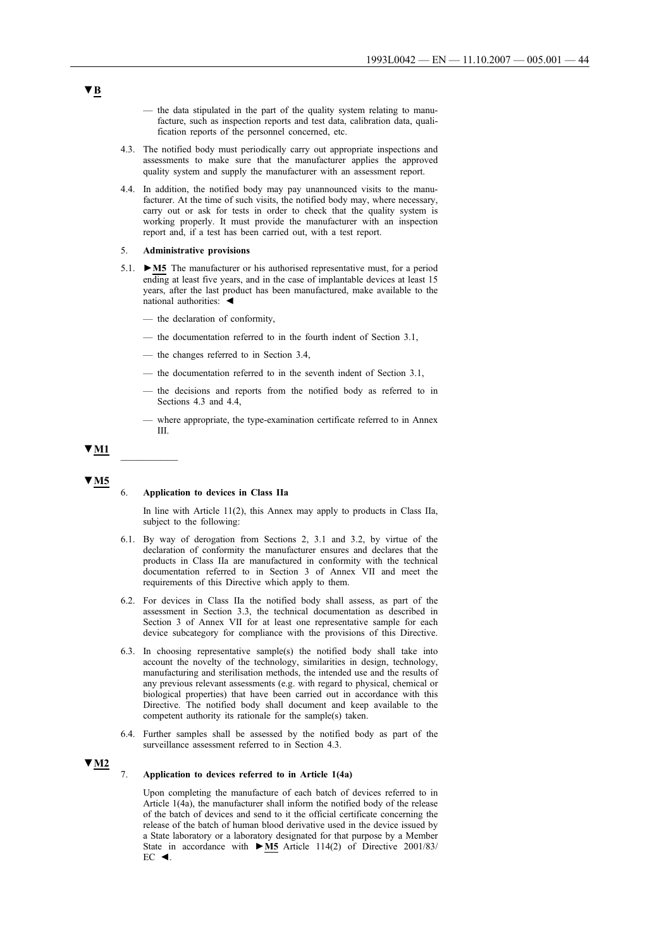- the data stipulated in the part of the quality system relating to manufacture, such as inspection reports and test data, calibration data, qualification reports of the personnel concerned, etc.
- 4.3. The notified body must periodically carry out appropriate inspections and assessments to make sure that the manufacturer applies the approved quality system and supply the manufacturer with an assessment report.
- 4.4. In addition, the notified body may pay unannounced visits to the manufacturer. At the time of such visits, the notified body may, where necessary, carry out or ask for tests in order to check that the quality system is working properly. It must provide the manufacturer with an inspection report and, if a test has been carried out, with a test report.

#### 5. **Administrative provisions**

- 5.1. **►M5** The manufacturer or his authorised representative must, for a period ending at least five years, and in the case of implantable devices at least 15 years, after the last product has been manufactured, make available to the national authorities: ◄
	- the declaration of conformity,
	- the documentation referred to in the fourth indent of Section 3.1,
	- the changes referred to in Section 3.4,
	- the documentation referred to in the seventh indent of Section 3.1,
	- the decisions and reports from the notified body as referred to in Sections 4.3 and 4.4,
	- where appropriate, the type-examination certificate referred to in Annex III.

## **▼M1** \_\_\_\_\_\_\_\_\_\_

## **▼M5**

### 6. **Application to devices in Class IIa**

In line with Article 11(2), this Annex may apply to products in Class IIa, subject to the following:

- 6.1. By way of derogation from Sections 2, 3.1 and 3.2, by virtue of the declaration of conformity the manufacturer ensures and declares that the products in Class IIa are manufactured in conformity with the technical documentation referred to in Section 3 of Annex VII and meet the requirements of this Directive which apply to them.
- 6.2. For devices in Class IIa the notified body shall assess, as part of the assessment in Section 3.3, the technical documentation as described in Section 3 of Annex VII for at least one representative sample for each device subcategory for compliance with the provisions of this Directive.
- 6.3. In choosing representative sample(s) the notified body shall take into account the novelty of the technology, similarities in design, technology, manufacturing and sterilisation methods, the intended use and the results of any previous relevant assessments (e.g. with regard to physical, chemical or biological properties) that have been carried out in accordance with this Directive. The notified body shall document and keep available to the competent authority its rationale for the sample(s) taken.
- 6.4. Further samples shall be assessed by the notified body as part of the surveillance assessment referred to in Section 4.3.

## **▼M2**

### 7. **Application to devices referred to in Article 1(4a)**

Upon completing the manufacture of each batch of devices referred to in Article 1(4a), the manufacturer shall inform the notified body of the release of the batch of devices and send to it the official certificate concerning the release of the batch of human blood derivative used in the device issued by a State laboratory or a laboratory designated for that purpose by a Member State in accordance with **►M5** Article 114(2) of Directive 2001/83/ EC  $\blacktriangleleft$ .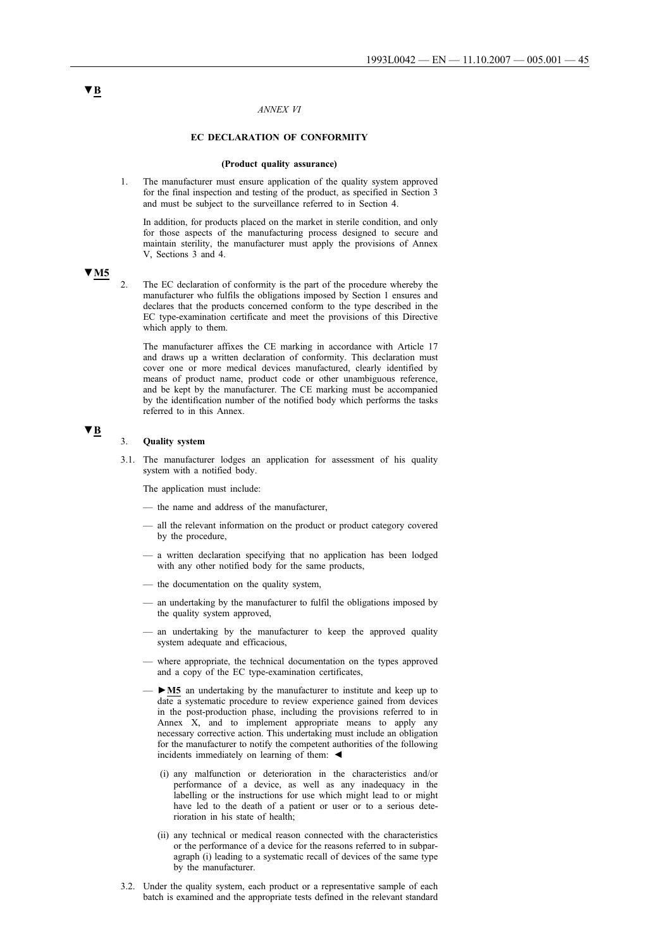#### *ANNEX VI*

### **EC DECLARATION OF CONFORMITY**

#### **(Product quality assurance)**

1. The manufacturer must ensure application of the quality system approved for the final inspection and testing of the product, as specified in Section 3 and must be subject to the surveillance referred to in Section 4.

In addition, for products placed on the market in sterile condition, and only for those aspects of the manufacturing process designed to secure and maintain sterility, the manufacturer must apply the provisions of Annex V, Sections 3 and 4.

**▼M5**

2. The EC declaration of conformity is the part of the procedure whereby the manufacturer who fulfils the obligations imposed by Section 1 ensures and declares that the products concerned conform to the type described in the EC type-examination certificate and meet the provisions of this Directive which apply to them.

The manufacturer affixes the CE marking in accordance with Article 17 and draws up a written declaration of conformity. This declaration must cover one or more medical devices manufactured, clearly identified by means of product name, product code or other unambiguous reference, and be kept by the manufacturer. The CE marking must be accompanied by the identification number of the notified body which performs the tasks referred to in this Annex.

# **▼B**

### 3. **Quality system**

3.1. The manufacturer lodges an application for assessment of his quality system with a notified body.

The application must include:

- the name and address of the manufacturer,
- all the relevant information on the product or product category covered by the procedure,
- a written declaration specifying that no application has been lodged with any other notified body for the same products,
- the documentation on the quality system,
- an undertaking by the manufacturer to fulfil the obligations imposed by the quality system approved,
- an undertaking by the manufacturer to keep the approved quality system adequate and efficacious,
- where appropriate, the technical documentation on the types approved and a copy of the EC type-examination certificates,
- **►M5** an undertaking by the manufacturer to institute and keep up to date a systematic procedure to review experience gained from devices in the post-production phase, including the provisions referred to in Annex X, and to implement appropriate means to apply any necessary corrective action. This undertaking must include an obligation for the manufacturer to notify the competent authorities of the following incidents immediately on learning of them: ◄
	- (i) any malfunction or deterioration in the characteristics and/or performance of a device, as well as any inadequacy in the labelling or the instructions for use which might lead to or might have led to the death of a patient or user or to a serious deterioration in his state of health;
	- (ii) any technical or medical reason connected with the characteristics or the performance of a device for the reasons referred to in subparagraph (i) leading to a systematic recall of devices of the same type by the manufacturer.
- 3.2. Under the quality system, each product or a representative sample of each batch is examined and the appropriate tests defined in the relevant standard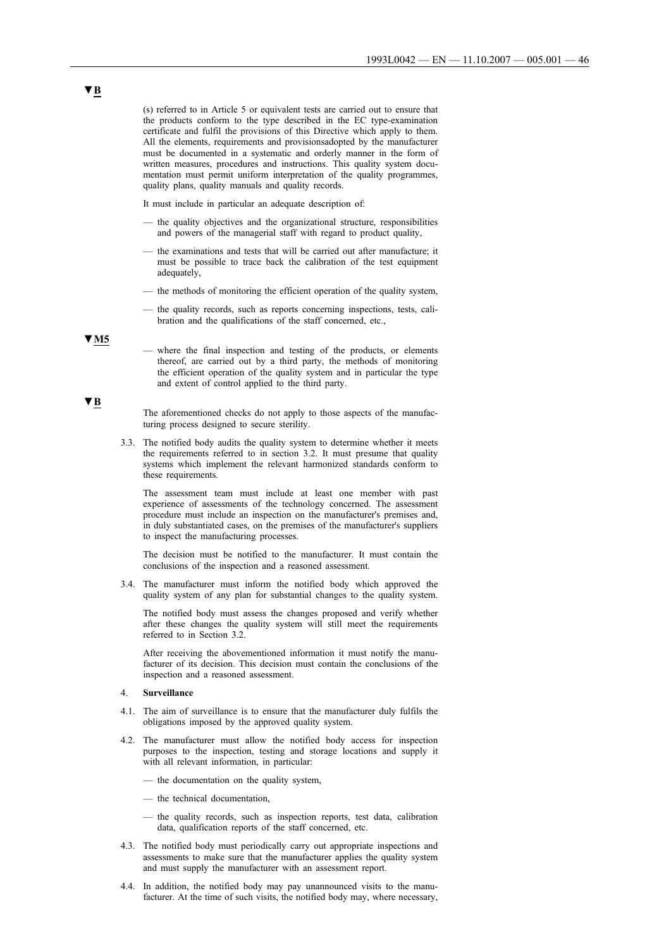(s) referred to in Article 5 or equivalent tests are carried out to ensure that the products conform to the type described in the EC type-examination certificate and fulfil the provisions of this Directive which apply to them. All the elements, requirements and provisionsadopted by the manufacturer must be documented in a systematic and orderly manner in the form of written measures, procedures and instructions. This quality system documentation must permit uniform interpretation of the quality programmes, quality plans, quality manuals and quality records.

It must include in particular an adequate description of:

- the quality objectives and the organizational structure, responsibilities and powers of the managerial staff with regard to product quality,
- the examinations and tests that will be carried out after manufacture; it must be possible to trace back the calibration of the test equipment adequately,
- the methods of monitoring the efficient operation of the quality system,
- the quality records, such as reports concerning inspections, tests, calibration and the qualifications of the staff concerned, etc.,

### **▼M5**

**▼B**

where the final inspection and testing of the products, or elements thereof, are carried out by a third party, the methods of monitoring the efficient operation of the quality system and in particular the type and extent of control applied to the third party.

The aforementioned checks do not apply to those aspects of the manufacturing process designed to secure sterility.

3.3. The notified body audits the quality system to determine whether it meets the requirements referred to in section 3.2. It must presume that quality systems which implement the relevant harmonized standards conform to these requirements.

The assessment team must include at least one member with past experience of assessments of the technology concerned. The assessment procedure must include an inspection on the manufacturer's premises and, in duly substantiated cases, on the premises of the manufacturer's suppliers to inspect the manufacturing processes.

The decision must be notified to the manufacturer. It must contain the conclusions of the inspection and a reasoned assessment.

3.4. The manufacturer must inform the notified body which approved the quality system of any plan for substantial changes to the quality system.

The notified body must assess the changes proposed and verify whether after these changes the quality system will still meet the requirements referred to in Section 3.2.

After receiving the abovementioned information it must notify the manufacturer of its decision. This decision must contain the conclusions of the inspection and a reasoned assessment.

#### 4. **Surveillance**

- 4.1. The aim of surveillance is to ensure that the manufacturer duly fulfils the obligations imposed by the approved quality system.
- 4.2. The manufacturer must allow the notified body access for inspection purposes to the inspection, testing and storage locations and supply it with all relevant information, in particular:
	- the documentation on the quality system,
	- the technical documentation,
	- the quality records, such as inspection reports, test data, calibration data, qualification reports of the staff concerned, etc.
- 4.3. The notified body must periodically carry out appropriate inspections and assessments to make sure that the manufacturer applies the quality system and must supply the manufacturer with an assessment report.
- 4.4. In addition, the notified body may pay unannounced visits to the manufacturer. At the time of such visits, the notified body may, where necessary,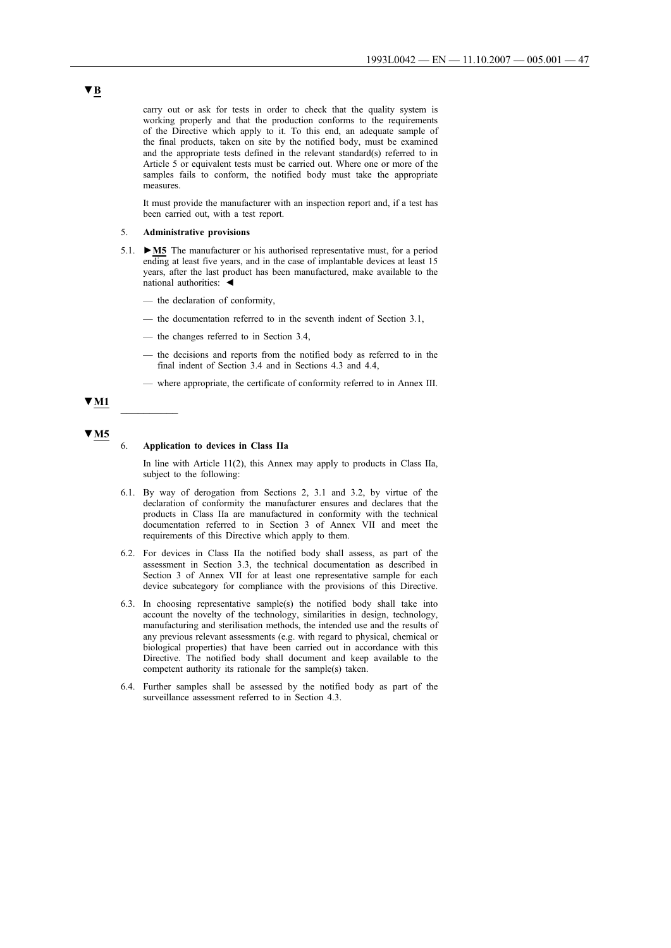carry out or ask for tests in order to check that the quality system is working properly and that the production conforms to the requirements of the Directive which apply to it. To this end, an adequate sample of the final products, taken on site by the notified body, must be examined and the appropriate tests defined in the relevant standard(s) referred to in Article 5 or equivalent tests must be carried out. Where one or more of the samples fails to conform, the notified body must take the appropriate measures.

It must provide the manufacturer with an inspection report and, if a test has been carried out, with a test report.

#### 5. **Administrative provisions**

- 5.1. **►M5** The manufacturer or his authorised representative must, for a period ending at least five years, and in the case of implantable devices at least 15 years, after the last product has been manufactured, make available to the national authorities: ◄
	- the declaration of conformity,
	- the documentation referred to in the seventh indent of Section 3.1,
	- the changes referred to in Section 3.4,
	- the decisions and reports from the notified body as referred to in the final indent of Section 3.4 and in Sections 4.3 and 4.4,
	- where appropriate, the certificate of conformity referred to in Annex III.

## **▼M1** \_\_\_\_\_\_\_\_\_\_

# **▼M5**

#### 6. **Application to devices in Class IIa**

In line with Article 11(2), this Annex may apply to products in Class IIa, subject to the following:

- 6.1. By way of derogation from Sections 2, 3.1 and 3.2, by virtue of the declaration of conformity the manufacturer ensures and declares that the products in Class IIa are manufactured in conformity with the technical documentation referred to in Section 3 of Annex VII and meet the requirements of this Directive which apply to them.
- 6.2. For devices in Class IIa the notified body shall assess, as part of the assessment in Section 3.3, the technical documentation as described in Section 3 of Annex VII for at least one representative sample for each device subcategory for compliance with the provisions of this Directive.
- 6.3. In choosing representative sample(s) the notified body shall take into account the novelty of the technology, similarities in design, technology, manufacturing and sterilisation methods, the intended use and the results of any previous relevant assessments (e.g. with regard to physical, chemical or biological properties) that have been carried out in accordance with this Directive. The notified body shall document and keep available to the competent authority its rationale for the sample(s) taken.
- 6.4. Further samples shall be assessed by the notified body as part of the surveillance assessment referred to in Section 4.3.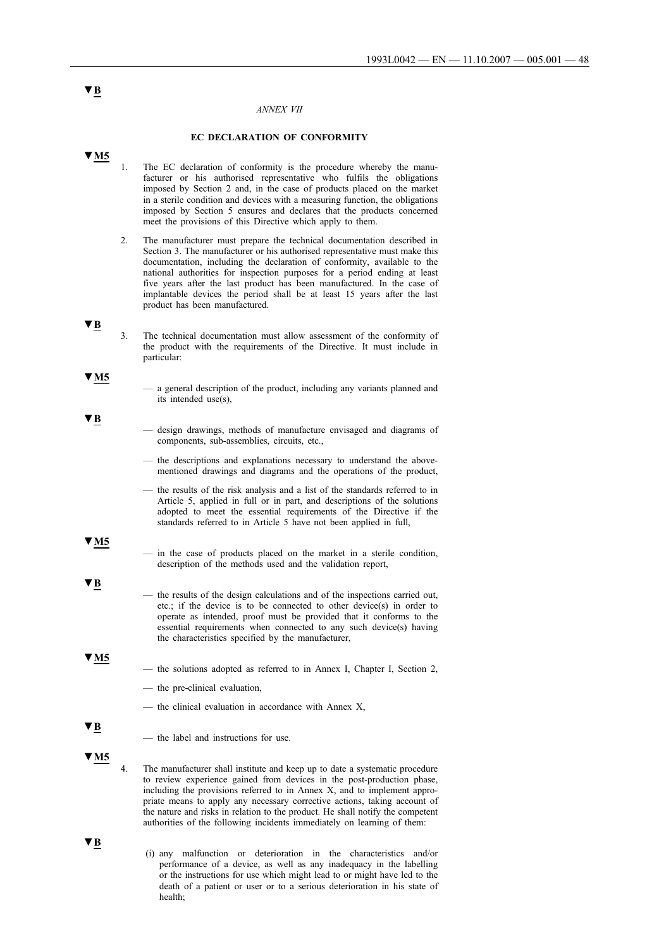### *ANNEX VII*

### **EC DECLARATION OF CONFORMITY**

# **▼M5**

- 1. The EC declaration of conformity is the procedure whereby the manufacturer or his authorised representative who fulfils the obligations imposed by Section 2 and, in the case of products placed on the market in a sterile condition and devices with a measuring function, the obligations imposed by Section 5 ensures and declares that the products concerned meet the provisions of this Directive which apply to them.
- 2. The manufacturer must prepare the technical documentation described in Section 3. The manufacturer or his authorised representative must make this documentation, including the declaration of conformity, available to the national authorities for inspection purposes for a period ending at least five years after the last product has been manufactured. In the case of implantable devices the period shall be at least 15 years after the last product has been manufactured.

## **▼B**

3. The technical documentation must allow assessment of the conformity of the product with the requirements of the Directive. It must include in particular:

### **▼M5**

- **▼B**
- design drawings, methods of manufacture envisaged and diagrams of components, sub-assemblies, circuits, etc.,

— a general description of the product, including any variants planned and

- the descriptions and explanations necessary to understand the abovementioned drawings and diagrams and the operations of the product,
- the results of the risk analysis and a list of the standards referred to in Article 5, applied in full or in part, and descriptions of the solutions adopted to meet the essential requirements of the Directive if the standards referred to in Article 5 have not been applied in full,

### **▼M5**

**▼B**

- in the case of products placed on the market in a sterile condition, description of the methods used and the validation report,
- the results of the design calculations and of the inspections carried out, etc.; if the device is to be connected to other device(s) in order to operate as intended, proof must be provided that it conforms to the essential requirements when connected to any such device(s) having the characteristics specified by the manufacturer,

### **▼M5**

- the solutions adopted as referred to in Annex I, Chapter I, Section 2,
	- the pre-clinical evaluation,

its intended use(s),

— the clinical evaluation in accordance with Annex X,

# **▼B**

— the label and instructions for use.

# **▼M5**

4. The manufacturer shall institute and keep up to date a systematic procedure to review experience gained from devices in the post-production phase, including the provisions referred to in Annex X, and to implement appropriate means to apply any necessary corrective actions, taking account of the nature and risks in relation to the product. He shall notify the competent authorities of the following incidents immediately on learning of them:

**▼B**

(i) any malfunction or deterioration in the characteristics and/or performance of a device, as well as any inadequacy in the labelling or the instructions for use which might lead to or might have led to the death of a patient or user or to a serious deterioration in his state of health;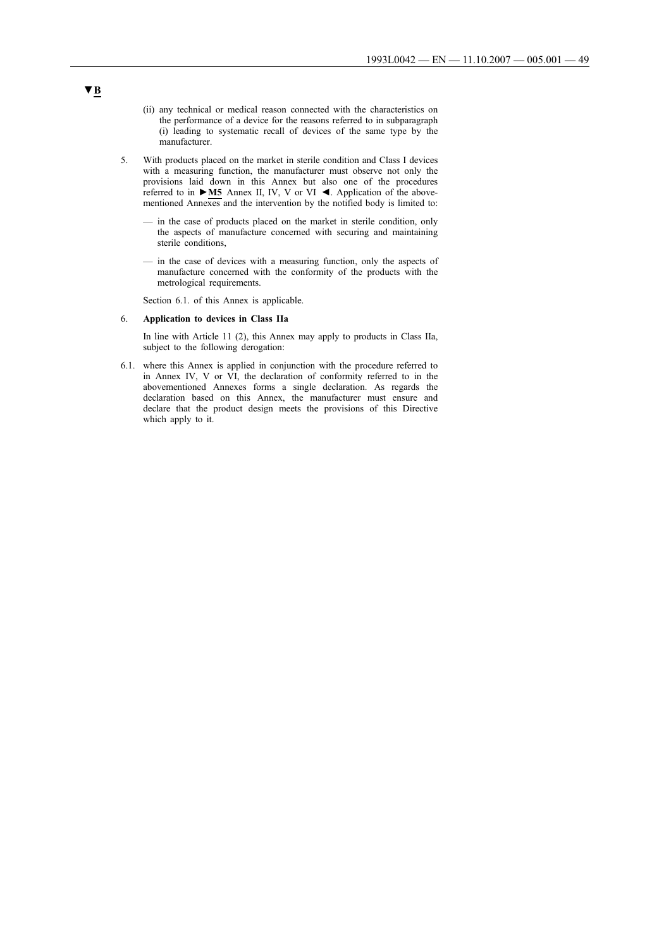- (ii) any technical or medical reason connected with the characteristics on the performance of a device for the reasons referred to in subparagraph (i) leading to systematic recall of devices of the same type by the manufacturer.
- 5. With products placed on the market in sterile condition and Class I devices with a measuring function, the manufacturer must observe not only the provisions laid down in this Annex but also one of the procedures referred to in **►M5** Annex II, IV, V or VI ◄. Application of the abovementioned Annexes and the intervention by the notified body is limited to:
	- in the case of products placed on the market in sterile condition, only the aspects of manufacture concerned with securing and maintaining sterile conditions,
	- in the case of devices with a measuring function, only the aspects of manufacture concerned with the conformity of the products with the metrological requirements.

Section 6.1. of this Annex is applicable.

#### 6. **Application to devices in Class IIa**

In line with Article 11 (2), this Annex may apply to products in Class IIa, subject to the following derogation:

6.1. where this Annex is applied in conjunction with the procedure referred to in Annex IV, V or VI, the declaration of conformity referred to in the abovementioned Annexes forms a single declaration. As regards the declaration based on this Annex, the manufacturer must ensure and declare that the product design meets the provisions of this Directive which apply to it.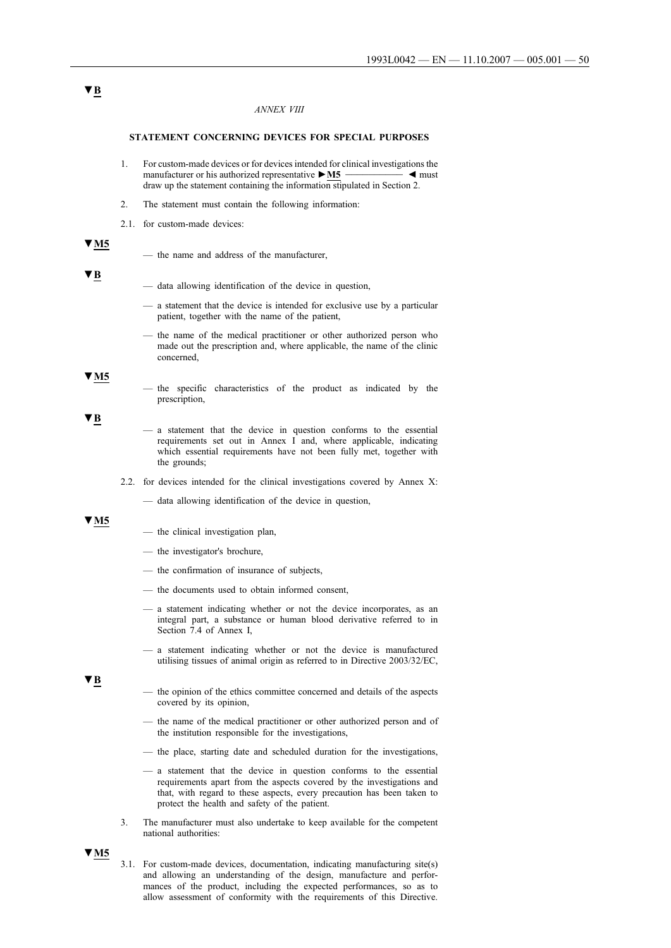#### *ANNEX VIII*

### **STATEMENT CONCERNING DEVICES FOR SPECIAL PURPOSES**

- 1. For custom-made devices or for devices intended for clinical investigations the manufacturer or his authorized representative **►M5** \_\_\_\_\_\_\_\_\_\_ ◄ must draw up the statement containing the information stipulated in Section 2.
- 2. The statement must contain the following information:
- 2.1. for custom-made devices:

# **▼M5**

— the name and address of the manufacturer,

# **▼B**

- data allowing identification of the device in question,
- a statement that the device is intended for exclusive use by a particular patient, together with the name of the patient,
- the name of the medical practitioner or other authorized person who made out the prescription and, where applicable, the name of the clinic concerned,

### **▼M5**

— the specific characteristics of the product as indicated by the prescription,

#### **▼B**

- a statement that the device in question conforms to the essential requirements set out in Annex I and, where applicable, indicating which essential requirements have not been fully met, together with the grounds;
- 2.2. for devices intended for the clinical investigations covered by Annex X:
	- data allowing identification of the device in question,

## **▼M5**

**▼B**

- the clinical investigation plan,
- the investigator's brochure,
- the confirmation of insurance of subjects,
- the documents used to obtain informed consent,
- a statement indicating whether or not the device incorporates, as an integral part, a substance or human blood derivative referred to in Section 7.4 of Annex I,
- a statement indicating whether or not the device is manufactured utilising tissues of animal origin as referred to in Directive 2003/32/EC,
- the opinion of the ethics committee concerned and details of the aspects covered by its opinion,
- the name of the medical practitioner or other authorized person and of the institution responsible for the investigations,
- the place, starting date and scheduled duration for the investigations,
- a statement that the device in question conforms to the essential requirements apart from the aspects covered by the investigations and that, with regard to these aspects, every precaution has been taken to protect the health and safety of the patient.
- 3. The manufacturer must also undertake to keep available for the competent national authorities:

**▼M5**

3.1. For custom-made devices, documentation, indicating manufacturing site(s) and allowing an understanding of the design, manufacture and performances of the product, including the expected performances, so as to allow assessment of conformity with the requirements of this Directive.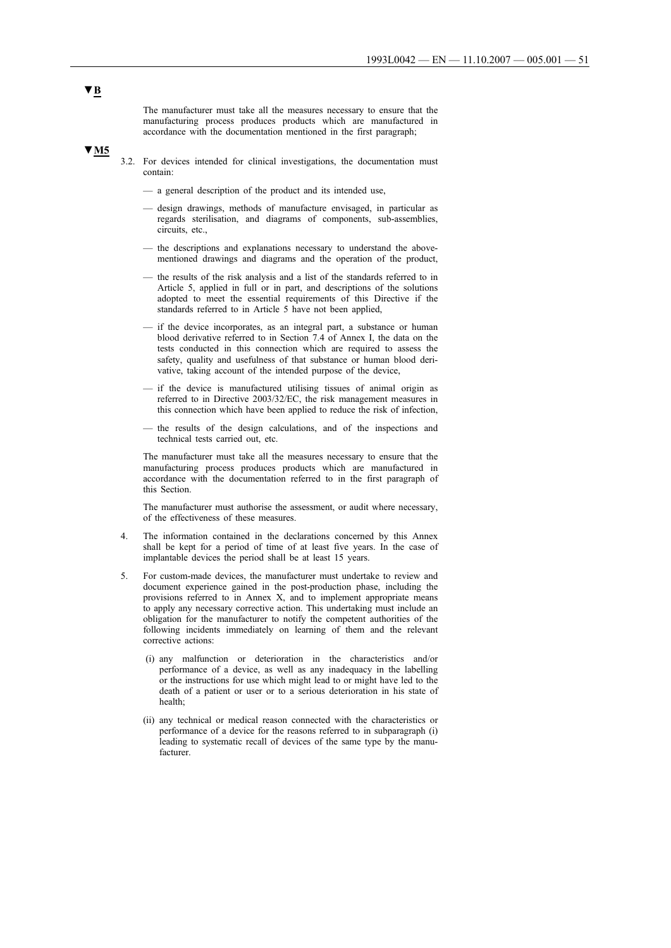The manufacturer must take all the measures necessary to ensure that the manufacturing process produces products which are manufactured in accordance with the documentation mentioned in the first paragraph;

- **▼M5**
- 3.2. For devices intended for clinical investigations, the documentation must contain:
	- a general description of the product and its intended use,
	- design drawings, methods of manufacture envisaged, in particular as regards sterilisation, and diagrams of components, sub-assemblies, circuits, etc.,
	- the descriptions and explanations necessary to understand the abovementioned drawings and diagrams and the operation of the product,
	- the results of the risk analysis and a list of the standards referred to in Article 5, applied in full or in part, and descriptions of the solutions adopted to meet the essential requirements of this Directive if the standards referred to in Article 5 have not been applied,
	- if the device incorporates, as an integral part, a substance or human blood derivative referred to in Section 7.4 of Annex I, the data on the tests conducted in this connection which are required to assess the safety, quality and usefulness of that substance or human blood derivative, taking account of the intended purpose of the device,
	- if the device is manufactured utilising tissues of animal origin as referred to in Directive 2003/32/EC, the risk management measures in this connection which have been applied to reduce the risk of infection,
	- the results of the design calculations, and of the inspections and technical tests carried out, etc.

The manufacturer must take all the measures necessary to ensure that the manufacturing process produces products which are manufactured in accordance with the documentation referred to in the first paragraph of this Section.

The manufacturer must authorise the assessment, or audit where necessary, of the effectiveness of these measures.

- 4. The information contained in the declarations concerned by this Annex shall be kept for a period of time of at least five years. In the case of implantable devices the period shall be at least 15 years.
- 5. For custom-made devices, the manufacturer must undertake to review and document experience gained in the post-production phase, including the provisions referred to in Annex X, and to implement appropriate means to apply any necessary corrective action. This undertaking must include an obligation for the manufacturer to notify the competent authorities of the following incidents immediately on learning of them and the relevant corrective actions:
	- (i) any malfunction or deterioration in the characteristics and/or performance of a device, as well as any inadequacy in the labelling or the instructions for use which might lead to or might have led to the death of a patient or user or to a serious deterioration in his state of health;
	- (ii) any technical or medical reason connected with the characteristics or performance of a device for the reasons referred to in subparagraph (i) leading to systematic recall of devices of the same type by the manufacturer.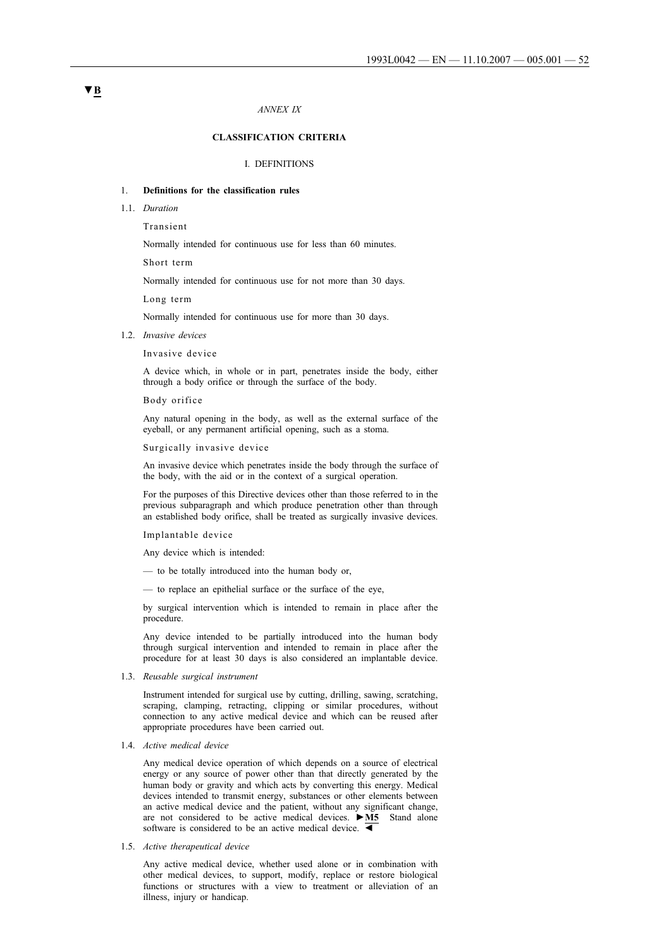#### *ANNEX IX*

### **CLASSIFICATION CRITERIA**

#### I. DEFINITIONS

### 1. **Definitions for the classification rules**

1.1. *Duration*

Transient

Normally intended for continuous use for less than 60 minutes.

Short term

Normally intended for continuous use for not more than 30 days.

Long term

Normally intended for continuous use for more than 30 days.

1.2. *Invasive devices*

Invasive device

A device which, in whole or in part, penetrates inside the body, either through a body orifice or through the surface of the body.

Body orifice

Any natural opening in the body, as well as the external surface of the eyeball, or any permanent artificial opening, such as a stoma.

Surgically invasive device

An invasive device which penetrates inside the body through the surface of the body, with the aid or in the context of a surgical operation.

For the purposes of this Directive devices other than those referred to in the previous subparagraph and which produce penetration other than through an established body orifice, shall be treated as surgically invasive devices.

Implantable device

Any device which is intended:

- to be totally introduced into the human body or,
- to replace an epithelial surface or the surface of the eye,

by surgical intervention which is intended to remain in place after the procedure.

Any device intended to be partially introduced into the human body through surgical intervention and intended to remain in place after the procedure for at least 30 days is also considered an implantable device.

1.3. *Reusable surgical instrument*

Instrument intended for surgical use by cutting, drilling, sawing, scratching, scraping, clamping, retracting, clipping or similar procedures, without connection to any active medical device and which can be reused after appropriate procedures have been carried out.

1.4. *Active medical device*

Any medical device operation of which depends on a source of electrical energy or any source of power other than that directly generated by the human body or gravity and which acts by converting this energy. Medical devices intended to transmit energy, substances or other elements between an active medical device and the patient, without any significant change, are not considered to be active medical devices. **►M5** Stand alone software is considered to be an active medical device.  $\blacktriangleleft$ 

1.5. *Active therapeutical device*

Any active medical device, whether used alone or in combination with other medical devices, to support, modify, replace or restore biological functions or structures with a view to treatment or alleviation of an illness, injury or handicap.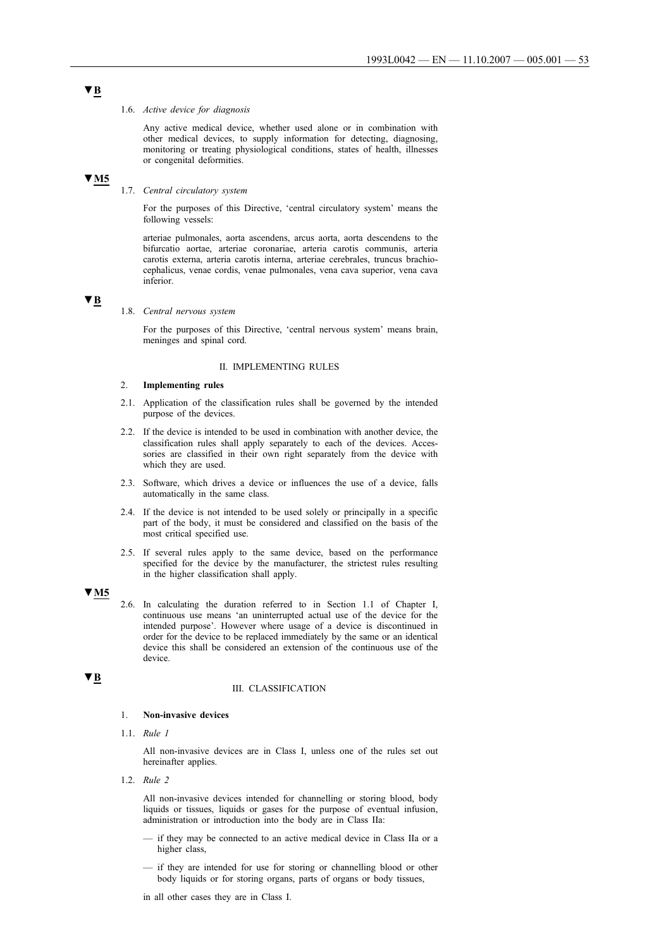#### 1.6. *Active device for diagnosis*

Any active medical device, whether used alone or in combination with other medical devices, to supply information for detecting, diagnosing, monitoring or treating physiological conditions, states of health, illnesses or congenital deformities.

# **▼M5**

## 1.7. *Central circulatory system*

For the purposes of this Directive, 'central circulatory system' means the following vessels:

arteriae pulmonales, aorta ascendens, arcus aorta, aorta descendens to the bifurcatio aortae, arteriae coronariae, arteria carotis communis, arteria carotis externa, arteria carotis interna, arteriae cerebrales, truncus brachiocephalicus, venae cordis, venae pulmonales, vena cava superior, vena cava inferior.

### **▼B**

#### 1.8. *Central nervous system*

For the purposes of this Directive, 'central nervous system' means brain, meninges and spinal cord.

### II. IMPLEMENTING RULES

#### 2. **Implementing rules**

- 2.1. Application of the classification rules shall be governed by the intended purpose of the devices.
- 2.2. If the device is intended to be used in combination with another device, the classification rules shall apply separately to each of the devices. Accessories are classified in their own right separately from the device with which they are used.
- 2.3. Software, which drives a device or influences the use of a device, falls automatically in the same class.
- 2.4. If the device is not intended to be used solely or principally in a specific part of the body, it must be considered and classified on the basis of the most critical specified use.
- 2.5. If several rules apply to the same device, based on the performance specified for the device by the manufacturer, the strictest rules resulting in the higher classification shall apply.

### **▼M5**

**▼B**

2.6. In calculating the duration referred to in Section 1.1 of Chapter I, continuous use means 'an uninterrupted actual use of the device for the intended purpose'. However where usage of a device is discontinued in order for the device to be replaced immediately by the same or an identical device this shall be considered an extension of the continuous use of the device.

### III. CLASSIFICATION

### 1. **Non-invasive devices**

1.1. *Rule 1*

All non-invasive devices are in Class I, unless one of the rules set out hereinafter applies.

1.2. *Rule 2*

All non-invasive devices intended for channelling or storing blood, body liquids or tissues, liquids or gases for the purpose of eventual infusion, administration or introduction into the body are in Class IIa:

- if they may be connected to an active medical device in Class IIa or a higher class,
- if they are intended for use for storing or channelling blood or other body liquids or for storing organs, parts of organs or body tissues,

### in all other cases they are in Class I.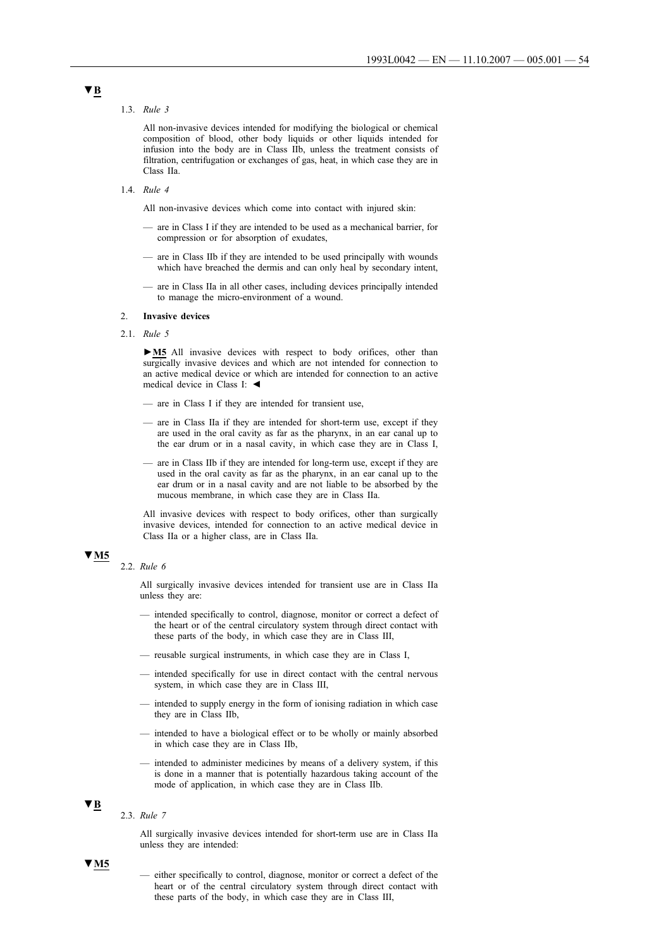#### 1.3. *Rule 3*

All non-invasive devices intended for modifying the biological or chemical composition of blood, other body liquids or other liquids intended for infusion into the body are in Class IIb, unless the treatment consists of filtration, centrifugation or exchanges of gas, heat, in which case they are in Class IIa.

1.4. *Rule 4*

All non-invasive devices which come into contact with injured skin:

- are in Class I if they are intended to be used as a mechanical barrier, for compression or for absorption of exudates,
- are in Class IIb if they are intended to be used principally with wounds which have breached the dermis and can only heal by secondary intent,
- are in Class IIa in all other cases, including devices principally intended to manage the micro-environment of a wound.

#### 2. **Invasive devices**

2.1. *Rule 5*

**►M5** All invasive devices with respect to body orifices, other than surgically invasive devices and which are not intended for connection to an active medical device or which are intended for connection to an active medical device in Class I: ◄

- are in Class I if they are intended for transient use,
- are in Class IIa if they are intended for short-term use, except if they are used in the oral cavity as far as the pharynx, in an ear canal up to the ear drum or in a nasal cavity, in which case they are in Class I,
- are in Class IIb if they are intended for long-term use, except if they are used in the oral cavity as far as the pharynx, in an ear canal up to the ear drum or in a nasal cavity and are not liable to be absorbed by the mucous membrane, in which case they are in Class IIa.

All invasive devices with respect to body orifices, other than surgically invasive devices, intended for connection to an active medical device in Class IIa or a higher class, are in Class IIa.

# **▼M5**

# 2.2. *Rule 6*

All surgically invasive devices intended for transient use are in Class IIa unless they are:

- intended specifically to control, diagnose, monitor or correct a defect of the heart or of the central circulatory system through direct contact with these parts of the body, in which case they are in Class III,
- reusable surgical instruments, in which case they are in Class I,
- intended specifically for use in direct contact with the central nervous system, in which case they are in Class III,
- intended to supply energy in the form of ionising radiation in which case they are in Class IIb,
- intended to have a biological effect or to be wholly or mainly absorbed in which case they are in Class IIb,
- intended to administer medicines by means of a delivery system, if this is done in a manner that is potentially hazardous taking account of the mode of application, in which case they are in Class IIb.

### **▼B**

### 2.3. *Rule 7*

All surgically invasive devices intended for short-term use are in Class IIa unless they are intended:

## **▼M5**

— either specifically to control, diagnose, monitor or correct a defect of the heart or of the central circulatory system through direct contact with these parts of the body, in which case they are in Class III,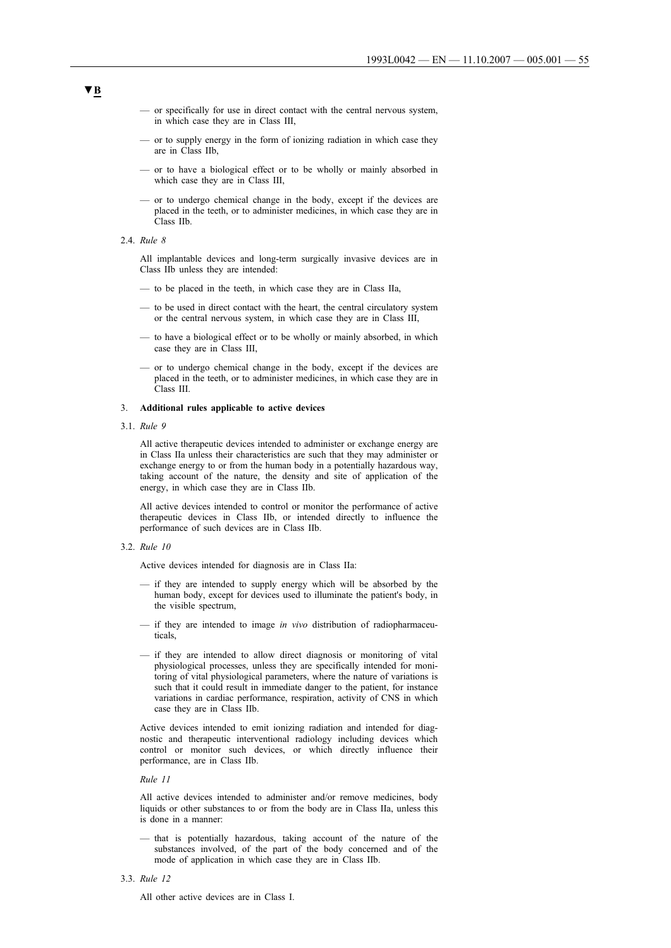- or specifically for use in direct contact with the central nervous system, in which case they are in Class III,
- or to supply energy in the form of ionizing radiation in which case they are in Class IIb,
- or to have a biological effect or to be wholly or mainly absorbed in which case they are in Class III,
- or to undergo chemical change in the body, except if the devices are placed in the teeth, or to administer medicines, in which case they are in Class IIb.
- 2.4. *Rule 8*

All implantable devices and long-term surgically invasive devices are in Class IIb unless they are intended:

- to be placed in the teeth, in which case they are in Class IIa,
- to be used in direct contact with the heart, the central circulatory system or the central nervous system, in which case they are in Class III,
- to have a biological effect or to be wholly or mainly absorbed, in which case they are in Class III,
- or to undergo chemical change in the body, except if the devices are placed in the teeth, or to administer medicines, in which case they are in Class III.

#### 3. **Additional rules applicable to active devices**

3.1. *Rule 9*

All active therapeutic devices intended to administer or exchange energy are in Class IIa unless their characteristics are such that they may administer or exchange energy to or from the human body in a potentially hazardous way, taking account of the nature, the density and site of application of the energy, in which case they are in Class IIb.

All active devices intended to control or monitor the performance of active therapeutic devices in Class IIb, or intended directly to influence the performance of such devices are in Class IIb.

### 3.2. *Rule 10*

Active devices intended for diagnosis are in Class IIa:

- if they are intended to supply energy which will be absorbed by the human body, except for devices used to illuminate the patient's body, in the visible spectrum,
- if they are intended to image *in vivo* distribution of radiopharmaceuticals,
- if they are intended to allow direct diagnosis or monitoring of vital physiological processes, unless they are specifically intended for monitoring of vital physiological parameters, where the nature of variations is such that it could result in immediate danger to the patient, for instance variations in cardiac performance, respiration, activity of CNS in which case they are in Class IIb.

Active devices intended to emit ionizing radiation and intended for diagnostic and therapeutic interventional radiology including devices which control or monitor such devices, or which directly influence their performance, are in Class IIb.

*Rule 11*

All active devices intended to administer and/or remove medicines, body liquids or other substances to or from the body are in Class IIa, unless this is done in a manner:

- that is potentially hazardous, taking account of the nature of the substances involved, of the part of the body concerned and of the mode of application in which case they are in Class IIb.
- 3.3. *Rule 12*

All other active devices are in Class I.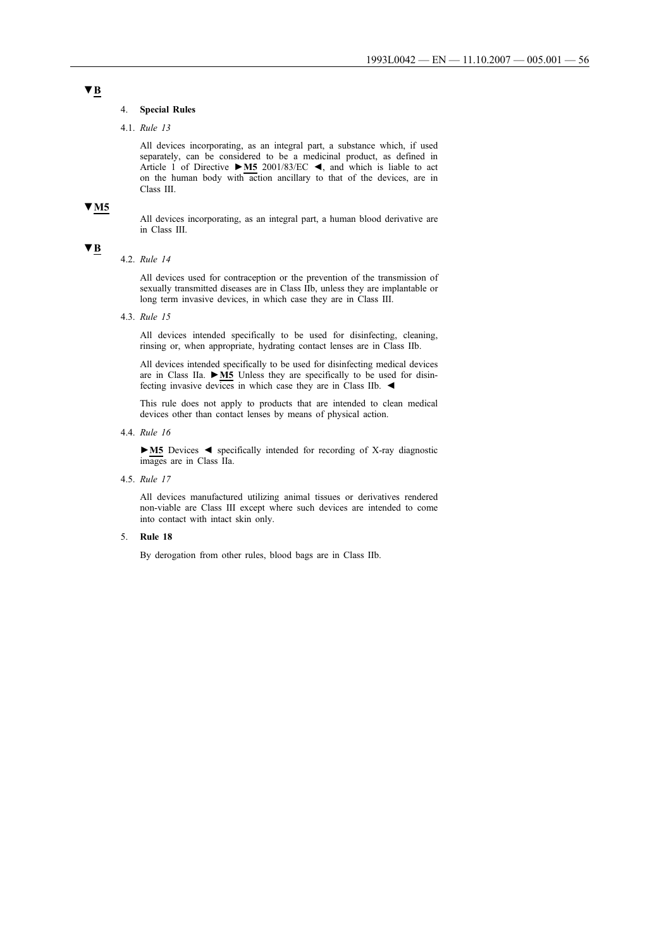# 4. **Special Rules**

### 4.1. *Rule 13*

All devices incorporating, as an integral part, a substance which, if used separately, can be considered to be a medicinal product, as defined in Article 1 of Directive **►M5** 2001/83/EC ◄, and which is liable to act on the human body with action ancillary to that of the devices, are in Class III.

# **▼M5**

All devices incorporating, as an integral part, a human blood derivative are in Class III.

## **▼B**

### 4.2. *Rule 14*

All devices used for contraception or the prevention of the transmission of sexually transmitted diseases are in Class IIb, unless they are implantable or long term invasive devices, in which case they are in Class III.

4.3. *Rule 15*

All devices intended specifically to be used for disinfecting, cleaning, rinsing or, when appropriate, hydrating contact lenses are in Class IIb.

All devices intended specifically to be used for disinfecting medical devices are in Class IIa. **►M5** Unless they are specifically to be used for disinfecting invasive devices in which case they are in Class IIb. ◄

This rule does not apply to products that are intended to clean medical devices other than contact lenses by means of physical action.

4.4. *Rule 16*

**►M5** Devices ◄ specifically intended for recording of X-ray diagnostic images are in Class IIa.

4.5. *Rule 17*

All devices manufactured utilizing animal tissues or derivatives rendered non-viable are Class III except where such devices are intended to come into contact with intact skin only.

### 5. **Rule 18**

By derogation from other rules, blood bags are in Class IIb.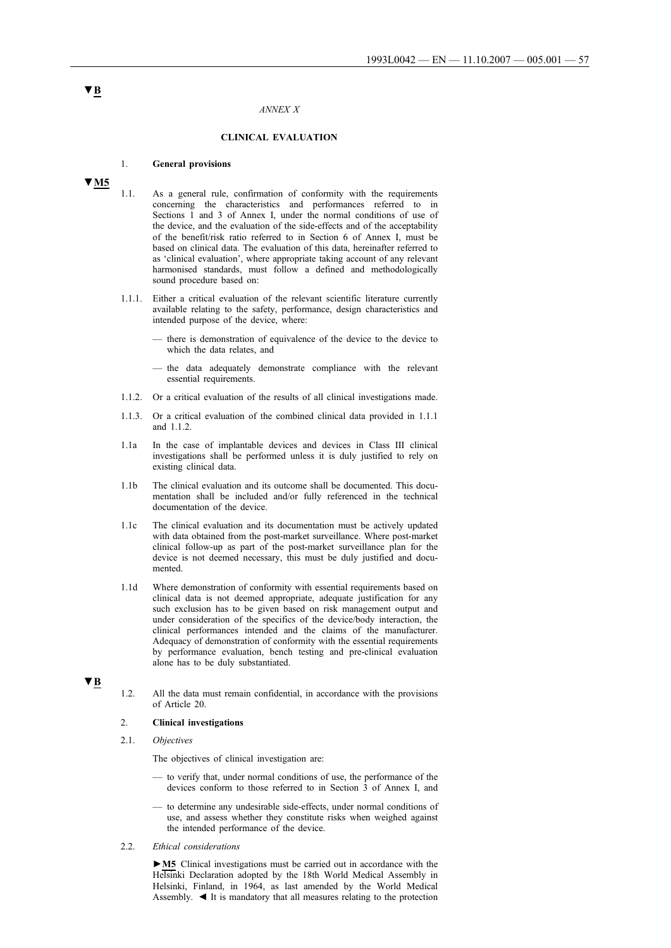#### *ANNEX X*

### **CLINICAL EVALUATION**

#### 1. **General provisions**

- **▼M5**
- 1.1. As a general rule, confirmation of conformity with the requirements concerning the characteristics and performances referred to in Sections 1 and 3 of Annex I, under the normal conditions of use of the device, and the evaluation of the side-effects and of the acceptability of the benefit/risk ratio referred to in Section 6 of Annex I, must be based on clinical data. The evaluation of this data, hereinafter referred to as 'clinical evaluation', where appropriate taking account of any relevant harmonised standards, must follow a defined and methodologically sound procedure based on:
- 1.1.1. Either a critical evaluation of the relevant scientific literature currently available relating to the safety, performance, design characteristics and intended purpose of the device, where:
	- there is demonstration of equivalence of the device to the device to which the data relates, and
	- the data adequately demonstrate compliance with the relevant essential requirements.
- 1.1.2. Or a critical evaluation of the results of all clinical investigations made.
- 1.1.3. Or a critical evaluation of the combined clinical data provided in 1.1.1 and 1.1.2.
- 1.1a In the case of implantable devices and devices in Class III clinical investigations shall be performed unless it is duly justified to rely on existing clinical data.
- 1.1b The clinical evaluation and its outcome shall be documented. This documentation shall be included and/or fully referenced in the technical documentation of the device.
- 1.1c The clinical evaluation and its documentation must be actively updated with data obtained from the post-market surveillance. Where post-market clinical follow-up as part of the post-market surveillance plan for the device is not deemed necessary, this must be duly justified and documented.
- 1.1d Where demonstration of conformity with essential requirements based on clinical data is not deemed appropriate, adequate justification for any such exclusion has to be given based on risk management output and under consideration of the specifics of the device/body interaction, the clinical performances intended and the claims of the manufacturer. Adequacy of demonstration of conformity with the essential requirements by performance evaluation, bench testing and pre-clinical evaluation alone has to be duly substantiated.
- 1.2. All the data must remain confidential, in accordance with the provisions of Article 20.

#### 2. **Clinical investigations**

2.1. *Objectives*

**▼B**

The objectives of clinical investigation are:

- to verify that, under normal conditions of use, the performance of the devices conform to those referred to in Section 3 of Annex I, and
- to determine any undesirable side-effects, under normal conditions of use, and assess whether they constitute risks when weighed against the intended performance of the device.
- 2.2. *Ethical considerations*

**►M5** Clinical investigations must be carried out in accordance with the Helsinki Declaration adopted by the 18th World Medical Assembly in Helsinki, Finland, in 1964, as last amended by the World Medical Assembly. ◄ It is mandatory that all measures relating to the protection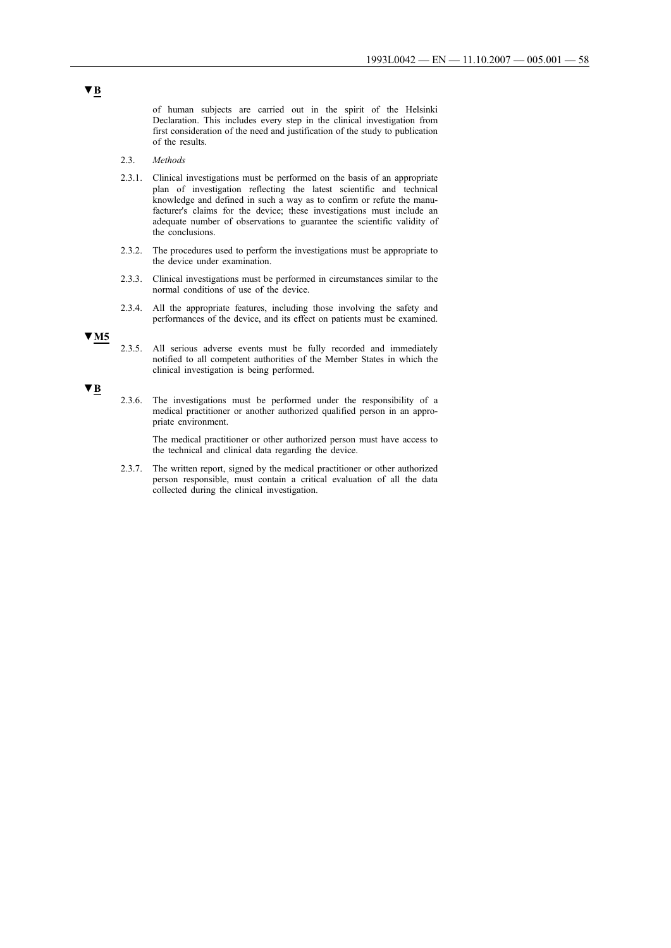of human subjects are carried out in the spirit of the Helsinki Declaration. This includes every step in the clinical investigation from first consideration of the need and justification of the study to publication of the results.

- 2.3. *Methods*
- 2.3.1. Clinical investigations must be performed on the basis of an appropriate plan of investigation reflecting the latest scientific and technical knowledge and defined in such a way as to confirm or refute the manufacturer's claims for the device; these investigations must include an adequate number of observations to guarantee the scientific validity of the conclusions.
- 2.3.2. The procedures used to perform the investigations must be appropriate to the device under examination.
- 2.3.3. Clinical investigations must be performed in circumstances similar to the normal conditions of use of the device.
- 2.3.4. All the appropriate features, including those involving the safety and performances of the device, and its effect on patients must be examined.

### **▼M5**

2.3.5. All serious adverse events must be fully recorded and immediately notified to all competent authorities of the Member States in which the clinical investigation is being performed.

# **▼B**

2.3.6. The investigations must be performed under the responsibility of a medical practitioner or another authorized qualified person in an appropriate environment.

> The medical practitioner or other authorized person must have access to the technical and clinical data regarding the device.

2.3.7. The written report, signed by the medical practitioner or other authorized person responsible, must contain a critical evaluation of all the data collected during the clinical investigation.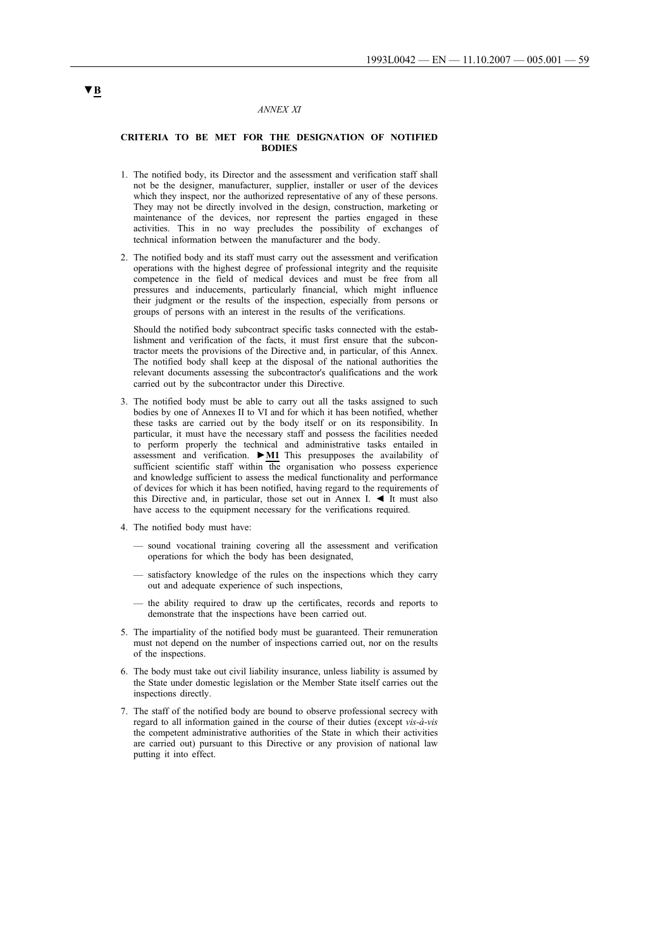#### *ANNEX XI*

#### **CRITERIA TO BE MET FOR THE DESIGNATION OF NOTIFIED BODIES**

- 1. The notified body, its Director and the assessment and verification staff shall not be the designer, manufacturer, supplier, installer or user of the devices which they inspect, nor the authorized representative of any of these persons. They may not be directly involved in the design, construction, marketing or maintenance of the devices, nor represent the parties engaged in these activities. This in no way precludes the possibility of exchanges of technical information between the manufacturer and the body.
- 2. The notified body and its staff must carry out the assessment and verification operations with the highest degree of professional integrity and the requisite competence in the field of medical devices and must be free from all pressures and inducements, particularly financial, which might influence their judgment or the results of the inspection, especially from persons or groups of persons with an interest in the results of the verifications.

Should the notified body subcontract specific tasks connected with the establishment and verification of the facts, it must first ensure that the subcontractor meets the provisions of the Directive and, in particular, of this Annex. The notified body shall keep at the disposal of the national authorities the relevant documents assessing the subcontractor's qualifications and the work carried out by the subcontractor under this Directive.

- 3. The notified body must be able to carry out all the tasks assigned to such bodies by one of Annexes II to VI and for which it has been notified, whether these tasks are carried out by the body itself or on its responsibility. In particular, it must have the necessary staff and possess the facilities needed to perform properly the technical and administrative tasks entailed in assessment and verification. **►M1** This presupposes the availability of sufficient scientific staff within the organisation who possess experience and knowledge sufficient to assess the medical functionality and performance of devices for which it has been notified, having regard to the requirements of this Directive and, in particular, those set out in Annex I. ◄ It must also have access to the equipment necessary for the verifications required.
- 4. The notified body must have:
	- sound vocational training covering all the assessment and verification operations for which the body has been designated,
	- satisfactory knowledge of the rules on the inspections which they carry out and adequate experience of such inspections,
	- the ability required to draw up the certificates, records and reports to demonstrate that the inspections have been carried out.
- 5. The impartiality of the notified body must be guaranteed. Their remuneration must not depend on the number of inspections carried out, nor on the results of the inspections.
- 6. The body must take out civil liability insurance, unless liability is assumed by the State under domestic legislation or the Member State itself carries out the inspections directly.
- 7. The staff of the notified body are bound to observe professional secrecy with regard to all information gained in the course of their duties (except *vis-à-vis* the competent administrative authorities of the State in which their activities are carried out) pursuant to this Directive or any provision of national law putting it into effect.